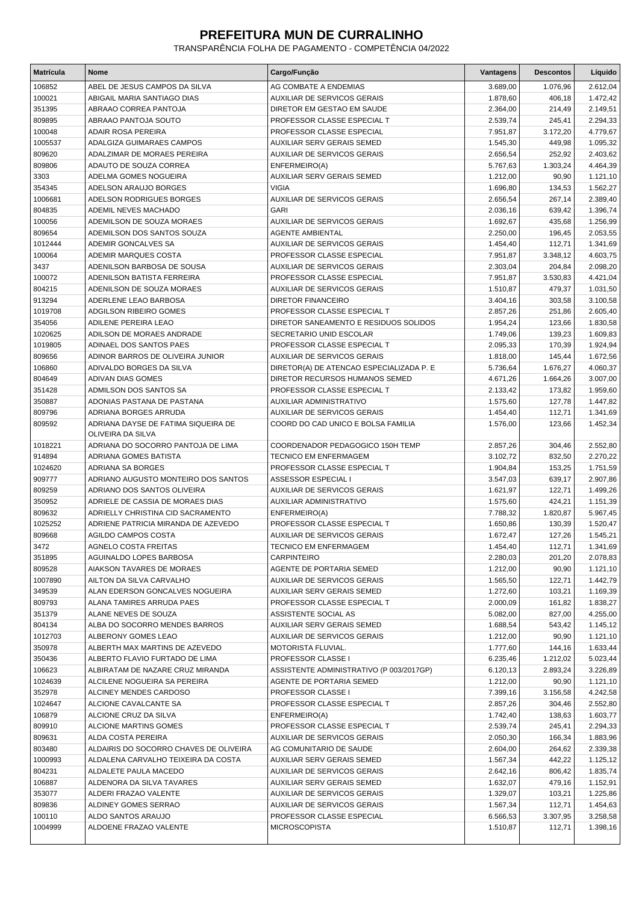## **PREFEITURA MUN DE CURRALINHO**

TRANSPARÊNCIA FOLHA DE PAGAMENTO - COMPETÊNCIA 04/2022

| Matrícula         | <b>Nome</b>                                              | Cargo/Função                                                   | Vantagens            | <b>Descontos</b>     | Líquido              |
|-------------------|----------------------------------------------------------|----------------------------------------------------------------|----------------------|----------------------|----------------------|
| 106852            | ABEL DE JESUS CAMPOS DA SILVA                            | AG COMBATE A ENDEMIAS                                          | 3.689,00             | 1.076,96             | 2.612,04             |
| 100021            | ABIGAIL MARIA SANTIAGO DIAS                              | AUXILIAR DE SERVICOS GERAIS                                    | 1.878,60             | 406,18               | 1.472,42             |
| 351395            | ABRAAO CORREA PANTOJA                                    | DIRETOR EM GESTAO EM SAUDE                                     | 2.364,00             | 214,49               | 2.149,51             |
| 809895            | ABRAAO PANTOJA SOUTO                                     | PROFESSOR CLASSE ESPECIAL T                                    | 2.539,74             | 245,41               | 2.294,33             |
| 100048            | <b>ADAIR ROSA PEREIRA</b>                                | PROFESSOR CLASSE ESPECIAL                                      | 7.951,87             | 3.172,20             | 4.779,67             |
| 1005537           | ADALGIZA GUIMARAES CAMPOS                                | <b>AUXILIAR SERV GERAIS SEMED</b>                              | 1.545,30             | 449,98               | 1.095,32             |
| 809620            | ADALZIMAR DE MORAES PEREIRA                              | AUXILIAR DE SERVICOS GERAIS                                    | 2.656,54             | 252,92               | 2.403,62             |
| 809806            | ADAUTO DE SOUZA CORREA                                   | ENFERMEIRO(A)                                                  | 5.767,63             | 1.303,24             | 4.464,39             |
| 3303              | ADELMA GOMES NOGUEIRA                                    | AUXILIAR SERV GERAIS SEMED                                     | 1.212,00             | 90,90                | 1.121,10             |
| 354345            | ADELSON ARAUJO BORGES                                    | <b>VIGIA</b>                                                   | 1.696,80             | 134,53               | 1.562,27             |
| 1006681           | ADELSON RODRIGUES BORGES                                 | AUXILIAR DE SERVICOS GERAIS                                    | 2.656,54             | 267,14               | 2.389,40             |
| 804835            | ADEMIL NEVES MACHADO                                     | <b>GARI</b>                                                    | 2.036,16             | 639,42               | 1.396,74             |
| 100056            | ADEMILSON DE SOUZA MORAES                                | <b>AUXILIAR DE SERVICOS GERAIS</b>                             | 1.692,67             | 435,68               | 1.256,99             |
| 809654            | ADEMILSON DOS SANTOS SOUZA                               | <b>AGENTE AMBIENTAL</b>                                        | 2.250,00             | 196,45               | 2.053,55             |
| 1012444           | ADEMIR GONCALVES SA<br>ADEMIR MARQUES COSTA              | AUXILIAR DE SERVICOS GERAIS<br>PROFESSOR CLASSE ESPECIAL       | 1.454,40             | 112,71               | 1.341,69             |
| 100064<br>3437    | ADENILSON BARBOSA DE SOUSA                               | AUXILIAR DE SERVICOS GERAIS                                    | 7.951,87<br>2.303,04 | 3.348,12<br>204,84   | 4.603,75<br>2.098,20 |
| 100072            | ADENILSON BATISTA FERREIRA                               | PROFESSOR CLASSE ESPECIAL                                      | 7.951,87             | 3.530,83             | 4.421,04             |
| 804215            | ADENILSON DE SOUZA MORAES                                | <b>AUXILIAR DE SERVICOS GERAIS</b>                             | 1.510,87             | 479,37               | 1.031,50             |
| 913294            | ADERLENE LEAO BARBOSA                                    | <b>DIRETOR FINANCEIRO</b>                                      | 3.404,16             | 303,58               | 3.100,58             |
| 1019708           | ADGILSON RIBEIRO GOMES                                   | PROFESSOR CLASSE ESPECIAL T                                    | 2.857,26             | 251,86               | 2.605,40             |
| 354056            | ADILENE PEREIRA LEAO                                     | DIRETOR SANEAMENTO E RESIDUOS SOLIDOS                          | 1.954,24             | 123,66               | 1.830,58             |
| 1020625           | ADILSON DE MORAES ANDRADE                                | SECRETARIO UNID ESCOLAR                                        | 1.749,06             | 139,23               | 1.609,83             |
| 1019805           | ADINAEL DOS SANTOS PAES                                  | PROFESSOR CLASSE ESPECIAL T                                    | 2.095,33             | 170,39               | 1.924,94             |
| 809656            | ADINOR BARROS DE OLIVEIRA JUNIOR                         | <b>AUXILIAR DE SERVICOS GERAIS</b>                             | 1.818,00             | 145,44               | 1.672,56             |
| 106860            | ADIVALDO BORGES DA SILVA                                 | DIRETOR(A) DE ATENCAO ESPECIALIZADA P. E                       | 5.736,64             | 1.676,27             | 4.060,37             |
| 804649            | ADIVAN DIAS GOMES                                        | DIRETOR RECURSOS HUMANOS SEMED                                 | 4.671,26             | 1.664,26             | 3.007,00             |
| 351428            | ADMILSON DOS SANTOS SA                                   | PROFESSOR CLASSE ESPECIAL T                                    | 2.133,42             | 173,82               | 1.959,60             |
| 350887            | ADONIAS PASTANA DE PASTANA                               | AUXILIAR ADMINISTRATIVO                                        | 1.575,60             | 127,78               | 1.447,82             |
| 809796            | ADRIANA BORGES ARRUDA                                    | <b>AUXILIAR DE SERVICOS GERAIS</b>                             | 1.454,40             | 112,71               | 1.341,69             |
| 809592            | ADRIANA DAYSE DE FATIMA SIQUEIRA DE<br>OLIVEIRA DA SILVA | COORD DO CAD UNICO E BOLSA FAMILIA                             | 1.576,00             | 123,66               | 1.452,34             |
| 1018221           | ADRIANA DO SOCORRO PANTOJA DE LIMA                       | COORDENADOR PEDAGOGICO 150H TEMP                               | 2.857,26             | 304,46               | 2.552,80             |
| 914894            | ADRIANA GOMES BATISTA                                    | <b>TECNICO EM ENFERMAGEM</b>                                   | 3.102,72             | 832,50               | 2.270,22             |
| 1024620           | ADRIANA SA BORGES                                        | PROFESSOR CLASSE ESPECIAL T                                    | 1.904,84             | 153,25               | 1.751,59             |
| 909777            | ADRIANO AUGUSTO MONTEIRO DOS SANTOS                      | ASSESSOR ESPECIAL I                                            | 3.547,03             | 639,17               | 2.907,86             |
| 809259            | ADRIANO DOS SANTOS OLIVEIRA                              | <b>AUXILIAR DE SERVICOS GERAIS</b>                             | 1.621,97             | 122,71               | 1.499,26             |
| 350952            | ADRIELE DE CASSIA DE MORAES DIAS                         | <b>AUXILIAR ADMINISTRATIVO</b>                                 | 1.575,60             | 424,21               | 1.151,39             |
| 809632            | ADRIELLY CHRISTINA CID SACRAMENTO                        | ENFERMEIRO(A)                                                  | 7.788,32             | 1.820,87             | 5.967,45             |
| 1025252           | ADRIENE PATRICIA MIRANDA DE AZEVEDO                      | PROFESSOR CLASSE ESPECIAL T                                    | 1.650,86             | 130,39               | 1.520,47             |
| 809668            | <b>AGILDO CAMPOS COSTA</b>                               | <b>AUXILIAR DE SERVICOS GERAIS</b>                             | 1.672,47             | 127,26               | 1.545,21             |
| 3472              | AGNELO COSTA FREITAS                                     | TECNICO EM ENFERMAGEM                                          | 1.454,40             | 112,71               | 1.341,69             |
| 351895            | AGUINALDO LOPES BARBOSA                                  | <b>CARPINTEIRO</b>                                             | 2.280,03             | 201,20               | 2.078,83             |
| 809528            | AIAKSON TAVARES DE MORAES                                | AGENTE DE PORTARIA SEMED                                       | 1.212,00             | 90,90                | 1.121,10             |
| 1007890           | AILTON DA SILVA CARVALHO                                 | AUXILIAR DE SERVICOS GERAIS                                    | 1.565,50             | 122,71               | 1.442,79             |
| 349539            | ALAN EDERSON GONCALVES NOGUEIRA                          | AUXILIAR SERV GERAIS SEMED                                     | 1.272,60             | 103,21               | 1.169,39             |
| 809793            | ALANA TAMIRES ARRUDA PAES                                | PROFESSOR CLASSE ESPECIAL T                                    | 2.000,09             | 161,82               | 1.838,27             |
| 351379            | ALANE NEVES DE SOUZA                                     | ASSISTENTE SOCIAL AS                                           | 5.082,00             | 827,00               | 4.255,00<br>1.145,12 |
| 804134            | ALBA DO SOCORRO MENDES BARROS                            | AUXILIAR SERV GERAIS SEMED                                     | 1.688,54             | 543,42               |                      |
| 1012703<br>350978 | ALBERONY GOMES LEAO<br>ALBERTH MAX MARTINS DE AZEVEDO    | AUXILIAR DE SERVICOS GERAIS<br>MOTORISTA FLUVIAL.              | 1.212,00<br>1.777,60 | 90,90<br>144,16      | 1.121,10<br>1.633,44 |
|                   | ALBERTO FLAVIO FURTADO DE LIMA                           |                                                                |                      |                      |                      |
| 350436<br>106623  | ALBIRATAM DE NAZARE CRUZ MIRANDA                         | PROFESSOR CLASSE I<br>ASSISTENTE ADMINISTRATIVO (P 003/2017GP) | 6.235,46<br>6.120,13 | 1.212,02<br>2.893,24 | 5.023,44<br>3.226,89 |
| 1024639           | ALCILENE NOGUEIRA SA PEREIRA                             | AGENTE DE PORTARIA SEMED                                       | 1.212,00             | 90,90                | 1.121,10             |
| 352978            | ALCINEY MENDES CARDOSO                                   | PROFESSOR CLASSE I                                             | 7.399,16             | 3.156,58             | 4.242,58             |
| 1024647           | ALCIONE CAVALCANTE SA                                    | PROFESSOR CLASSE ESPECIAL T                                    | 2.857,26             | 304,46               | 2.552,80             |
| 106879            | ALCIONE CRUZ DA SILVA                                    | ENFERMEIRO(A)                                                  | 1.742,40             | 138,63               | 1.603,77             |
| 809910            | ALCIONE MARTINS GOMES                                    | PROFESSOR CLASSE ESPECIAL T                                    | 2.539,74             | 245,41               | 2.294,33             |
| 809631            | ALDA COSTA PEREIRA                                       | AUXILIAR DE SERVICOS GERAIS                                    | 2.050,30             | 166,34               | 1.883,96             |
| 803480            | ALDAIRIS DO SOCORRO CHAVES DE OLIVEIRA                   | AG COMUNITARIO DE SAUDE                                        | 2.604,00             | 264,62               | 2.339,38             |
| 1000993           | ALDALENA CARVALHO TEIXEIRA DA COSTA                      | AUXILIAR SERV GERAIS SEMED                                     | 1.567,34             | 442,22               | 1.125,12             |
| 804231            | ALDALETE PAULA MACEDO                                    | AUXILIAR DE SERVICOS GERAIS                                    | 2.642,16             | 806,42               | 1.835,74             |
| 106887            | ALDENORA DA SILVA TAVARES                                | AUXILIAR SERV GERAIS SEMED                                     | 1.632,07             | 479,16               | 1.152,91             |
| 353077            | ALDERI FRAZAO VALENTE                                    | AUXILIAR DE SERVICOS GERAIS                                    | 1.329,07             | 103,21               | 1.225,86             |
| 809836            | ALDINEY GOMES SERRAO                                     | AUXILIAR DE SERVICOS GERAIS                                    | 1.567,34             | 112,71               | 1.454,63             |
| 100110            | ALDO SANTOS ARAUJO                                       | PROFESSOR CLASSE ESPECIAL                                      | 6.566,53             | 3.307,95             | 3.258,58             |
| 1004999           | ALDOENE FRAZAO VALENTE                                   | <b>MICROSCOPISTA</b>                                           | 1.510,87             | 112,71               | 1.398,16             |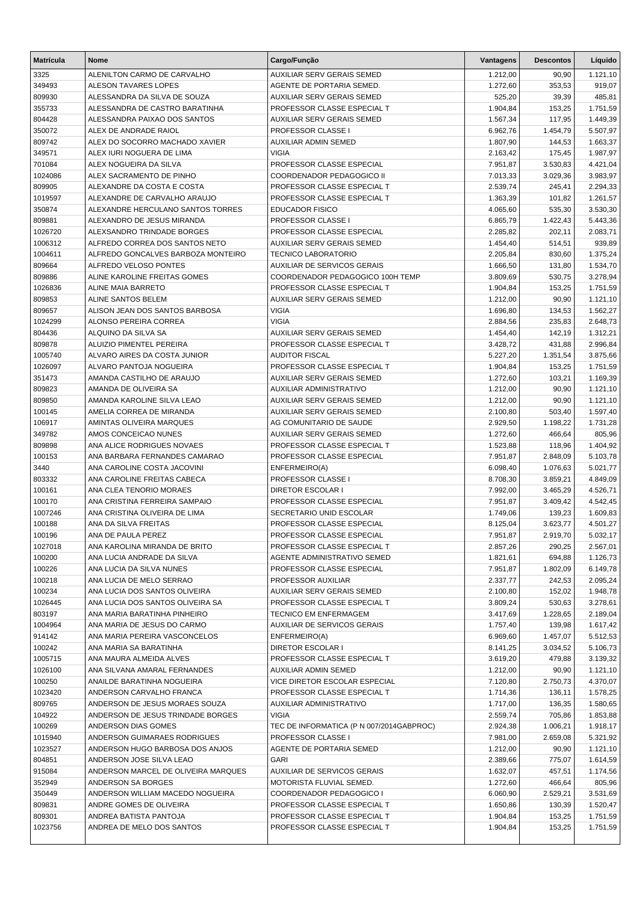| <b>Matrícula</b>  | <b>Nome</b>                                                | Cargo/Função                                               | Vantagens            | <b>Descontos</b>     | Líquido              |
|-------------------|------------------------------------------------------------|------------------------------------------------------------|----------------------|----------------------|----------------------|
| 3325              | ALENILTON CARMO DE CARVALHO                                | AUXILIAR SERV GERAIS SEMED                                 | 1.212,00             | 90,90                | 1.121,10             |
| 349493            | <b>ALESON TAVARES LOPES</b>                                | AGENTE DE PORTARIA SEMED.                                  | 1.272,60             | 353,53               | 919,07               |
| 809930            | ALESSANDRA DA SILVA DE SOUZA                               | AUXILIAR SERV GERAIS SEMED                                 | 525,20               | 39,39                | 485,81               |
| 355733            | ALESSANDRA DE CASTRO BARATINHA                             | PROFESSOR CLASSE ESPECIAL T                                | 1.904,84             | 153,25               | 1.751,59             |
| 804428            | ALESSANDRA PAIXAO DOS SANTOS                               | AUXILIAR SERV GERAIS SEMED                                 | 1.567,34             | 117,95               | 1.449,39             |
| 350072            | ALEX DE ANDRADE RAIOL                                      | PROFESSOR CLASSE I                                         | 6.962,76             | 1.454,79             | 5.507,97             |
| 809742            | ALEX DO SOCORRO MACHADO XAVIER                             | AUXILIAR ADMIN SEMED                                       | 1.807,90             | 144,53               | 1.663,37             |
| 349571            | ALEX IURI NOGUERA DE LIMA                                  | <b>VIGIA</b>                                               | 2.163,42             | 175,45               | 1.987,97             |
| 701084            | ALEX NOGUEIRA DA SILVA                                     | PROFESSOR CLASSE ESPECIAL                                  | 7.951,87             | 3.530,83             | 4.421,04             |
| 1024086           | ALEX SACRAMENTO DE PINHO                                   | COORDENADOR PEDAGOGICO II                                  | 7.013,33             | 3.029,36             | 3.983,97             |
| 809905<br>1019597 | ALEXANDRE DA COSTA E COSTA<br>ALEXANDRE DE CARVALHO ARAUJO | PROFESSOR CLASSE ESPECIAL T<br>PROFESSOR CLASSE ESPECIAL T | 2.539,74             | 245,41<br>101,82     | 2.294,33             |
| 350874            | ALEXANDRE HERCULANO SANTOS TORRES                          | <b>EDUCADOR FISICO</b>                                     | 1.363,39<br>4.065,60 | 535,30               | 1.261,57<br>3.530,30 |
| 809881            | ALEXANDRO DE JESUS MIRANDA                                 | PROFESSOR CLASSE I                                         | 6.865,79             | 1.422,43             | 5.443,36             |
| 1026720           | ALEXSANDRO TRINDADE BORGES                                 | PROFESSOR CLASSE ESPECIAL                                  | 2.285,82             | 202,11               | 2.083,71             |
| 1006312           | ALFREDO CORREA DOS SANTOS NETO                             | AUXILIAR SERV GERAIS SEMED                                 | 1.454,40             | 514,51               | 939,89               |
| 1004611           | ALFREDO GONCALVES BARBOZA MONTEIRO                         | <b>TECNICO LABORATORIO</b>                                 | 2.205,84             | 830,60               | 1.375,24             |
| 809664            | ALFREDO VELOSO PONTES                                      | <b>AUXILIAR DE SERVICOS GERAIS</b>                         | 1.666,50             | 131,80               | 1.534,70             |
| 809886            | ALINE KAROLINE FREITAS GOMES                               | COORDENADOR PEDAGOGICO 100H TEMP                           | 3.809,69             | 530,75               | 3.278,94             |
| 1026836           | ALINE MAIA BARRETO                                         | PROFESSOR CLASSE ESPECIAL T                                | 1.904,84             | 153,25               | 1.751,59             |
| 809853            | ALINE SANTOS BELEM                                         | <b>AUXILIAR SERV GERAIS SEMED</b>                          | 1.212,00             | 90,90                | 1.121,10             |
| 809657            | ALISON JEAN DOS SANTOS BARBOSA                             | <b>VIGIA</b>                                               | 1.696,80             | 134,53               | 1.562,27             |
| 1024299           | ALONSO PEREIRA CORREA                                      | <b>VIGIA</b>                                               | 2.884,56             | 235,83               | 2.648,73             |
| 804436            | ALQUINO DA SILVA SA                                        | <b>AUXILIAR SERV GERAIS SEMED</b>                          | 1.454,40             | 142,19               | 1.312,21             |
| 809878            | ALUIZIO PIMENTEL PEREIRA                                   | PROFESSOR CLASSE ESPECIAL T                                | 3.428,72             | 431,88               | 2.996,84             |
| 1005740           | ALVARO AIRES DA COSTA JUNIOR                               | <b>AUDITOR FISCAL</b>                                      | 5.227,20             | 1.351,54             | 3.875,66             |
| 1026097           | ALVARO PANTOJA NOGUEIRA                                    | PROFESSOR CLASSE ESPECIAL T                                | 1.904,84             | 153,25               | 1.751,59             |
| 351473            | AMANDA CASTILHO DE ARAUJO                                  | AUXILIAR SERV GERAIS SEMED                                 | 1.272,60             | 103,21               | 1.169,39             |
| 809823            | AMANDA DE OLIVEIRA SA                                      | AUXILIAR ADMINISTRATIVO                                    | 1.212,00             | 90,90                | 1.121,10             |
| 809850            | AMANDA KAROLINE SILVA LEAO                                 | AUXILIAR SERV GERAIS SEMED                                 | 1.212,00             | 90,90                | 1.121,10             |
| 100145            | AMELIA CORREA DE MIRANDA                                   | AUXILIAR SERV GERAIS SEMED                                 | 2.100,80             | 503,40               | 1.597,40             |
| 106917<br>349782  | AMINTAS OLIVEIRA MARQUES<br>AMOS CONCEICAO NUNES           | AG COMUNITARIO DE SAUDE<br>AUXILIAR SERV GERAIS SEMED      | 2.929,50<br>1.272,60 | 1.198,22<br>466,64   | 1.731,28<br>805,96   |
| 809898            | ANA ALICE RODRIGUES NOVAES                                 | PROFESSOR CLASSE ESPECIAL T                                | 1.523,88             | 118,96               | 1.404,92             |
| 100153            | ANA BARBARA FERNANDES CAMARAO                              | PROFESSOR CLASSE ESPECIAL                                  | 7.951,87             | 2.848,09             | 5.103,78             |
| 3440              | ANA CAROLINE COSTA JACOVINI                                | ENFERMEIRO(A)                                              | 6.098,40             | 1.076,63             | 5.021,77             |
| 803332            | ANA CAROLINE FREITAS CABECA                                | PROFESSOR CLASSE I                                         | 8.708,30             | 3.859,21             | 4.849,09             |
| 100161            | ANA CLEA TENORIO MORAES                                    | <b>DIRETOR ESCOLAR I</b>                                   | 7.992,00             | 3.465,29             | 4.526,71             |
| 100170            | ANA CRISTINA FERREIRA SAMPAIO                              | PROFESSOR CLASSE ESPECIAL                                  | 7.951,87             | 3.409,42             | 4.542,45             |
| 1007246           | ANA CRISTINA OLIVEIRA DE LIMA                              | SECRETARIO UNID ESCOLAR                                    | 1.749,06             | 139,23               | 1.609,83             |
| 100188            | ANA DA SILVA FREITAS                                       | PROFESSOR CLASSE ESPECIAL                                  | 8.125,04             | 3.623,77             | 4.501,27             |
| 100196            | ANA DE PAULA PEREZ                                         | PROFESSOR CLASSE ESPECIAL                                  | 7.951,87             | 2.919,70             | 5.032,17             |
| 1027018           | ANA KAROLINA MIRANDA DE BRITO                              | PROFESSOR CLASSE ESPECIAL T                                | 2.857,26             | 290,25               | 2.567,01             |
| 100200            | ANA LUCIA ANDRADE DA SILVA                                 | AGENTE ADMINISTRATIVO SEMED                                | 1.821,61             | 694,88               | 1.126,73             |
| 100226            | ANA LUCIA DA SILVA NUNES                                   | PROFESSOR CLASSE ESPECIAL                                  | 7.951,87             | 1.802,09             | 6.149,78             |
| 100218            | ANA LUCIA DE MELO SERRAO                                   | PROFESSOR AUXILIAR                                         | 2.337,77             | 242,53               | 2.095,24             |
| 100234            | ANA LUCIA DOS SANTOS OLIVEIRA                              | AUXILIAR SERV GERAIS SEMED                                 | 2.100,80             | 152,02               | 1.948,78             |
| 1026445           | ANA LUCIA DOS SANTOS OLIVEIRA SA                           | PROFESSOR CLASSE ESPECIAL T                                | 3.809,24             | 530,63               | 3.278,61             |
| 803197            | ANA MARIA BARATINHA PINHEIRO                               | <b>TECNICO EM ENFERMAGEM</b>                               | 3.417,69             | 1.228,65             | 2.189,04             |
| 1004964           | ANA MARIA DE JESUS DO CARMO                                | <b>AUXILIAR DE SERVICOS GERAIS</b>                         | 1.757,40             | 139,98               | 1.617,42             |
| 914142<br>100242  | ANA MARIA PEREIRA VASCONCELOS<br>ANA MARIA SA BARATINHA    | ENFERMEIRO(A)<br><b>DIRETOR ESCOLAR I</b>                  | 6.969,60<br>8.141,25 | 1.457,07<br>3.034,52 | 5.512,53<br>5.106,73 |
| 1005715           | ANA MAURA ALMEIDA ALVES                                    | PROFESSOR CLASSE ESPECIAL T                                | 3.619,20             | 479.88               | 3.139,32             |
| 1026100           | ANA SILVANA AMARAL FERNANDES                               | <b>AUXILIAR ADMIN SEMED</b>                                | 1.212,00             | 90,90                | 1.121,10             |
| 100250            | ANAILDE BARATINHA NOGUEIRA                                 | VICE DIRETOR ESCOLAR ESPECIAL                              | 7.120,80             | 2.750,73             | 4.370,07             |
| 1023420           | ANDERSON CARVALHO FRANCA                                   | PROFESSOR CLASSE ESPECIAL T                                | 1.714,36             | 136,11               | 1.578,25             |
| 809765            | ANDERSON DE JESUS MORAES SOUZA                             | AUXILIAR ADMINISTRATIVO                                    | 1.717,00             | 136,35               | 1.580,65             |
| 104922            | ANDERSON DE JESUS TRINDADE BORGES                          | <b>VIGIA</b>                                               | 2.559,74             | 705,86               | 1.853,88             |
| 100269            | ANDERSON DIAS GOMES                                        | TEC DE INFORMATICA (P N 007/2014GABPROC)                   | 2.924,38             | 1.006,21             | 1.918,17             |
| 1015940           | ANDERSON GUIMARAES RODRIGUES                               | PROFESSOR CLASSE I                                         | 7.981,00             | 2.659,08             | 5.321,92             |
| 1023527           | ANDERSON HUGO BARBOSA DOS ANJOS                            | AGENTE DE PORTARIA SEMED                                   | 1.212,00             | 90,90                | 1.121,10             |
| 804851            | ANDERSON JOSE SILVA LEAO                                   | <b>GARI</b>                                                | 2.389,66             | 775,07               | 1.614,59             |
| 915084            | ANDERSON MARCEL DE OLIVEIRA MARQUES                        | <b>AUXILIAR DE SERVICOS GERAIS</b>                         | 1.632,07             | 457,51               | 1.174,56             |
| 352949            | ANDERSON SA BORGES                                         | MOTORISTA FLUVIAL SEMED.                                   | 1.272,60             | 466,64               | 805,96               |
| 350449            | ANDERSON WILLIAM MACEDO NOGUEIRA                           | COORDENADOR PEDAGOGICO I                                   | 6.060,90             | 2.529,21             | 3.531,69             |
| 809831            | ANDRE GOMES DE OLIVEIRA                                    | PROFESSOR CLASSE ESPECIAL T                                | 1.650,86             | 130,39               | 1.520,47             |
| 809301            | ANDREA BATISTA PANTOJA                                     | PROFESSOR CLASSE ESPECIAL T                                | 1.904,84             | 153,25               | 1.751,59             |
| 1023756           | ANDREA DE MELO DOS SANTOS                                  | PROFESSOR CLASSE ESPECIAL T                                | 1.904,84             | 153,25               | 1.751,59             |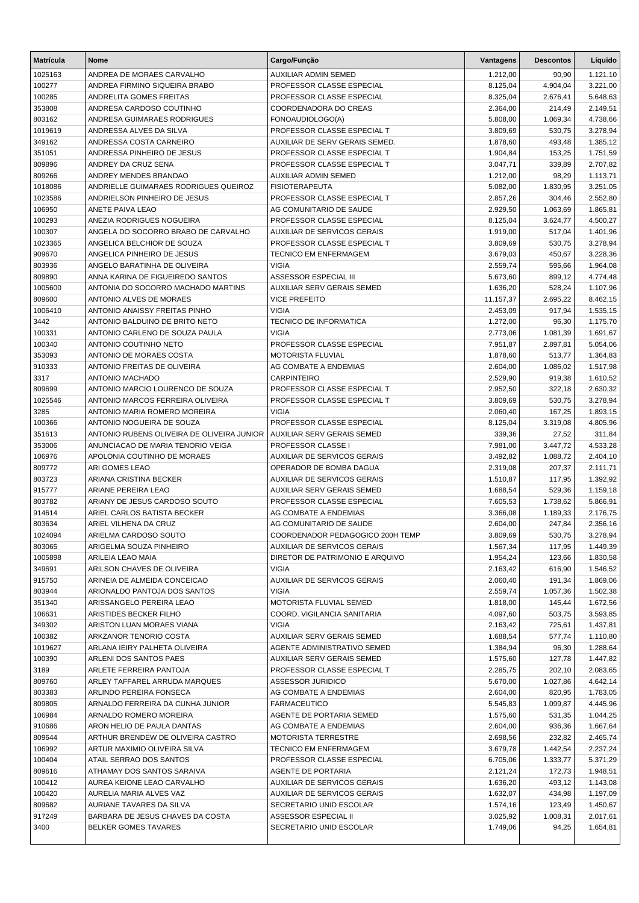| <b>Matrícula</b>  | <b>Nome</b>                                                      | Cargo/Função                                        | Vantagens            | <b>Descontos</b> | Líquido              |
|-------------------|------------------------------------------------------------------|-----------------------------------------------------|----------------------|------------------|----------------------|
| 1025163           | ANDREA DE MORAES CARVALHO                                        | <b>AUXILIAR ADMIN SEMED</b>                         | 1.212,00             | 90,90            | 1.121,10             |
| 100277            | ANDREA FIRMINO SIQUEIRA BRABO                                    | PROFESSOR CLASSE ESPECIAL                           | 8.125,04             | 4.904,04         | 3.221,00             |
| 100285            | ANDRELITA GOMES FREITAS                                          | PROFESSOR CLASSE ESPECIAL                           | 8.325,04             | 2.676,41         | 5.648,63             |
| 353808            | ANDRESA CARDOSO COUTINHO                                         | <b>COORDENADORA DO CREAS</b>                        | 2.364,00             | 214,49           | 2.149,51             |
| 803162            | ANDRESA GUIMARAES RODRIGUES                                      | FONOAUDIOLOGO(A)                                    | 5.808,00             | 1.069,34         | 4.738,66             |
| 1019619           | ANDRESSA ALVES DA SILVA                                          | PROFESSOR CLASSE ESPECIAL T                         | 3.809,69             | 530,75           | 3.278,94             |
| 349162            | ANDRESSA COSTA CARNEIRO                                          | AUXILIAR DE SERV GERAIS SEMED.                      | 1.878,60             | 493,48           | 1.385,12             |
| 351051            | ANDRESSA PINHEIRO DE JESUS                                       | PROFESSOR CLASSE ESPECIAL T                         | 1.904,84             | 153,25           | 1.751,59             |
| 809896            | ANDREY DA CRUZ SENA                                              | PROFESSOR CLASSE ESPECIAL T                         | 3.047,71             | 339.89           | 2.707,82             |
| 809266            | ANDREY MENDES BRANDAO                                            | <b>AUXILIAR ADMIN SEMED</b>                         | 1.212,00             | 98,29            | 1.113,71             |
| 1018086           | ANDRIELLE GUIMARAES RODRIGUES QUEIROZ                            | <b>FISIOTERAPEUTA</b>                               | 5.082,00             | 1.830,95         | 3.251,05             |
| 1023586           | ANDRIELSON PINHEIRO DE JESUS                                     | PROFESSOR CLASSE ESPECIAL T                         | 2.857,26             | 304,46           | 2.552,80             |
| 106950            | ANETE PAIVA LEAO                                                 | AG COMUNITARIO DE SAUDE                             | 2.929,50             | 1.063,69         | 1.865,81             |
| 100293            | ANEZIA RODRIGUES NOGUEIRA                                        | PROFESSOR CLASSE ESPECIAL                           | 8.125,04             | 3.624,77         | 4.500,27             |
| 100307            | ANGELA DO SOCORRO BRABO DE CARVALHO                              | <b>AUXILIAR DE SERVICOS GERAIS</b>                  | 1.919,00             | 517,04           | 1.401,96             |
| 1023365           | ANGELICA BELCHIOR DE SOUZA                                       | PROFESSOR CLASSE ESPECIAL T                         | 3.809,69             | 530,75           | 3.278,94             |
| 909670            | ANGELICA PINHEIRO DE JESUS                                       | <b>TECNICO EM ENFERMAGEM</b>                        | 3.679,03             | 450,67           | 3.228,36             |
| 803936            | ANGELO BARATINHA DE OLIVEIRA<br>ANNA KARINA DE FIGUEIREDO SANTOS | <b>VIGIA</b><br><b>ASSESSOR ESPECIAL III</b>        | 2.559,74             | 595,66           | 1.964,08             |
| 809890<br>1005600 | ANTONIA DO SOCORRO MACHADO MARTINS                               | <b>AUXILIAR SERV GERAIS SEMED</b>                   | 5.673,60<br>1.636,20 | 899,12<br>528,24 | 4.774,48<br>1.107,96 |
| 809600            | ANTONIO ALVES DE MORAES                                          | <b>VICE PREFEITO</b>                                | 11.157,37            | 2.695,22         | 8.462,15             |
| 1006410           | ANTONIO ANAISSY FREITAS PINHO                                    | <b>VIGIA</b>                                        | 2.453,09             | 917,94           | 1.535,15             |
| 3442              | ANTONIO BALDUINO DE BRITO NETO                                   | <b>TECNICO DE INFORMATICA</b>                       | 1.272,00             | 96,30            | 1.175,70             |
| 100331            | ANTONIO CARLENO DE SOUZA PAULA                                   | <b>VIGIA</b>                                        | 2.773,06             | 1.081,39         | 1.691,67             |
| 100340            | ANTONIO COUTINHO NETO                                            | PROFESSOR CLASSE ESPECIAL                           | 7.951,87             | 2.897,81         | 5.054,06             |
| 353093            | ANTONIO DE MORAES COSTA                                          | MOTORISTA FLUVIAL                                   | 1.878,60             | 513,77           | 1.364,83             |
| 910333            | ANTONIO FREITAS DE OLIVEIRA                                      | AG COMBATE A ENDEMIAS                               | 2.604,00             | 1.086,02         | 1.517,98             |
| 3317              | ANTONIO MACHADO                                                  | <b>CARPINTEIRO</b>                                  | 2.529,90             | 919,38           | 1.610,52             |
| 809699            | ANTONIO MARCIO LOURENCO DE SOUZA                                 | PROFESSOR CLASSE ESPECIAL T                         | 2.952,50             | 322,18           | 2.630,32             |
| 1025546           | ANTONIO MARCOS FERREIRA OLIVEIRA                                 | PROFESSOR CLASSE ESPECIAL T                         | 3.809,69             | 530,75           | 3.278,94             |
| 3285              | ANTONIO MARIA ROMERO MOREIRA                                     | <b>VIGIA</b>                                        | 2.060,40             | 167,25           | 1.893,15             |
| 100366            | ANTONIO NOGUEIRA DE SOUZA                                        | PROFESSOR CLASSE ESPECIAL                           | 8.125,04             | 3.319,08         | 4.805,96             |
| 351613            | ANTONIO RUBENS OLIVEIRA DE OLIVEIRA JUNIOR                       | AUXILIAR SERV GERAIS SEMED                          | 339,36               | 27,52            | 311,84               |
| 353006            | ANUNCIACAO DE MARIA TENORIO VEIGA                                | PROFESSOR CLASSE I                                  | 7.981,00             | 3.447,72         | 4.533,28             |
| 106976            | APOLONIA COUTINHO DE MORAES                                      | AUXILIAR DE SERVICOS GERAIS                         | 3.492,82             | 1.088,72         | 2.404,10             |
| 809772            | ARI GOMES LEAO                                                   | OPERADOR DE BOMBA DAGUA                             | 2.319,08             | 207,37           | 2.111,71             |
| 803723            | ARIANA CRISTINA BECKER                                           | AUXILIAR DE SERVICOS GERAIS                         | 1.510,87             | 117,95           | 1.392,92             |
| 915777            | ARIANE PEREIRA LEAO                                              | AUXILIAR SERV GERAIS SEMED                          | 1.688,54             | 529,36           | 1.159,18             |
| 803782            | ARIANY DE JESUS CARDOSO SOUTO                                    | PROFESSOR CLASSE ESPECIAL                           | 7.605,53             | 1.738,62         | 5.866,91             |
| 914614            | ARIEL CARLOS BATISTA BECKER                                      | AG COMBATE A ENDEMIAS                               | 3.366,08             | 1.189,33         | 2.176,75             |
| 803634            | ARIEL VILHENA DA CRUZ                                            | AG COMUNITARIO DE SAUDE                             | 2.604,00             | 247,84           | 2.356,16             |
| 1024094           | ARIELMA CARDOSO SOUTO                                            | COORDENADOR PEDAGOGICO 200H TEMP                    | 3.809,69             | 530,75           | 3.278,94             |
| 803065            | ARIGELMA SOUZA PINHEIRO                                          | AUXILIAR DE SERVICOS GERAIS                         | 1.567,34             | 117,95           | 1.449,39             |
| 1005898           | ARILEIA LEAO MAIA                                                | DIRETOR DE PATRIMONIO E ARQUIVO                     | 1.954,24             | 123,66           | 1.830,58             |
| 349691            | ARILSON CHAVES DE OLIVEIRA                                       | <b>VIGIA</b>                                        | 2.163,42             | 616,90           | 1.546,52             |
| 915750            | ARINEIA DE ALMEIDA CONCEICAO                                     | AUXILIAR DE SERVICOS GERAIS                         | 2.060,40             | 191,34           | 1.869,06             |
| 803944            | ARIONALDO PANTOJA DOS SANTOS                                     | <b>VIGIA</b>                                        | 2.559,74             | 1.057,36         | 1.502,38             |
| 351340            | ARISSANGELO PEREIRA LEAO                                         | MOTORISTA FLUVIAL SEMED                             | 1.818,00             | 145,44           | 1.672,56             |
| 106631            | ARISTIDES BECKER FILHO                                           | COORD. VIGILANCIA SANITARIA                         | 4.097,60             | 503,75           | 3.593,85             |
| 349302            | ARISTON LUAN MORAES VIANA                                        | <b>VIGIA</b>                                        | 2.163,42             | 725,61           | 1.437,81             |
| 100382            | ARKZANOR TENORIO COSTA                                           | AUXILIAR SERV GERAIS SEMED                          | 1.688,54             | 577,74           | 1.110,80             |
| 1019627           | ARLANA IEIRY PALHETA OLIVEIRA                                    | AGENTE ADMINISTRATIVO SEMED                         | 1.384,94             | 96,30            | 1.288,64             |
| 100390            | ARLENI DOS SANTOS PAES                                           | AUXILIAR SERV GERAIS SEMED                          | 1.575,60             | 127,78           | 1.447,82             |
| 3189              | ARLETE FERREIRA PANTOJA                                          | PROFESSOR CLASSE ESPECIAL T                         | 2.285,75             | 202,10           | 2.083,65             |
| 809760            | ARLEY TAFFAREL ARRUDA MARQUES                                    | ASSESSOR JURIDICO                                   | 5.670,00             | 1.027,86         | 4.642,14             |
| 803383            | ARLINDO PEREIRA FONSECA                                          | AG COMBATE A ENDEMIAS                               | 2.604,00             | 820,95           | 1.783,05             |
| 809805            | ARNALDO FERREIRA DA CUNHA JUNIOR                                 | <b>FARMACEUTICO</b>                                 | 5.545,83             | 1.099,87         | 4.445,96             |
| 106984            | ARNALDO ROMERO MOREIRA                                           | AGENTE DE PORTARIA SEMED                            | 1.575,60             | 531,35           | 1.044,25             |
| 910686<br>809644  | ARON HELIO DE PAULA DANTAS<br>ARTHUR BRENDEW DE OLIVEIRA CASTRO  | AG COMBATE A ENDEMIAS<br><b>MOTORISTA TERRESTRE</b> | 2.604,00<br>2.698,56 | 936,36<br>232,82 | 1.667,64<br>2.465,74 |
| 106992            | ARTUR MAXIMIO OLIVEIRA SILVA                                     | <b>TECNICO EM ENFERMAGEM</b>                        | 3.679,78             | 1.442,54         | 2.237,24             |
| 100404            | ATAIL SERRAO DOS SANTOS                                          | PROFESSOR CLASSE ESPECIAL                           | 6.705,06             | 1.333,77         | 5.371,29             |
| 809616            | ATHAMAY DOS SANTOS SARAIVA                                       | AGENTE DE PORTARIA                                  | 2.121,24             | 172,73           | 1.948,51             |
| 100412            | AUREA KEIONE LEAO CARVALHO                                       | AUXILIAR DE SERVICOS GERAIS                         | 1.636,20             | 493,12           | 1.143,08             |
| 100420            | AURELIA MARIA ALVES VAZ                                          | AUXILIAR DE SERVICOS GERAIS                         | 1.632,07             | 434,98           | 1.197,09             |
| 809682            | AURIANE TAVARES DA SILVA                                         | SECRETARIO UNID ESCOLAR                             | 1.574,16             | 123,49           | 1.450,67             |
| 917249            | BARBARA DE JESUS CHAVES DA COSTA                                 | ASSESSOR ESPECIAL II                                | 3.025,92             | 1.008,31         | 2.017,61             |
| 3400              | BELKER GOMES TAVARES                                             | SECRETARIO UNID ESCOLAR                             | 1.749,06             | 94,25            | 1.654,81             |
|                   |                                                                  |                                                     |                      |                  |                      |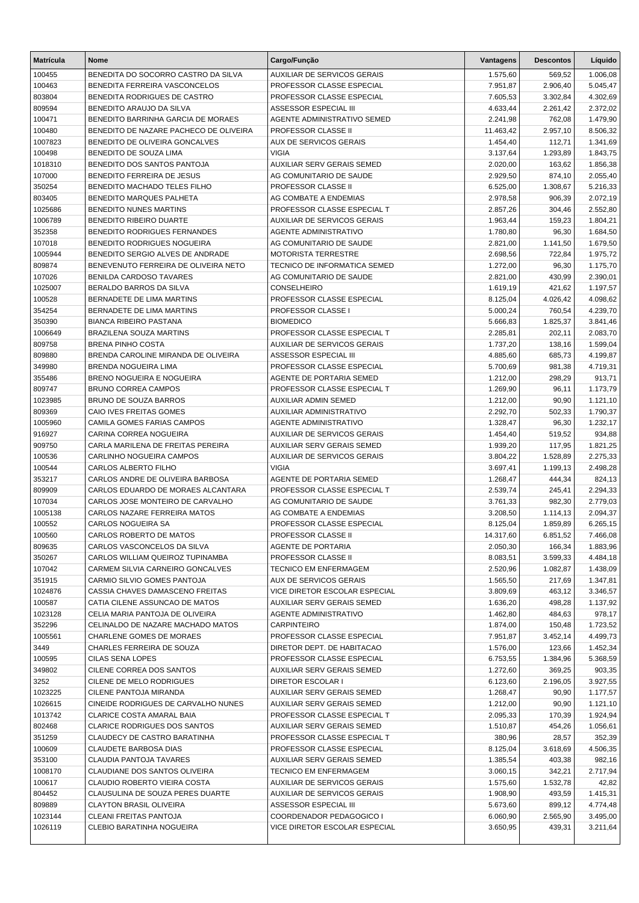| <b>Matrícula</b>  | <b>Nome</b>                                                            | Cargo/Função                                              | Vantagens            | <b>Descontos</b> | Líquido              |
|-------------------|------------------------------------------------------------------------|-----------------------------------------------------------|----------------------|------------------|----------------------|
| 100455            | BENEDITA DO SOCORRO CASTRO DA SILVA                                    | <b>AUXILIAR DE SERVICOS GERAIS</b>                        | 1.575,60             | 569,52           | 1.006,08             |
| 100463            | BENEDITA FERREIRA VASCONCELOS                                          | PROFESSOR CLASSE ESPECIAL                                 | 7.951,87             | 2.906,40         | 5.045,47             |
| 803804            | BENEDITA RODRIGUES DE CASTRO                                           | PROFESSOR CLASSE ESPECIAL                                 | 7.605,53             | 3.302,84         | 4.302,69             |
| 809594            | BENEDITO ARAUJO DA SILVA                                               | ASSESSOR ESPECIAL III                                     | 4.633,44             | 2.261,42         | 2.372,02             |
| 100471            | BENEDITO BARRINHA GARCIA DE MORAES                                     | AGENTE ADMINISTRATIVO SEMED                               | 2.241,98             | 762,08           | 1.479,90             |
| 100480            | BENEDITO DE NAZARE PACHECO DE OLIVEIRA                                 | PROFESSOR CLASSE II                                       | 11.463,42            | 2.957,10         | 8.506,32             |
| 1007823           | BENEDITO DE OLIVEIRA GONCALVES                                         | AUX DE SERVICOS GERAIS                                    | 1.454,40             | 112,71           | 1.341,69             |
| 100498            | BENEDITO DE SOUZA LIMA                                                 | <b>VIGIA</b>                                              | 3.137,64             | 1.293,89         | 1.843,75             |
| 1018310           | BENEDITO DOS SANTOS PANTOJA                                            | AUXILIAR SERV GERAIS SEMED                                | 2.020,00             | 163,62           | 1.856,38             |
| 107000            | BENEDITO FERREIRA DE JESUS                                             | AG COMUNITARIO DE SAUDE                                   | 2.929,50             | 874,10           | 2.055,40             |
| 350254            | BENEDITO MACHADO TELES FILHO                                           | <b>PROFESSOR CLASSE II</b>                                | 6.525,00             | 1.308,67         | 5.216,33             |
| 803405            | BENEDITO MARQUES PALHETA                                               | AG COMBATE A ENDEMIAS                                     | 2.978,58             | 906,39           | 2.072,19             |
| 1025686           | BENEDITO NUNES MARTINS                                                 | PROFESSOR CLASSE ESPECIAL T                               | 2.857,26             | 304,46           | 2.552,80             |
| 1006789           | BENEDITO RIBEIRO DUARTE                                                | <b>AUXILIAR DE SERVICOS GERAIS</b>                        | 1.963,44             | 159,23           | 1.804,21             |
| 352358            | BENEDITO RODRIGUES FERNANDES                                           | <b>AGENTE ADMINISTRATIVO</b>                              | 1.780,80             | 96,30            | 1.684,50             |
| 107018            | BENEDITO RODRIGUES NOGUEIRA                                            | AG COMUNITARIO DE SAUDE                                   | 2.821,00             | 1.141,50         | 1.679,50             |
| 1005944           | BENEDITO SERGIO ALVES DE ANDRADE                                       | <b>MOTORISTA TERRESTRE</b>                                | 2.698,56             | 722,84           | 1.975,72             |
| 809874            | BENEVENUTO FERREIRA DE OLIVEIRA NETO<br><b>BENILDA CARDOSO TAVARES</b> | TECNICO DE INFORMATICA SEMED                              | 1.272,00             | 96,30            | 1.175,70             |
| 107026            | BERALDO BARROS DA SILVA                                                | AG COMUNITARIO DE SAUDE<br>CONSELHEIRO                    | 2.821,00             | 430,99<br>421,62 | 2.390,01             |
| 1025007<br>100528 | BERNADETE DE LIMA MARTINS                                              | PROFESSOR CLASSE ESPECIAL                                 | 1.619,19<br>8.125,04 | 4.026,42         | 1.197,57<br>4.098,62 |
| 354254            | BERNADETE DE LIMA MARTINS                                              | PROFESSOR CLASSE I                                        | 5.000,24             | 760,54           | 4.239,70             |
| 350390            | <b>BIANCA RIBEIRO PASTANA</b>                                          | <b>BIOMEDICO</b>                                          | 5.666,83             | 1.825,37         | 3.841,46             |
| 1006649           | BRAZILENA SOUZA MARTINS                                                | PROFESSOR CLASSE ESPECIAL T                               | 2.285,81             | 202,11           | 2.083,70             |
| 809758            | <b>BRENA PINHO COSTA</b>                                               | <b>AUXILIAR DE SERVICOS GERAIS</b>                        | 1.737,20             | 138,16           | 1.599,04             |
| 809880            | BRENDA CAROLINE MIRANDA DE OLIVEIRA                                    | ASSESSOR ESPECIAL III                                     | 4.885,60             | 685,73           | 4.199,87             |
| 349980            | BRENDA NOGUEIRA LIMA                                                   | PROFESSOR CLASSE ESPECIAL                                 | 5.700,69             | 981,38           | 4.719,31             |
| 355486            | BRENO NOGUEIRA E NOGUEIRA                                              | AGENTE DE PORTARIA SEMED                                  | 1.212,00             | 298,29           | 913,71               |
| 809747            | <b>BRUNO CORREA CAMPOS</b>                                             | PROFESSOR CLASSE ESPECIAL T                               | 1.269,90             | 96,11            | 1.173,79             |
| 1023985           | <b>BRUNO DE SOUZA BARROS</b>                                           | AUXILIAR ADMIN SEMED                                      | 1.212,00             | 90,90            | 1.121,10             |
| 809369            | CAIO IVES FREITAS GOMES                                                | AUXILIAR ADMINISTRATIVO                                   | 2.292,70             | 502,33           | 1.790,37             |
| 1005960           | CAMILA GOMES FARIAS CAMPOS                                             | <b>AGENTE ADMINISTRATIVO</b>                              | 1.328,47             | 96,30            | 1.232,17             |
| 916927            | CARINA CORREA NOGUEIRA                                                 | <b>AUXILIAR DE SERVICOS GERAIS</b>                        | 1.454,40             | 519,52           | 934,88               |
| 909750            | CARLA MARILENA DE FREITAS PEREIRA                                      | AUXILIAR SERV GERAIS SEMED                                | 1.939,20             | 117,95           | 1.821,25             |
| 100536            | CARLINHO NOGUEIRA CAMPOS                                               | AUXILIAR DE SERVICOS GERAIS                               | 3.804,22             | 1.528,89         | 2.275,33             |
| 100544            | CARLOS ALBERTO FILHO                                                   | <b>VIGIA</b>                                              | 3.697,41             | 1.199,13         | 2.498,28             |
| 353217            | CARLOS ANDRE DE OLIVEIRA BARBOSA                                       | AGENTE DE PORTARIA SEMED                                  | 1.268,47             | 444,34           | 824,13               |
| 809909            | CARLOS EDUARDO DE MORAES ALCANTARA                                     | PROFESSOR CLASSE ESPECIAL T                               | 2.539,74             | 245,41           | 2.294,33             |
| 107034            | CARLOS JOSE MONTEIRO DE CARVALHO                                       | AG COMUNITARIO DE SAUDE                                   | 3.761,33             | 982,30           | 2.779,03             |
| 1005138           | CARLOS NAZARE FERREIRA MATOS                                           | AG COMBATE A ENDEMIAS                                     | 3.208,50             | 1.114,13         | 2.094,37             |
| 100552            | <b>CARLOS NOGUEIRA SA</b>                                              | PROFESSOR CLASSE ESPECIAL                                 | 8.125,04             | 1.859,89         | 6.265,15             |
| 100560            | CARLOS ROBERTO DE MATOS                                                | PROFESSOR CLASSE II                                       | 14.317,60            | 6.851,52         | 7.466,08             |
| 809635            | CARLOS VASCONCELOS DA SILVA                                            | AGENTE DE PORTARIA                                        | 2.050,30             | 166,34           | 1.883,96             |
| 350267            | CARLOS WILLIAM QUEIROZ TUPINAMBA                                       | PROFESSOR CLASSE II                                       | 8.083,51             | 3.599,33         | 4.484,18             |
| 107042            | CARMEM SILVIA CARNEIRO GONCALVES                                       | <b>TECNICO EM ENFERMAGEM</b>                              | 2.520,96             | 1.082,87         | 1.438,09             |
| 351915            | CARMIO SILVIO GOMES PANTOJA                                            | AUX DE SERVICOS GERAIS                                    | 1.565,50             | 217,69           | 1.347,81             |
| 1024876           | CASSIA CHAVES DAMASCENO FREITAS                                        | VICE DIRETOR ESCOLAR ESPECIAL                             | 3.809,69             | 463,12           | 3.346,57             |
| 100587            | CATIA CILENE ASSUNCAO DE MATOS                                         | <b>AUXILIAR SERV GERAIS SEMED</b>                         | 1.636,20             | 498,28           | 1.137,92             |
| 1023128           | CELIA MARIA PANTOJA DE OLIVEIRA                                        | AGENTE ADMINISTRATIVO                                     | 1.462,80             | 484,63           | 978,17               |
| 352296            | CELINALDO DE NAZARE MACHADO MATOS                                      | <b>CARPINTEIRO</b>                                        | 1.874,00             | 150,48           | 1.723,52             |
| 1005561           | CHARLENE GOMES DE MORAES                                               | PROFESSOR CLASSE ESPECIAL                                 | 7.951,87             | 3.452,14         | 4.499,73             |
| 3449              | CHARLES FERREIRA DE SOUZA                                              | DIRETOR DEPT. DE HABITACAO                                | 1.576,00             | 123,66           | 1.452,34             |
| 100595            | CILAS SENA LOPES                                                       | PROFESSOR CLASSE ESPECIAL                                 | 6.753,55             | 1.384,96         | 5.368,59             |
| 349802            | CILENE CORREA DOS SANTOS                                               | AUXILIAR SERV GERAIS SEMED                                | 1.272,60             | 369,25           | 903,35               |
| 3252              | CILENE DE MELO RODRIGUES                                               | <b>DIRETOR ESCOLAR I</b>                                  | 6.123,60             | 2.196,05         | 3.927,55             |
| 1023225           | CILENE PANTOJA MIRANDA                                                 | AUXILIAR SERV GERAIS SEMED                                | 1.268,47             | 90,90            | 1.177,57             |
| 1026615           | CINEIDE RODRIGUES DE CARVALHO NUNES                                    | AUXILIAR SERV GERAIS SEMED                                | 1.212,00             | 90,90            | 1.121,10             |
| 1013742<br>802468 | CLARICE COSTA AMARAL BAIA<br><b>CLARICE RODRIGUES DOS SANTOS</b>       | PROFESSOR CLASSE ESPECIAL T<br>AUXILIAR SERV GERAIS SEMED | 2.095,33<br>1.510,87 | 170,39<br>454,26 | 1.924,94<br>1.056,61 |
| 351259            | CLAUDECY DE CASTRO BARATINHA                                           | PROFESSOR CLASSE ESPECIAL T                               | 380,96               | 28,57            | 352,39               |
| 100609            | CLAUDETE BARBOSA DIAS                                                  | PROFESSOR CLASSE ESPECIAL                                 | 8.125,04             | 3.618,69         | 4.506,35             |
| 353100            | CLAUDIA PANTOJA TAVARES                                                | AUXILIAR SERV GERAIS SEMED                                | 1.385,54             | 403,38           | 982,16               |
| 1008170           | CLAUDIANE DOS SANTOS OLIVEIRA                                          | <b>TECNICO EM ENFERMAGEM</b>                              | 3.060,15             | 342,21           | 2.717,94             |
| 100617            | CLAUDIO ROBERTO VIEIRA COSTA                                           | AUXILIAR DE SERVICOS GERAIS                               | 1.575,60             | 1.532,78         | 42,82                |
| 804452            | CLAUSULINA DE SOUZA PERES DUARTE                                       | AUXILIAR DE SERVICOS GERAIS                               | 1.908,90             | 493,59           | 1.415,31             |
| 809889            | <b>CLAYTON BRASIL OLIVEIRA</b>                                         | ASSESSOR ESPECIAL III                                     | 5.673,60             | 899,12           | 4.774,48             |
| 1023144           | CLEANI FREITAS PANTOJA                                                 | COORDENADOR PEDAGOGICO I                                  | 6.060,90             | 2.565,90         | 3.495,00             |
| 1026119           | CLEBIO BARATINHA NOGUEIRA                                              | VICE DIRETOR ESCOLAR ESPECIAL                             | 3.650,95             | 439,31           | 3.211,64             |
|                   |                                                                        |                                                           |                      |                  |                      |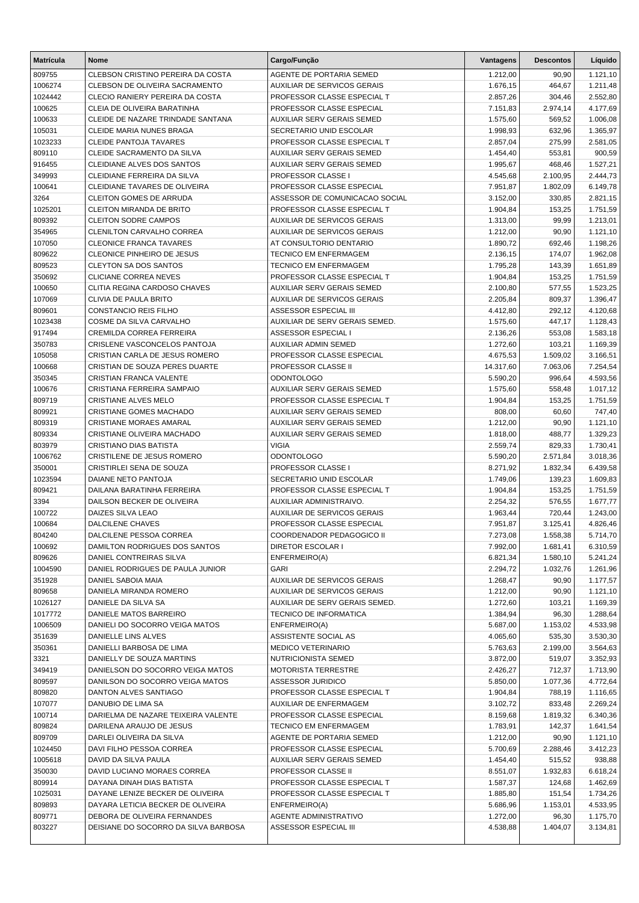| <b>Matrícula</b>   | <b>Nome</b>                                                          | Cargo/Função                                                    | Vantagens            | <b>Descontos</b>  | Líquido              |
|--------------------|----------------------------------------------------------------------|-----------------------------------------------------------------|----------------------|-------------------|----------------------|
| 809755             | CLEBSON CRISTINO PEREIRA DA COSTA                                    | AGENTE DE PORTARIA SEMED                                        | 1.212,00             | 90,90             | 1.121,10             |
| 1006274            | CLEBSON DE OLIVEIRA SACRAMENTO                                       | <b>AUXILIAR DE SERVICOS GERAIS</b>                              | 1.676,15             | 464,67            | 1.211,48             |
| 1024442            | CLECIO RANIERY PEREIRA DA COSTA                                      | PROFESSOR CLASSE ESPECIAL T                                     | 2.857,26             | 304,46            | 2.552,80             |
| 100625             | CLEIA DE OLIVEIRA BARATINHA                                          | PROFESSOR CLASSE ESPECIAL                                       | 7.151,83             | 2.974,14          | 4.177,69             |
| 100633             | CLEIDE DE NAZARE TRINDADE SANTANA                                    | AUXILIAR SERV GERAIS SEMED                                      | 1.575,60             | 569,52            | 1.006,08             |
| 105031             | CLEIDE MARIA NUNES BRAGA                                             | SECRETARIO UNID ESCOLAR                                         | 1.998,93             | 632,96            | 1.365,97             |
| 1023233            | <b>CLEIDE PANTOJA TAVARES</b>                                        | PROFESSOR CLASSE ESPECIAL T                                     | 2.857,04             | 275,99            | 2.581,05             |
| 809110             | CLEIDE SACRAMENTO DA SILVA                                           | AUXILIAR SERV GERAIS SEMED                                      | 1.454,40             | 553,81            | 900,59               |
| 916455             | <b>CLEIDIANE ALVES DOS SANTOS</b>                                    | <b>AUXILIAR SERV GERAIS SEMED</b>                               | 1.995,67             | 468,46            | 1.527,21             |
| 349993             | CLEIDIANE FERREIRA DA SILVA                                          | PROFESSOR CLASSE I                                              | 4.545,68             | 2.100,95          | 2.444,73             |
| 100641             | CLEIDIANE TAVARES DE OLIVEIRA                                        | PROFESSOR CLASSE ESPECIAL                                       | 7.951,87             | 1.802,09          | 6.149,78             |
| 3264<br>1025201    | <b>CLEITON GOMES DE ARRUDA</b><br>CLEITON MIRANDA DE BRITO           | ASSESSOR DE COMUNICACAO SOCIAL<br>PROFESSOR CLASSE ESPECIAL T   | 3.152,00<br>1.904,84 | 330,85<br>153,25  | 2.821,15<br>1.751,59 |
| 809392             | <b>CLEITON SODRE CAMPOS</b>                                          | AUXILIAR DE SERVICOS GERAIS                                     | 1.313,00             | 99,99             | 1.213,01             |
| 354965             | <b>CLENILTON CARVALHO CORREA</b>                                     | AUXILIAR DE SERVICOS GERAIS                                     | 1.212,00             | 90,90             | 1.121,10             |
| 107050             | <b>CLEONICE FRANCA TAVARES</b>                                       | AT CONSULTORIO DENTARIO                                         | 1.890,72             | 692,46            | 1.198,26             |
| 809622             | CLEONICE PINHEIRO DE JESUS                                           | <b>TECNICO EM ENFERMAGEM</b>                                    | 2.136,15             | 174,07            | 1.962,08             |
| 809523             | <b>CLEYTON SA DOS SANTOS</b>                                         | <b>TECNICO EM ENFERMAGEM</b>                                    | 1.795,28             | 143,39            | 1.651,89             |
| 350692             | <b>CLICIANE CORREA NEVES</b>                                         | PROFESSOR CLASSE ESPECIAL T                                     | 1.904,84             | 153,25            | 1.751,59             |
| 100650             | CLITIA REGINA CARDOSO CHAVES                                         | AUXILIAR SERV GERAIS SEMED                                      | 2.100,80             | 577,55            | 1.523,25             |
| 107069             | CLIVIA DE PAULA BRITO                                                | AUXILIAR DE SERVICOS GERAIS                                     | 2.205,84             | 809,37            | 1.396,47             |
| 809601             | <b>CONSTANCIO REIS FILHO</b>                                         | ASSESSOR ESPECIAL III                                           | 4.412,80             | 292,12            | 4.120,68             |
| 1023438            | COSME DA SILVA CARVALHO                                              | AUXILIAR DE SERV GERAIS SEMED.                                  | 1.575,60             | 447,17            | 1.128,43             |
| 917494             | CREMILDA CORREA FERREIRA                                             | ASSESSOR ESPECIAL I                                             | 2.136,26             | 553,08            | 1.583,18             |
| 350783             | CRISLENE VASCONCELOS PANTOJA                                         | AUXILIAR ADMIN SEMED                                            | 1.272,60             | 103,21            | 1.169,39             |
| 105058             | CRISTIAN CARLA DE JESUS ROMERO                                       | PROFESSOR CLASSE ESPECIAL                                       | 4.675,53             | 1.509,02          | 3.166,51             |
| 100668             | CRISTIAN DE SOUZA PERES DUARTE                                       | PROFESSOR CLASSE II                                             | 14.317,60            | 7.063,06          | 7.254,54             |
| 350345             | CRISTIAN FRANCA VALENTE                                              | <b>ODONTOLOGO</b>                                               | 5.590,20             | 996,64            | 4.593,56             |
| 100676             | CRISTIANA FERREIRA SAMPAIO                                           | AUXILIAR SERV GERAIS SEMED                                      | 1.575,60             | 558,48            | 1.017,12             |
| 809719             | CRISTIANE ALVES MELO                                                 | PROFESSOR CLASSE ESPECIAL T                                     | 1.904,84             | 153,25            | 1.751,59             |
| 809921<br>809319   | <b>CRISTIANE GOMES MACHADO</b><br><b>CRISTIANE MORAES AMARAL</b>     | AUXILIAR SERV GERAIS SEMED<br>AUXILIAR SERV GERAIS SEMED        | 808,00               | 60,60<br>90,90    | 747,40               |
| 809334             | CRISTIANE OLIVEIRA MACHADO                                           | AUXILIAR SERV GERAIS SEMED                                      | 1.212,00<br>1.818,00 | 488,77            | 1.121,10<br>1.329,23 |
| 803979             | CRISTIANO DIAS BATISTA                                               | <b>VIGIA</b>                                                    | 2.559,74             | 829,33            | 1.730,41             |
| 1006762            | CRISTILENE DE JESUS ROMERO                                           | <b>ODONTOLOGO</b>                                               | 5.590,20             | 2.571,84          | 3.018,36             |
| 350001             | CRISTIRLEI SENA DE SOUZA                                             | PROFESSOR CLASSE I                                              | 8.271,92             | 1.832,34          | 6.439,58             |
| 1023594            | DAIANE NETO PANTOJA                                                  | SECRETARIO UNID ESCOLAR                                         | 1.749,06             | 139,23            | 1.609,83             |
| 809421             | DAILANA BARATINHA FERREIRA                                           | PROFESSOR CLASSE ESPECIAL T                                     | 1.904,84             | 153,25            | 1.751,59             |
| 3394               | DAILSON BECKER DE OLIVEIRA                                           | AUXILIAR ADMINISTRAIVO.                                         | 2.254,32             | 576,55            | 1.677,77             |
| 100722             | DAIZES SILVA LEAO                                                    | <b>AUXILIAR DE SERVICOS GERAIS</b>                              | 1.963,44             | 720,44            | 1.243,00             |
| 100684             | <b>DALCILENE CHAVES</b>                                              | PROFESSOR CLASSE ESPECIAL                                       | 7.951,87             | 3.125,41          | 4.826,46             |
| 804240             | DALCILENE PESSOA CORREA                                              | COORDENADOR PEDAGOGICO II                                       | 7.273,08             | 1.558,38          | 5.714,70             |
| 100692             | DAMILTON RODRIGUES DOS SANTOS                                        | DIRETOR ESCOLAR I                                               | 7.992,00             | 1.681,41          | 6.310,59             |
| 809626             | DANIEL CONTREIRAS SILVA                                              | ENFERMEIRO(A)                                                   | 6.821,34             | 1.580,10          | 5.241,24             |
| 1004590            | DANIEL RODRIGUES DE PAULA JUNIOR                                     | <b>GARI</b>                                                     | 2.294,72             | 1.032,76          | 1.261,96             |
| 351928             | DANIEL SABOIA MAIA                                                   | AUXILIAR DE SERVICOS GERAIS                                     | 1.268,47             | 90,90             | 1.177,57             |
| 809658             | DANIELA MIRANDA ROMERO                                               | AUXILIAR DE SERVICOS GERAIS                                     | 1.212,00             | 90,90             | 1.121,10             |
| 1026127            | DANIELE DA SILVA SA<br>DANIELE MATOS BARREIRO                        | AUXILIAR DE SERV GERAIS SEMED.<br><b>TECNICO DE INFORMATICA</b> | 1.272,60             | 103,21<br>96,30   | 1.169,39             |
| 1017772<br>1006509 | DANIELI DO SOCORRO VEIGA MATOS                                       | ENFERMEIRO(A)                                                   | 1.384,94<br>5.687,00 | 1.153,02          | 1.288,64<br>4.533,98 |
| 351639             | DANIELLE LINS ALVES                                                  | ASSISTENTE SOCIAL AS                                            | 4.065,60             | 535,30            | 3.530,30             |
| 350361             | DANIELLI BARBOSA DE LIMA                                             | <b>MEDICO VETERINARIO</b>                                       | 5.763,63             | 2.199,00          | 3.564,63             |
| 3321               | DANIELLY DE SOUZA MARTINS                                            | <b>NUTRICIONISTA SEMED</b>                                      | 3.872,00             | 519,07            | 3.352,93             |
| 349419             | DANIELSON DO SOCORRO VEIGA MATOS                                     | <b>MOTORISTA TERRESTRE</b>                                      | 2.426,27             | 712,37            | 1.713,90             |
| 809597             | DANILSON DO SOCORRO VEIGA MATOS                                      | ASSESSOR JURIDICO                                               | 5.850,00             | 1.077,36          | 4.772,64             |
| 809820             | DANTON ALVES SANTIAGO                                                | PROFESSOR CLASSE ESPECIAL T                                     | 1.904,84             | 788,19            | 1.116,65             |
| 107077             | DANUBIO DE LIMA SA                                                   | AUXILIAR DE ENFERMAGEM                                          | 3.102,72             | 833,48            | 2.269,24             |
| 100714             | DARIELMA DE NAZARE TEIXEIRA VALENTE                                  | PROFESSOR CLASSE ESPECIAL                                       | 8.159,68             | 1.819,32          | 6.340,36             |
| 809824             | DARILENA ARAUJO DE JESUS                                             | <b>TECNICO EM ENFERMAGEM</b>                                    | 1.783,91             | 142,37            | 1.641,54             |
| 809709             | DARLEI OLIVEIRA DA SILVA                                             | AGENTE DE PORTARIA SEMED                                        | 1.212,00             | 90,90             | 1.121,10             |
| 1024450            | DAVI FILHO PESSOA CORREA                                             | PROFESSOR CLASSE ESPECIAL                                       | 5.700,69             | 2.288,46          | 3.412,23             |
| 1005618            | DAVID DA SILVA PAULA                                                 | AUXILIAR SERV GERAIS SEMED                                      | 1.454,40             | 515,52            | 938,88               |
| 350030             | DAVID LUCIANO MORAES CORREA                                          | PROFESSOR CLASSE II                                             | 8.551,07             | 1.932,83          | 6.618,24             |
| 809914             | DAYANA DINAH DIAS BATISTA                                            | PROFESSOR CLASSE ESPECIAL T                                     | 1.587,37             | 124,68            | 1.462,69             |
| 1025031            | DAYANE LENIZE BECKER DE OLIVEIRA                                     | PROFESSOR CLASSE ESPECIAL T                                     | 1.885,80             | 151,54            | 1.734,26             |
| 809893             | DAYARA LETICIA BECKER DE OLIVEIRA                                    | ENFERMEIRO(A)                                                   | 5.686,96             | 1.153,01          | 4.533,95             |
| 809771<br>803227   | DEBORA DE OLIVEIRA FERNANDES<br>DEISIANE DO SOCORRO DA SILVA BARBOSA | AGENTE ADMINISTRATIVO<br>ASSESSOR ESPECIAL III                  | 1.272,00<br>4.538,88 | 96,30<br>1.404,07 | 1.175,70<br>3.134,81 |
|                    |                                                                      |                                                                 |                      |                   |                      |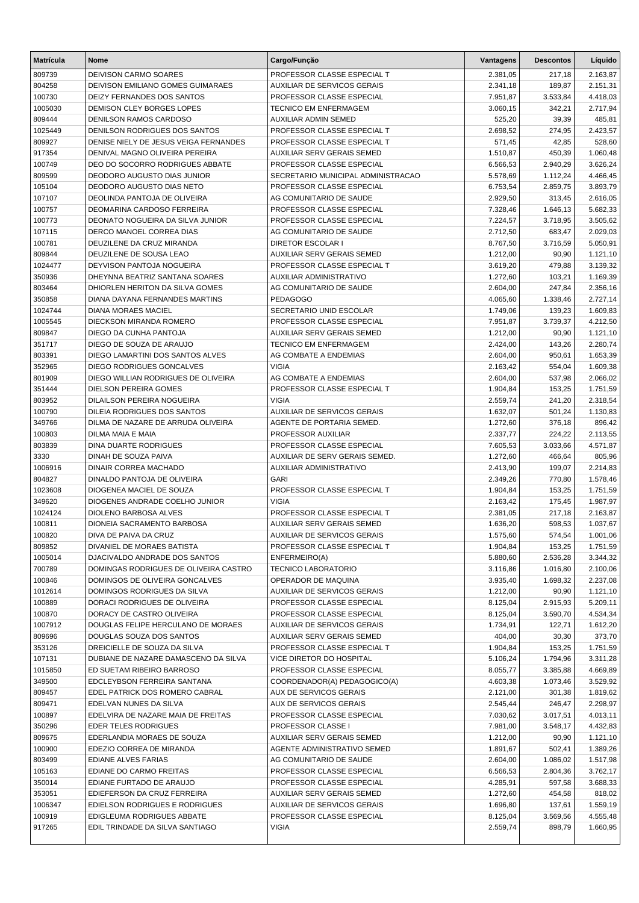| <b>Matrícula</b>  | Nome                                                                    | Cargo/Função                                      | Vantagens            | <b>Descontos</b>  | Líquido              |
|-------------------|-------------------------------------------------------------------------|---------------------------------------------------|----------------------|-------------------|----------------------|
| 809739            | <b>DEIVISON CARMO SOARES</b>                                            | PROFESSOR CLASSE ESPECIAL T                       | 2.381,05             | 217,18            | 2.163,87             |
| 804258            | DEIVISON EMILIANO GOMES GUIMARAES                                       | <b>AUXILIAR DE SERVICOS GERAIS</b>                | 2.341,18             | 189,87            | 2.151,31             |
| 100730            | DEIZY FERNANDES DOS SANTOS                                              | PROFESSOR CLASSE ESPECIAL                         | 7.951,87             | 3.533,84          | 4.418,03             |
| 1005030           | DEMISON CLEY BORGES LOPES                                               | <b>TECNICO EM ENFERMAGEM</b>                      | 3.060,15             | 342,21            | 2.717,94             |
| 809444            | <b>DENILSON RAMOS CARDOSO</b>                                           | <b>AUXILIAR ADMIN SEMED</b>                       | 525,20               | 39,39             | 485,81               |
| 1025449           | DENILSON RODRIGUES DOS SANTOS                                           | PROFESSOR CLASSE ESPECIAL T                       | 2.698,52             | 274,95            | 2.423,57             |
| 809927            | DENISE NIELY DE JESUS VEIGA FERNANDES                                   | PROFESSOR CLASSE ESPECIAL T                       | 571,45               | 42,85             | 528,60               |
| 917354            | DENIVAL MAGNO OLIVEIRA PEREIRA                                          | <b>AUXILIAR SERV GERAIS SEMED</b>                 | 1.510,87             | 450,39            | 1.060,48             |
| 100749            | DEO DO SOCORRO RODRIGUES ABBATE                                         | PROFESSOR CLASSE ESPECIAL                         | 6.566,53             | 2.940,29          | 3.626,24             |
| 809599            | DEODORO AUGUSTO DIAS JUNIOR                                             | SECRETARIO MUNICIPAL ADMINISTRACAO                | 5.578,69             | 1.112,24          | 4.466,45             |
| 105104            | DEODORO AUGUSTO DIAS NETO                                               | PROFESSOR CLASSE ESPECIAL                         | 6.753,54             | 2.859,75          | 3.893,79             |
| 107107            | DEOLINDA PANTOJA DE OLIVEIRA                                            | AG COMUNITARIO DE SAUDE                           | 2.929,50             | 313,45            | 2.616,05             |
| 100757            | DEOMARINA CARDOSO FERREIRA                                              | PROFESSOR CLASSE ESPECIAL                         | 7.328,46             | 1.646,13          | 5.682,33             |
| 100773            | DEONATO NOGUEIRA DA SILVA JUNIOR                                        | PROFESSOR CLASSE ESPECIAL                         | 7.224,57             | 3.718,95          | 3.505,62             |
| 107115            | DERCO MANOEL CORREA DIAS                                                | AG COMUNITARIO DE SAUDE                           | 2.712,50             | 683,47            | 2.029,03             |
| 100781            | DEUZILENE DA CRUZ MIRANDA                                               | <b>DIRETOR ESCOLAR I</b>                          | 8.767,50             | 3.716,59          | 5.050,91             |
| 809844            | DEUZILENE DE SOUSA LEAO                                                 | AUXILIAR SERV GERAIS SEMED                        | 1.212,00             | 90,90             | 1.121,10             |
| 1024477           | DEYVISON PANTOJA NOGUEIRA                                               | PROFESSOR CLASSE ESPECIAL T                       | 3.619,20             | 479,88            | 3.139,32             |
| 350936            | DHEYNNA BEATRIZ SANTANA SOARES                                          | <b>AUXILIAR ADMINISTRATIVO</b>                    | 1.272,60             | 103,21            | 1.169,39             |
| 803464            | DHIORLEN HERITON DA SILVA GOMES                                         | AG COMUNITARIO DE SAUDE                           | 2.604,00             | 247,84            | 2.356,16             |
| 350858            | DIANA DAYANA FERNANDES MARTINS                                          | <b>PEDAGOGO</b>                                   | 4.065,60             | 1.338,46          | 2.727,14             |
| 1024744           | <b>DIANA MORAES MACIEL</b>                                              | SECRETARIO UNID ESCOLAR                           | 1.749,06             | 139,23            | 1.609,83             |
| 1005545           | DIECKSON MIRANDA ROMERO                                                 | PROFESSOR CLASSE ESPECIAL                         | 7.951,87             | 3.739,37          | 4.212,50             |
| 809847            | DIEGO DA CUNHA PANTOJA                                                  | AUXILIAR SERV GERAIS SEMED                        | 1.212,00             | 90,90             | 1.121,10             |
| 351717            | DIEGO DE SOUZA DE ARAUJO                                                | <b>TECNICO EM ENFERMAGEM</b>                      | 2.424,00             | 143,26            | 2.280,74             |
| 803391            | DIEGO LAMARTINI DOS SANTOS ALVES                                        | AG COMBATE A ENDEMIAS                             | 2.604,00             | 950,61            | 1.653,39             |
| 352965            | DIEGO RODRIGUES GONCALVES                                               | <b>VIGIA</b>                                      | 2.163,42             | 554,04            | 1.609,38             |
| 801909            | DIEGO WILLIAN RODRIGUES DE OLIVEIRA                                     | AG COMBATE A ENDEMIAS                             | 2.604,00             | 537,98            | 2.066,02             |
| 351444            | <b>DIELSON PEREIRA GOMES</b>                                            | PROFESSOR CLASSE ESPECIAL T                       | 1.904,84             | 153,25            | 1.751,59             |
| 803952            | DILAILSON PEREIRA NOGUEIRA                                              | <b>VIGIA</b>                                      | 2.559,74             | 241,20            | 2.318,54             |
| 100790            | DILEIA RODRIGUES DOS SANTOS                                             | <b>AUXILIAR DE SERVICOS GERAIS</b>                | 1.632,07             | 501,24            | 1.130,83             |
| 349766            | DILMA DE NAZARE DE ARRUDA OLIVEIRA                                      | AGENTE DE PORTARIA SEMED.                         | 1.272,60             | 376,18            | 896,42               |
| 100803            | DILMA MAIA E MAIA                                                       | PROFESSOR AUXILIAR                                | 2.337,77             | 224,22            | 2.113,55             |
| 803839            | DINA DUARTE RODRIGUES                                                   | PROFESSOR CLASSE ESPECIAL                         | 7.605,53             | 3.033,66          | 4.571,87             |
| 3330              | DINAH DE SOUZA PAIVA                                                    | AUXILIAR DE SERV GERAIS SEMED.                    | 1.272,60             | 466,64            | 805,96               |
| 1006916           | DINAIR CORREA MACHADO                                                   | AUXILIAR ADMINISTRATIVO                           | 2.413,90             | 199,07            | 2.214,83             |
| 804827            | DINALDO PANTOJA DE OLIVEIRA                                             | <b>GARI</b>                                       | 2.349,26             | 770,80            | 1.578,46             |
| 1023608           | DIOGENEA MACIEL DE SOUZA                                                | PROFESSOR CLASSE ESPECIAL T                       | 1.904,84             | 153,25            | 1.751,59             |
| 349620            | DIOGENES ANDRADE COELHO JUNIOR                                          | <b>VIGIA</b>                                      | 2.163,42             | 175,45            | 1.987,97             |
| 1024124           | DIOLENO BARBOSA ALVES                                                   | PROFESSOR CLASSE ESPECIAL T                       | 2.381,05             | 217,18            | 2.163,87             |
| 100811            | DIONEIA SACRAMENTO BARBOSA                                              | AUXILIAR SERV GERAIS SEMED                        | 1.636,20             | 598,53            | 1.037,67             |
| 100820            | DIVA DE PAIVA DA CRUZ                                                   | AUXILIAR DE SERVICOS GERAIS                       | 1.575,60             | 574,54            | 1.001,06             |
| 809852            | DIVANIEL DE MORAES BATISTA<br>DJACIVALDO ANDRADE DOS SANTOS             | PROFESSOR CLASSE ESPECIAL T                       | 1.904,84             | 153,25            | 1.751,59             |
| 1005014           |                                                                         | ENFERMEIRO(A)                                     | 5.880,60             | 2.536,28          | 3.344,32             |
| 700789            | DOMINGAS RODRIGUES DE OLIVEIRA CASTRO<br>DOMINGOS DE OLIVEIRA GONCALVES | <b>TECNICO LABORATORIO</b><br>OPERADOR DE MAQUINA | 3.116,86             | 1.016,80          | 2.100,06             |
| 100846<br>1012614 | DOMINGOS RODRIGUES DA SILVA                                             | AUXILIAR DE SERVICOS GERAIS                       | 3.935,40<br>1.212,00 | 1.698,32<br>90,90 | 2.237,08             |
| 100889            | DORACI RODRIGUES DE OLIVEIRA                                            | PROFESSOR CLASSE ESPECIAL                         | 8.125,04             | 2.915,93          | 1.121,10<br>5.209,11 |
| 100870            | DORACY DE CASTRO OLIVEIRA                                               | PROFESSOR CLASSE ESPECIAL                         | 8.125,04             | 3.590,70          | 4.534,34             |
| 1007912           | DOUGLAS FELIPE HERCULANO DE MORAES                                      | AUXILIAR DE SERVICOS GERAIS                       | 1.734,91             | 122,71            | 1.612,20             |
| 809696            | DOUGLAS SOUZA DOS SANTOS                                                | AUXILIAR SERV GERAIS SEMED                        | 404,00               | 30,30             | 373,70               |
| 353126            | DREICIELLE DE SOUZA DA SILVA                                            | PROFESSOR CLASSE ESPECIAL T                       | 1.904,84             | 153,25            | 1.751,59             |
| 107131            | DUBIANE DE NAZARE DAMASCENO DA SILVA                                    | VICE DIRETOR DO HOSPITAL                          | 5.106,24             | 1.794,96          | 3.311,28             |
| 1015850           | ED SUETAM RIBEIRO BARROSO                                               | PROFESSOR CLASSE ESPECIAL                         | 8.055,77             | 3.385,88          | 4.669,89             |
| 349500            | EDCLEYBSON FERREIRA SANTANA                                             | COORDENADOR(A) PEDAGOGICO(A)                      | 4.603,38             | 1.073,46          | 3.529,92             |
| 809457            | EDEL PATRICK DOS ROMERO CABRAL                                          | AUX DE SERVICOS GERAIS                            | 2.121,00             | 301,38            | 1.819,62             |
| 809471            | EDELVAN NUNES DA SILVA                                                  | AUX DE SERVICOS GERAIS                            | 2.545,44             | 246,47            | 2.298,97             |
| 100897            | EDELVIRA DE NAZARE MAIA DE FREITAS                                      | PROFESSOR CLASSE ESPECIAL                         | 7.030,62             | 3.017,51          | 4.013,11             |
| 350296            | <b>EDER TELES RODRIGUES</b>                                             | PROFESSOR CLASSE I                                | 7.981,00             | 3.548,17          | 4.432,83             |
| 809675            | EDERLANDIA MORAES DE SOUZA                                              | AUXILIAR SERV GERAIS SEMED                        | 1.212,00             | 90,90             | 1.121,10             |
| 100900            | EDEZIO CORREA DE MIRANDA                                                | AGENTE ADMINISTRATIVO SEMED                       | 1.891,67             | 502,41            | 1.389,26             |
| 803499            | EDIANE ALVES FARIAS                                                     | AG COMUNITARIO DE SAUDE                           | 2.604,00             | 1.086,02          | 1.517,98             |
| 105163            | EDIANE DO CARMO FREITAS                                                 | PROFESSOR CLASSE ESPECIAL                         | 6.566,53             | 2.804,36          | 3.762,17             |
| 350014            | EDIANE FURTADO DE ARAUJO                                                | PROFESSOR CLASSE ESPECIAL                         | 4.285,91             | 597,58            | 3.688,33             |
| 353051            | EDIEFERSON DA CRUZ FERREIRA                                             | AUXILIAR SERV GERAIS SEMED                        | 1.272,60             | 454,58            | 818,02               |
| 1006347           | EDIELSON RODRIGUES E RODRIGUES                                          | AUXILIAR DE SERVICOS GERAIS                       | 1.696,80             | 137,61            | 1.559,19             |
| 100919            | EDIGLEUMA RODRIGUES ABBATE                                              | PROFESSOR CLASSE ESPECIAL                         | 8.125,04             | 3.569,56          | 4.555,48             |
| 917265            | EDIL TRINDADE DA SILVA SANTIAGO                                         | <b>VIGIA</b>                                      | 2.559,74             | 898,79            | 1.660,95             |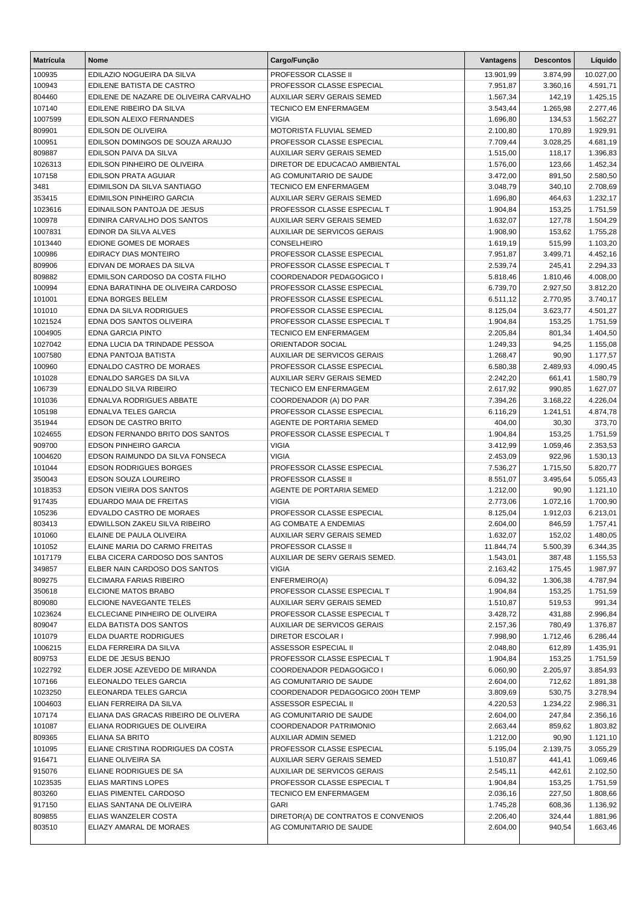| <b>Matrícula</b>  | <b>Nome</b>                                                     | Cargo/Função                                                      | <b>Vantagens</b>     | <b>Descontos</b>     | Líquido              |
|-------------------|-----------------------------------------------------------------|-------------------------------------------------------------------|----------------------|----------------------|----------------------|
| 100935            | EDILAZIO NOGUEIRA DA SILVA                                      | PROFESSOR CLASSE II                                               | 13.901,99            | 3.874,99             | 10.027,00            |
| 100943            | EDILENE BATISTA DE CASTRO                                       | PROFESSOR CLASSE ESPECIAL                                         | 7.951,87             | 3.360,16             | 4.591,71             |
| 804460            | EDILENE DE NAZARE DE OLIVEIRA CARVALHO                          | AUXILIAR SERV GERAIS SEMED                                        | 1.567,34             | 142,19               | 1.425,15             |
| 107140            | EDILENE RIBEIRO DA SILVA                                        | <b>TECNICO EM ENFERMAGEM</b>                                      | 3.543,44             | 1.265,98             | 2.277,46             |
| 1007599           | EDILSON ALEIXO FERNANDES                                        | <b>VIGIA</b>                                                      | 1.696,80             | 134,53               | 1.562,27             |
| 809901            | EDILSON DE OLIVEIRA                                             | MOTORISTA FLUVIAL SEMED                                           | 2.100,80             | 170,89               | 1.929,91             |
| 100951            | EDILSON DOMINGOS DE SOUZA ARAUJO                                | PROFESSOR CLASSE ESPECIAL                                         | 7.709,44             | 3.028,25             | 4.681,19             |
| 809887            | EDILSON PAIVA DA SILVA                                          | AUXILIAR SERV GERAIS SEMED                                        | 1.515,00             | 118,17               | 1.396,83             |
| 1026313           | EDILSON PINHEIRO DE OLIVEIRA                                    | DIRETOR DE EDUCACAO AMBIENTAL                                     | 1.576,00             | 123,66               | 1.452,34             |
| 107158            | <b>EDILSON PRATA AGUIAR</b>                                     | AG COMUNITARIO DE SAUDE                                           | 3.472,00             | 891,50               | 2.580,50             |
| 3481<br>353415    | EDIMILSON DA SILVA SANTIAGO<br><b>EDIMILSON PINHEIRO GARCIA</b> | <b>TECNICO EM ENFERMAGEM</b><br><b>AUXILIAR SERV GERAIS SEMED</b> | 3.048,79<br>1.696,80 | 340,10<br>464,63     | 2.708,69<br>1.232,17 |
| 1023616           | EDINAILSON PANTOJA DE JESUS                                     | PROFESSOR CLASSE ESPECIAL T                                       | 1.904,84             | 153,25               | 1.751,59             |
| 100978            | EDINIRA CARVALHO DOS SANTOS                                     | AUXILIAR SERV GERAIS SEMED                                        | 1.632,07             | 127,78               | 1.504,29             |
| 1007831           | EDINOR DA SILVA ALVES                                           | AUXILIAR DE SERVICOS GERAIS                                       | 1.908,90             | 153,62               | 1.755,28             |
| 1013440           | EDIONE GOMES DE MORAES                                          | CONSELHEIRO                                                       | 1.619,19             | 515,99               | 1.103,20             |
| 100986            | EDIRACY DIAS MONTEIRO                                           | PROFESSOR CLASSE ESPECIAL                                         | 7.951,87             | 3.499,71             | 4.452,16             |
| 809906            | EDIVAN DE MORAES DA SILVA                                       | PROFESSOR CLASSE ESPECIAL T                                       | 2.539,74             | 245,41               | 2.294,33             |
| 809882            | EDMILSON CARDOSO DA COSTA FILHO                                 | COORDENADOR PEDAGOGICO I                                          | 5.818,46             | 1.810,46             | 4.008,00             |
| 100994            | EDNA BARATINHA DE OLIVEIRA CARDOSO                              | PROFESSOR CLASSE ESPECIAL                                         | 6.739,70             | 2.927,50             | 3.812,20             |
| 101001            | EDNA BORGES BELEM                                               | PROFESSOR CLASSE ESPECIAL                                         | 6.511,12             | 2.770,95             | 3.740,17             |
| 101010            | EDNA DA SILVA RODRIGUES                                         | PROFESSOR CLASSE ESPECIAL                                         | 8.125,04             | 3.623,77             | 4.501,27             |
| 1021524           | EDNA DOS SANTOS OLIVEIRA                                        | PROFESSOR CLASSE ESPECIAL T                                       | 1.904,84             | 153,25               | 1.751,59             |
| 1004905           | <b>EDNA GARCIA PINTO</b>                                        | <b>TECNICO EM ENFERMAGEM</b>                                      | 2.205,84             | 801,34               | 1.404,50             |
| 1027042           | EDNA LUCIA DA TRINDADE PESSOA                                   | ORIENTADOR SOCIAL                                                 | 1.249,33             | 94,25                | 1.155,08             |
| 1007580           | EDNA PANTOJA BATISTA                                            | AUXILIAR DE SERVICOS GERAIS                                       | 1.268,47             | 90,90                | 1.177,57             |
| 100960            | EDNALDO CASTRO DE MORAES                                        | PROFESSOR CLASSE ESPECIAL                                         | 6.580,38             | 2.489,93             | 4.090,45             |
| 101028            | EDNALDO SARGES DA SILVA                                         | AUXILIAR SERV GERAIS SEMED                                        | 2.242,20             | 661,41               | 1.580,79             |
| 106739            | EDNALDO SILVA RIBEIRO<br>EDNALVA RODRIGUES ABBATE               | <b>TECNICO EM ENFERMAGEM</b>                                      | 2.617,92             | 990,85               | 1.627,07             |
| 101036<br>105198  | EDNALVA TELES GARCIA                                            | COORDENADOR (A) DO PAR<br>PROFESSOR CLASSE ESPECIAL               | 7.394,26<br>6.116,29 | 3.168,22<br>1.241,51 | 4.226,04<br>4.874,78 |
| 351944            | EDSON DE CASTRO BRITO                                           | AGENTE DE PORTARIA SEMED                                          | 404,00               | 30,30                | 373,70               |
| 1024655           | EDSON FERNANDO BRITO DOS SANTOS                                 | PROFESSOR CLASSE ESPECIAL T                                       | 1.904,84             | 153,25               | 1.751,59             |
| 909700            | EDSON PINHEIRO GARCIA                                           | <b>VIGIA</b>                                                      | 3.412,99             | 1.059,46             | 2.353,53             |
| 1004620           | EDSON RAIMUNDO DA SILVA FONSECA                                 | <b>VIGIA</b>                                                      | 2.453,09             | 922,96               | 1.530,13             |
| 101044            | <b>EDSON RODRIGUES BORGES</b>                                   | PROFESSOR CLASSE ESPECIAL                                         | 7.536,27             | 1.715,50             | 5.820,77             |
| 350043            | EDSON SOUZA LOUREIRO                                            | <b>PROFESSOR CLASSE II</b>                                        | 8.551,07             | 3.495,64             | 5.055,43             |
| 1018353           | EDSON VIEIRA DOS SANTOS                                         | AGENTE DE PORTARIA SEMED                                          | 1.212,00             | 90,90                | 1.121,10             |
| 917435            | EDUARDO MAIA DE FREITAS                                         | <b>VIGIA</b>                                                      | 2.773,06             | 1.072,16             | 1.700,90             |
| 105236            | EDVALDO CASTRO DE MORAES                                        | PROFESSOR CLASSE ESPECIAL                                         | 8.125,04             | 1.912,03             | 6.213,01             |
| 803413            | EDWILLSON ZAKEU SILVA RIBEIRO                                   | AG COMBATE A ENDEMIAS                                             | 2.604,00             | 846,59               | 1.757,41             |
| 101060            | ELAINE DE PAULA OLIVEIRA                                        | AUXILIAR SERV GERAIS SEMED                                        | 1.632,07             | 152,02               | 1.480,05             |
| 101052            | ELAINE MARIA DO CARMO FREITAS                                   | PROFESSOR CLASSE II                                               | 11.844,74            | 5.500,39             | 6.344,35             |
| 1017179           | ELBA CICERA CARDOSO DOS SANTOS                                  | AUXILIAR DE SERV GERAIS SEMED.                                    | 1.543,01             | 387,48               | 1.155,53             |
| 349857            | ELBER NAIN CARDOSO DOS SANTOS<br>ELCIMARA FARIAS RIBEIRO        | <b>VIGIA</b>                                                      | 2.163,42             | 175,45               | 1.987,97             |
| 809275<br>350618  | ELCIONE MATOS BRABO                                             | ENFERMEIRO(A)<br>PROFESSOR CLASSE ESPECIAL T                      | 6.094,32<br>1.904,84 | 1.306,38<br>153,25   | 4.787,94<br>1.751,59 |
| 809080            | ELCIONE NAVEGANTE TELES                                         | AUXILIAR SERV GERAIS SEMED                                        | 1.510,87             | 519,53               | 991,34               |
| 1023624           | ELCLECIANE PINHEIRO DE OLIVEIRA                                 | PROFESSOR CLASSE ESPECIAL T                                       | 3.428,72             | 431,88               | 2.996,84             |
| 809047            | ELDA BATISTA DOS SANTOS                                         | AUXILIAR DE SERVICOS GERAIS                                       | 2.157,36             | 780,49               | 1.376,87             |
| 101079            | ELDA DUARTE RODRIGUES                                           | <b>DIRETOR ESCOLAR I</b>                                          | 7.998,90             | 1.712,46             | 6.286,44             |
| 1006215           | ELDA FERREIRA DA SILVA                                          | ASSESSOR ESPECIAL II                                              | 2.048,80             | 612,89               | 1.435,91             |
| 809753            | ELDE DE JESUS BENJO                                             | PROFESSOR CLASSE ESPECIAL T                                       | 1.904,84             | 153,25               | 1.751,59             |
| 1022792           | ELDER JOSE AZEVEDO DE MIRANDA                                   | COORDENADOR PEDAGOGICO I                                          | 6.060,90             | 2.205,97             | 3.854,93             |
| 107166            | ELEONALDO TELES GARCIA                                          | AG COMUNITARIO DE SAUDE                                           | 2.604,00             | 712,62               | 1.891,38             |
| 1023250           | ELEONARDA TELES GARCIA                                          | COORDENADOR PEDAGOGICO 200H TEMP                                  | 3.809,69             | 530,75               | 3.278,94             |
| 1004603           | ELIAN FERREIRA DA SILVA                                         | ASSESSOR ESPECIAL II                                              | 4.220,53             | 1.234,22             | 2.986,31             |
| 107174            | ELIANA DAS GRACAS RIBEIRO DE OLIVERA                            | AG COMUNITARIO DE SAUDE                                           | 2.604,00             | 247,84               | 2.356,16             |
| 101087            | ELIANA RODRIGUES DE OLIVEIRA                                    | COORDENADOR PATRIMONIO                                            | 2.663,44             | 859,62               | 1.803,82             |
| 809365            | ELIANA SA BRITO                                                 | AUXILIAR ADMIN SEMED                                              | 1.212,00             | 90,90                | 1.121,10             |
| 101095            | ELIANE CRISTINA RODRIGUES DA COSTA                              | PROFESSOR CLASSE ESPECIAL                                         | 5.195,04             | 2.139,75             | 3.055,29             |
| 916471            | ELIANE OLIVEIRA SA                                              | AUXILIAR SERV GERAIS SEMED                                        | 1.510,87             | 441,41               | 1.069,46             |
| 915076            | ELIANE RODRIGUES DE SA                                          | AUXILIAR DE SERVICOS GERAIS                                       | 2.545,11             | 442,61               | 2.102,50             |
| 1023535<br>803260 | ELIAS MARTINS LOPES<br>ELIAS PIMENTEL CARDOSO                   | PROFESSOR CLASSE ESPECIAL T<br>TECNICO EM ENFERMAGEM              | 1.904,84<br>2.036,16 | 153,25<br>227,50     | 1.751,59<br>1.808,66 |
| 917150            | ELIAS SANTANA DE OLIVEIRA                                       | GARI                                                              | 1.745,28             | 608,36               | 1.136,92             |
| 809855            | ELIAS WANZELER COSTA                                            | DIRETOR(A) DE CONTRATOS E CONVENIOS                               | 2.206,40             | 324,44               | 1.881,96             |
| 803510            | ELIAZY AMARAL DE MORAES                                         | AG COMUNITARIO DE SAUDE                                           | 2.604,00             | 940,54               | 1.663,46             |
|                   |                                                                 |                                                                   |                      |                      |                      |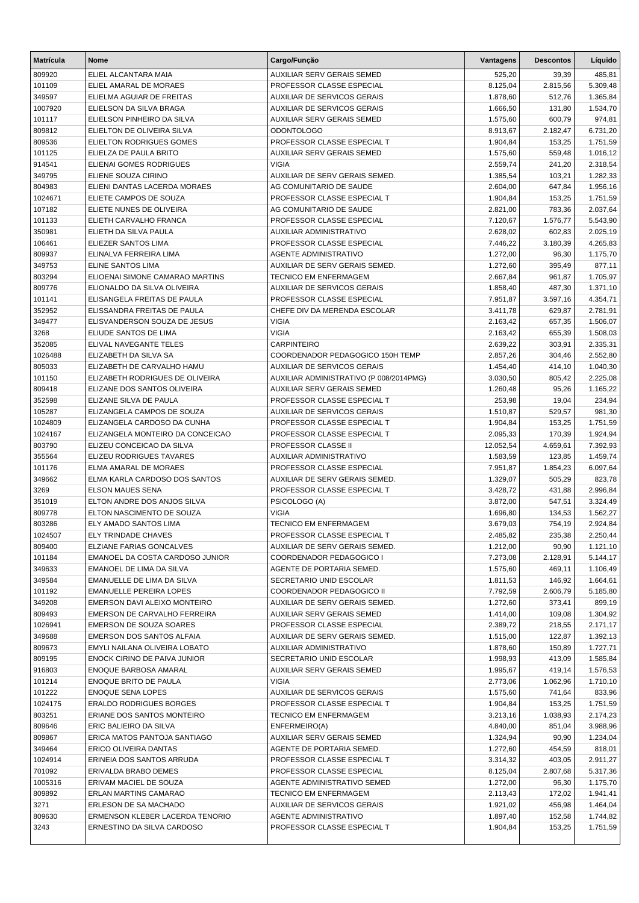| <b>Matrícula</b>   | <b>Nome</b>                                                   | Cargo/Função                                                | Vantagens             | <b>Descontos</b> | Líquido              |
|--------------------|---------------------------------------------------------------|-------------------------------------------------------------|-----------------------|------------------|----------------------|
| 809920             | ELIEL ALCANTARA MAIA                                          | AUXILIAR SERV GERAIS SEMED                                  | 525,20                | 39,39            | 485,81               |
| 101109             | ELIEL AMARAL DE MORAES                                        | PROFESSOR CLASSE ESPECIAL                                   | 8.125,04              | 2.815,56         | 5.309,48             |
| 349597             | ELIELMA AGUIAR DE FREITAS                                     | AUXILIAR DE SERVICOS GERAIS                                 | 1.878,60              | 512,76           | 1.365,84             |
| 1007920            | ELIELSON DA SILVA BRAGA                                       | AUXILIAR DE SERVICOS GERAIS                                 | 1.666,50              | 131,80           | 1.534,70             |
| 101117             | ELIELSON PINHEIRO DA SILVA                                    | <b>AUXILIAR SERV GERAIS SEMED</b>                           | 1.575,60              | 600,79           | 974,81               |
| 809812             | ELIELTON DE OLIVEIRA SILVA                                    | <b>ODONTOLOGO</b>                                           | 8.913,67              | 2.182,47         | 6.731,20             |
| 809536             | ELIELTON RODRIGUES GOMES                                      | PROFESSOR CLASSE ESPECIAL T                                 | 1.904,84              | 153,25           | 1.751,59             |
| 101125             | ELIELZA DE PAULA BRITO                                        | AUXILIAR SERV GERAIS SEMED                                  | 1.575,60              | 559,48           | 1.016,12             |
| 914541             | ELIENAI GOMES RODRIGUES                                       | <b>VIGIA</b>                                                | 2.559,74              | 241,20           | 2.318,54             |
| 349795             | ELIENE SOUZA CIRINO                                           | AUXILIAR DE SERV GERAIS SEMED.                              | 1.385,54              | 103,21           | 1.282,33             |
| 804983<br>1024671  | ELIENI DANTAS LACERDA MORAES                                  | AG COMUNITARIO DE SAUDE                                     | 2.604,00              | 647,84           | 1.956,16             |
| 107182             | ELIETE CAMPOS DE SOUZA<br>ELIETE NUNES DE OLIVEIRA            | PROFESSOR CLASSE ESPECIAL T<br>AG COMUNITARIO DE SAUDE      | 1.904,84<br>2.821,00  | 153,25<br>783,36 | 1.751,59             |
| 101133             | ELIETH CARVALHO FRANCA                                        | PROFESSOR CLASSE ESPECIAL                                   | 7.120,67              | 1.576,77         | 2.037,64<br>5.543,90 |
| 350981             | ELIETH DA SILVA PAULA                                         | AUXILIAR ADMINISTRATIVO                                     | 2.628,02              | 602,83           | 2.025,19             |
| 106461             | ELIEZER SANTOS LIMA                                           | PROFESSOR CLASSE ESPECIAL                                   | 7.446,22              | 3.180,39         | 4.265,83             |
| 809937             | ELINALVA FERREIRA LIMA                                        | <b>AGENTE ADMINISTRATIVO</b>                                | 1.272,00              | 96,30            | 1.175,70             |
| 349753             | <b>ELINE SANTOS LIMA</b>                                      | AUXILIAR DE SERV GERAIS SEMED.                              | 1.272,60              | 395,49           | 877,11               |
| 803294             | ELIOENAI SIMONE CAMARAO MARTINS                               | <b>TECNICO EM ENFERMAGEM</b>                                | 2.667,84              | 961,87           | 1.705,97             |
| 809776             | ELIONALDO DA SILVA OLIVEIRA                                   | <b>AUXILIAR DE SERVICOS GERAIS</b>                          | 1.858,40              | 487,30           | 1.371,10             |
| 101141             | ELISANGELA FREITAS DE PAULA                                   | PROFESSOR CLASSE ESPECIAL                                   | 7.951,87              | 3.597,16         | 4.354,71             |
| 352952             | ELISSANDRA FREITAS DE PAULA                                   | CHEFE DIV DA MERENDA ESCOLAR                                | 3.411,78              | 629,87           | 2.781,91             |
| 349477             | ELISVANDERSON SOUZA DE JESUS                                  | <b>VIGIA</b>                                                | 2.163,42              | 657,35           | 1.506,07             |
| 3268               | ELIUDE SANTOS DE LIMA                                         | <b>VIGIA</b>                                                | 2.163,42              | 655,39           | 1.508,03             |
| 352085             | ELIVAL NAVEGANTE TELES                                        | <b>CARPINTEIRO</b>                                          | 2.639,22              | 303,91           | 2.335,31             |
| 1026488            | ELIZABETH DA SILVA SA                                         | COORDENADOR PEDAGOGICO 150H TEMP                            | 2.857,26              | 304,46           | 2.552,80             |
| 805033             | ELIZABETH DE CARVALHO HAMU                                    | AUXILIAR DE SERVICOS GERAIS                                 | 1.454,40              | 414,10           | 1.040,30             |
| 101150             | ELIZABETH RODRIGUES DE OLIVEIRA                               | AUXILIAR ADMINISTRATIVO (P 008/2014PMG)                     | 3.030,50              | 805,42           | 2.225,08             |
| 809418             | ELIZANE DOS SANTOS OLIVEIRA                                   | AUXILIAR SERV GERAIS SEMED                                  | 1.260,48              | 95,26            | 1.165,22             |
| 352598             | ELIZANE SILVA DE PAULA                                        | PROFESSOR CLASSE ESPECIAL T                                 | 253,98                | 19,04            | 234,94               |
| 105287             | ELIZANGELA CAMPOS DE SOUZA                                    | AUXILIAR DE SERVICOS GERAIS                                 | 1.510,87              | 529,57           | 981,30               |
| 1024809<br>1024167 | ELIZANGELA CARDOSO DA CUNHA                                   | PROFESSOR CLASSE ESPECIAL T<br>PROFESSOR CLASSE ESPECIAL T  | 1.904,84              | 153,25<br>170,39 | 1.751,59             |
| 803790             | ELIZANGELA MONTEIRO DA CONCEICAO<br>ELIZEU CONCEICAO DA SILVA | PROFESSOR CLASSE II                                         | 2.095,33<br>12.052,54 | 4.659,61         | 1.924,94<br>7.392,93 |
| 355564             | ELIZEU RODRIGUES TAVARES                                      | AUXILIAR ADMINISTRATIVO                                     | 1.583,59              | 123,85           | 1.459,74             |
| 101176             | ELMA AMARAL DE MORAES                                         | PROFESSOR CLASSE ESPECIAL                                   | 7.951,87              | 1.854,23         | 6.097,64             |
| 349662             | ELMA KARLA CARDOSO DOS SANTOS                                 | AUXILIAR DE SERV GERAIS SEMED.                              | 1.329,07              | 505,29           | 823,78               |
| 3269               | <b>ELSON MAUES SENA</b>                                       | PROFESSOR CLASSE ESPECIAL T                                 | 3.428,72              | 431,88           | 2.996,84             |
| 351019             | ELTON ANDRE DOS ANJOS SILVA                                   | PSICOLOGO (A)                                               | 3.872,00              | 547,51           | 3.324,49             |
| 809778             | ELTON NASCIMENTO DE SOUZA                                     | <b>VIGIA</b>                                                | 1.696,80              | 134,53           | 1.562,27             |
| 803286             | ELY AMADO SANTOS LIMA                                         | <b>TECNICO EM ENFERMAGEM</b>                                | 3.679,03              | 754,19           | 2.924,84             |
| 1024507            | ELY TRINDADE CHAVES                                           | PROFESSOR CLASSE ESPECIAL T                                 | 2.485,82              | 235,38           | 2.250,44             |
| 809400             | ELZIANE FARIAS GONCALVES                                      | AUXILIAR DE SERV GERAIS SEMED.                              | 1.212,00              | 90,90            | 1.121,10             |
| 101184             | EMANOEL DA COSTA CARDOSO JUNIOR                               | COORDENADOR PEDAGOGICO I                                    | 7.273,08              | 2.128,91         | 5.144,17             |
| 349633             | EMANOEL DE LIMA DA SILVA                                      | AGENTE DE PORTARIA SEMED.                                   | 1.575,60              | 469,11           | 1.106,49             |
| 349584             | EMANUELLE DE LIMA DA SILVA                                    | SECRETARIO UNID ESCOLAR                                     | 1.811,53              | 146,92           | 1.664,61             |
| 101192             | <b>EMANUELLE PEREIRA LOPES</b>                                | COORDENADOR PEDAGOGICO II                                   | 7.792,59              | 2.606,79         | 5.185,80             |
| 349208             | EMERSON DAVI ALEIXO MONTEIRO                                  | AUXILIAR DE SERV GERAIS SEMED.                              | 1.272,60              | 373,41           | 899,19               |
| 809493             | EMERSON DE CARVALHO FERREIRA                                  | AUXILIAR SERV GERAIS SEMED                                  | 1.414,00              | 109,08           | 1.304,92<br>2.171,17 |
| 1026941<br>349688  | EMERSON DE SOUZA SOARES<br>EMERSON DOS SANTOS ALFAIA          | PROFESSOR CLASSE ESPECIAL<br>AUXILIAR DE SERV GERAIS SEMED. | 2.389,72<br>1.515,00  | 218,55<br>122,87 | 1.392,13             |
| 809673             | EMYLI NAILANA OLIVEIRA LOBATO                                 | <b>AUXILIAR ADMINISTRATIVO</b>                              | 1.878,60              | 150,89           | 1.727,71             |
| 809195             | ENOCK CIRINO DE PAIVA JUNIOR                                  | SECRETARIO UNID ESCOLAR                                     | 1.998,93              | 413,09           | 1.585,84             |
| 916803             | ENOQUE BARBOSA AMARAL                                         | AUXILIAR SERV GERAIS SEMED                                  | 1.995,67              | 419,14           | 1.576,53             |
| 101214             | <b>ENOQUE BRITO DE PAULA</b>                                  | <b>VIGIA</b>                                                | 2.773,06              | 1.062,96         | 1.710,10             |
| 101222             | <b>ENOQUE SENA LOPES</b>                                      | <b>AUXILIAR DE SERVICOS GERAIS</b>                          | 1.575,60              | 741,64           | 833,96               |
| 1024175            | <b>ERALDO RODRIGUES BORGES</b>                                | PROFESSOR CLASSE ESPECIAL T                                 | 1.904,84              | 153,25           | 1.751,59             |
| 803251             | ERIANE DOS SANTOS MONTEIRO                                    | <b>TECNICO EM ENFERMAGEM</b>                                | 3.213,16              | 1.038,93         | 2.174,23             |
| 809646             | ERIC BALIEIRO DA SILVA                                        | ENFERMEIRO(A)                                               | 4.840,00              | 851,04           | 3.988,96             |
| 809867             | ERICA MATOS PANTOJA SANTIAGO                                  | AUXILIAR SERV GERAIS SEMED                                  | 1.324,94              | 90,90            | 1.234,04             |
| 349464             | ERICO OLIVEIRA DANTAS                                         | AGENTE DE PORTARIA SEMED.                                   | 1.272,60              | 454,59           | 818,01               |
| 1024914            | ERINEIA DOS SANTOS ARRUDA                                     | PROFESSOR CLASSE ESPECIAL T                                 | 3.314,32              | 403,05           | 2.911,27             |
| 701092             | ERIVALDA BRABO DEMES                                          | PROFESSOR CLASSE ESPECIAL                                   | 8.125,04              | 2.807,68         | 5.317,36             |
| 1005316            | ERIVAM MACIEL DE SOUZA                                        | AGENTE ADMINISTRATIVO SEMED                                 | 1.272,00              | 96,30            | 1.175,70             |
| 809892             | ERLAN MARTINS CAMARAO                                         | <b>TECNICO EM ENFERMAGEM</b>                                | 2.113,43              | 172,02           | 1.941,41             |
| 3271               | ERLESON DE SA MACHADO                                         | AUXILIAR DE SERVICOS GERAIS                                 | 1.921,02              | 456,98           | 1.464,04             |
| 809630             | ERMENSON KLEBER LACERDA TENORIO                               | AGENTE ADMINISTRATIVO                                       | 1.897,40              | 152,58           | 1.744,82             |
| 3243               | ERNESTINO DA SILVA CARDOSO                                    | PROFESSOR CLASSE ESPECIAL T                                 | 1.904,84              | 153,25           | 1.751,59             |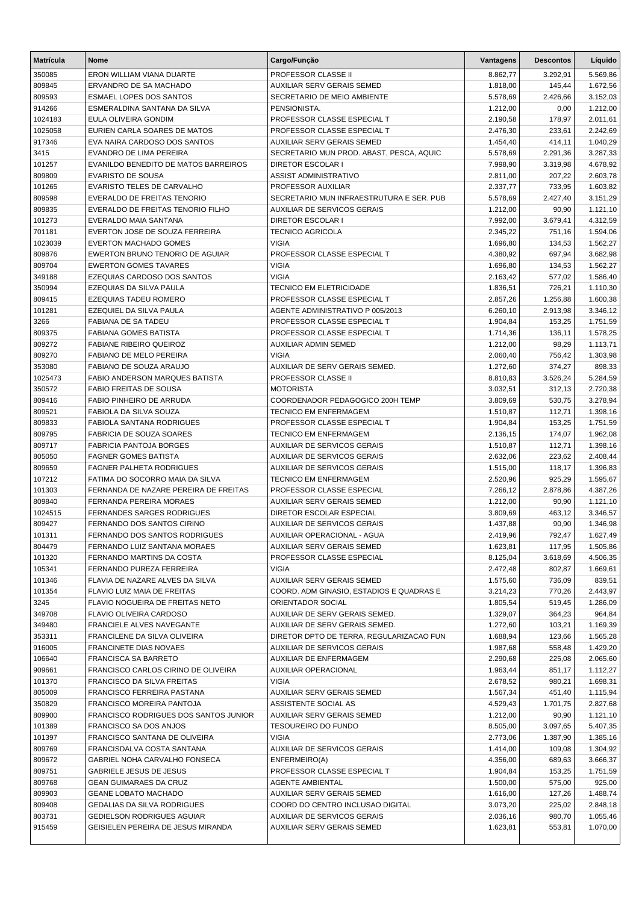| <b>Matrícula</b>  | <b>Nome</b>                                                 | Cargo/Função                                        | Vantagens            | <b>Descontos</b>   | Líquido              |
|-------------------|-------------------------------------------------------------|-----------------------------------------------------|----------------------|--------------------|----------------------|
| 350085            | ERON WILLIAM VIANA DUARTE                                   | PROFESSOR CLASSE II                                 | 8.862,77             | 3.292,91           | 5.569,86             |
| 809845            | ERVANDRO DE SA MACHADO                                      | <b>AUXILIAR SERV GERAIS SEMED</b>                   | 1.818,00             | 145,44             | 1.672,56             |
| 809593            | <b>ESMAEL LOPES DOS SANTOS</b>                              | SECRETARIO DE MEIO AMBIENTE                         | 5.578,69             | 2.426,66           | 3.152,03             |
| 914266            | ESMERALDINA SANTANA DA SILVA                                | PENSIONISTA.                                        | 1.212,00             | 0,00               | 1.212,00             |
| 1024183           | EULA OLIVEIRA GONDIM                                        | PROFESSOR CLASSE ESPECIAL T                         | 2.190,58             | 178,97             | 2.011,61             |
| 1025058           | EURIEN CARLA SOARES DE MATOS                                | PROFESSOR CLASSE ESPECIAL T                         | 2.476,30             | 233,61             | 2.242,69             |
| 917346            | EVA NAIRA CARDOSO DOS SANTOS                                | <b>AUXILIAR SERV GERAIS SEMED</b>                   | 1.454,40             | 414,11             | 1.040,29             |
| 3415              | EVANDRO DE LIMA PEREIRA                                     | SECRETARIO MUN PROD. ABAST, PESCA, AQUIC            | 5.578,69             | 2.291,36           | 3.287,33             |
| 101257            | EVANILDO BENEDITO DE MATOS BARREIROS                        | <b>DIRETOR ESCOLAR I</b>                            | 7.998,90             | 3.319,98           | 4.678,92             |
| 809809            | <b>EVARISTO DE SOUSA</b>                                    | <b>ASSIST ADMINISTRATIVO</b>                        | 2.811,00             | 207,22             | 2.603,78             |
| 101265            | EVARISTO TELES DE CARVALHO                                  | PROFESSOR AUXILIAR                                  | 2.337,77             | 733,95             | 1.603,82             |
| 809598            | EVERALDO DE FREITAS TENORIO                                 | SECRETARIO MUN INFRAESTRUTURA E SER. PUB            | 5.578,69             | 2.427,40           | 3.151,29             |
| 809835            | EVERALDO DE FREITAS TENORIO FILHO                           | <b>AUXILIAR DE SERVICOS GERAIS</b>                  | 1.212,00             | 90,90              | 1.121,10             |
| 101273            | EVERALDO MAIA SANTANA<br>EVERTON JOSE DE SOUZA FERREIRA     | <b>DIRETOR ESCOLAR I</b><br><b>TECNICO AGRICOLA</b> | 7.992,00             | 3.679,41           | 4.312,59             |
| 701181<br>1023039 | <b>EVERTON MACHADO GOMES</b>                                | <b>VIGIA</b>                                        | 2.345,22<br>1.696,80 | 751,16<br>134,53   | 1.594,06<br>1.562,27 |
| 809876            | EWERTON BRUNO TENORIO DE AGUIAR                             | PROFESSOR CLASSE ESPECIAL T                         | 4.380,92             | 697,94             | 3.682,98             |
| 809704            | <b>EWERTON GOMES TAVARES</b>                                | <b>VIGIA</b>                                        | 1.696,80             | 134,53             | 1.562,27             |
| 349188            | EZEQUIAS CARDOSO DOS SANTOS                                 | <b>VIGIA</b>                                        | 2.163,42             | 577,02             | 1.586,40             |
| 350994            | EZEQUIAS DA SILVA PAULA                                     | <b>TECNICO EM ELETRICIDADE</b>                      | 1.836,51             | 726,21             | 1.110,30             |
| 809415            | <b>EZEQUIAS TADEU ROMERO</b>                                | PROFESSOR CLASSE ESPECIAL T                         | 2.857,26             | 1.256,88           | 1.600,38             |
| 101281            | EZEQUIEL DA SILVA PAULA                                     | AGENTE ADMINISTRATIVO P 005/2013                    | 6.260,10             | 2.913,98           | 3.346,12             |
| 3266              | FABIANA DE SA TADEU                                         | PROFESSOR CLASSE ESPECIAL T                         | 1.904,84             | 153,25             | 1.751,59             |
| 809375            | <b>FABIANA GOMES BATISTA</b>                                | PROFESSOR CLASSE ESPECIAL T                         | 1.714,36             | 136,11             | 1.578,25             |
| 809272            | <b>FABIANE RIBEIRO QUEIROZ</b>                              | <b>AUXILIAR ADMIN SEMED</b>                         | 1.212,00             | 98,29              | 1.113,71             |
| 809270            | FABIANO DE MELO PEREIRA                                     | <b>VIGIA</b>                                        | 2.060,40             | 756,42             | 1.303,98             |
| 353080            | FABIANO DE SOUZA ARAUJO                                     | AUXILIAR DE SERV GERAIS SEMED.                      | 1.272,60             | 374,27             | 898,33               |
| 1025473           | <b>FABIO ANDERSON MARQUES BATISTA</b>                       | PROFESSOR CLASSE II                                 | 8.810,83             | 3.526,24           | 5.284,59             |
| 350572            | <b>FABIO FREITAS DE SOUSA</b>                               | <b>MOTORISTA</b>                                    | 3.032,51             | 312,13             | 2.720,38             |
| 809416            | FABIO PINHEIRO DE ARRUDA                                    | COORDENADOR PEDAGOGICO 200H TEMP                    | 3.809,69             | 530,75             | 3.278,94             |
| 809521            | FABIOLA DA SILVA SOUZA                                      | <b>TECNICO EM ENFERMAGEM</b>                        | 1.510,87             | 112,71             | 1.398,16             |
| 809833            | <b>FABIOLA SANTANA RODRIGUES</b>                            | PROFESSOR CLASSE ESPECIAL T                         | 1.904,84             | 153,25             | 1.751,59             |
| 809795            | <b>FABRICIA DE SOUZA SOARES</b>                             | <b>TECNICO EM ENFERMAGEM</b>                        | 2.136,15             | 174,07             | 1.962,08             |
| 809717            | <b>FABRICIA PANTOJA BORGES</b>                              | AUXILIAR DE SERVICOS GERAIS                         | 1.510,87             | 112,71             | 1.398,16             |
| 805050            | <b>FAGNER GOMES BATISTA</b>                                 | AUXILIAR DE SERVICOS GERAIS                         | 2.632,06             | 223,62             | 2.408,44             |
| 809659            | <b>FAGNER PALHETA RODRIGUES</b>                             | AUXILIAR DE SERVICOS GERAIS                         | 1.515,00             | 118,17             | 1.396,83             |
| 107212            | FATIMA DO SOCORRO MAIA DA SILVA                             | <b>TECNICO EM ENFERMAGEM</b>                        | 2.520,96             | 925,29             | 1.595,67             |
| 101303            | FERNANDA DE NAZARE PEREIRA DE FREITAS                       | PROFESSOR CLASSE ESPECIAL                           | 7.266,12             | 2.878,86           | 4.387,26             |
| 809840            | <b>FERNANDA PEREIRA MORAES</b>                              | <b>AUXILIAR SERV GERAIS SEMED</b>                   | 1.212,00             | 90,90              | 1.121,10             |
| 1024515           | <b>FERNANDES SARGES RODRIGUES</b>                           | DIRETOR ESCOLAR ESPECIAL                            | 3.809,69             | 463,12             | 3.346,57             |
| 809427            | FERNANDO DOS SANTOS CIRINO                                  | <b>AUXILIAR DE SERVICOS GERAIS</b>                  | 1.437,88             | 90,90              | 1.346,98             |
| 101311            | FERNANDO DOS SANTOS RODRIGUES                               | AUXILIAR OPERACIONAL - AGUA                         | 2.419,96             | 792,47             | 1.627,49             |
| 804479            | FERNANDO LUIZ SANTANA MORAES                                | AUXILIAR SERV GERAIS SEMED                          | 1.623,81             | 117,95             | 1.505,86             |
| 101320            | FERNANDO MARTINS DA COSTA                                   | PROFESSOR CLASSE ESPECIAL<br><b>VIGIA</b>           | 8.125,04             | 3.618,69<br>802,87 | 4.506,35             |
| 105341<br>101346  | FERNANDO PUREZA FERREIRA<br>FLAVIA DE NAZARE ALVES DA SILVA | AUXILIAR SERV GERAIS SEMED                          | 2.472,48<br>1.575,60 | 736,09             | 1.669,61<br>839,51   |
| 101354            | FLAVIO LUIZ MAIA DE FREITAS                                 | COORD. ADM GINASIO, ESTADIOS E QUADRAS E            | 3.214,23             | 770,26             | 2.443,97             |
| 3245              | FLAVIO NOGUEIRA DE FREITAS NETO                             | ORIENTADOR SOCIAL                                   | 1.805,54             | 519,45             | 1.286,09             |
| 349708            | FLAVIO OLIVEIRA CARDOSO                                     | AUXILIAR DE SERV GERAIS SEMED.                      | 1.329,07             | 364,23             | 964,84               |
| 349480            | FRANCIELE ALVES NAVEGANTE                                   | AUXILIAR DE SERV GERAIS SEMED.                      | 1.272,60             | 103,21             | 1.169,39             |
| 353311            | FRANCILENE DA SILVA OLIVEIRA                                | DIRETOR DPTO DE TERRA, REGULARIZACAO FUN            | 1.688,94             | 123,66             | 1.565,28             |
| 916005            | FRANCINETE DIAS NOVAES                                      | AUXILIAR DE SERVICOS GERAIS                         | 1.987,68             | 558,48             | 1.429,20             |
| 106640            | FRANCISCA SA BARRETO                                        | AUXILIAR DE ENFERMAGEM                              | 2.290,68             | 225,08             | 2.065,60             |
| 909661            | FRANCISCO CARLOS CIRINO DE OLIVEIRA                         | AUXILIAR OPERACIONAL                                | 1.963,44             | 851,17             | 1.112,27             |
| 101370            | FRANCISCO DA SILVA FREITAS                                  | <b>VIGIA</b>                                        | 2.678,52             | 980,21             | 1.698,31             |
| 805009            | FRANCISCO FERREIRA PASTANA                                  | AUXILIAR SERV GERAIS SEMED                          | 1.567,34             | 451,40             | 1.115,94             |
| 350829            | FRANCISCO MOREIRA PANTOJA                                   | ASSISTENTE SOCIAL AS                                | 4.529,43             | 1.701,75           | 2.827,68             |
| 809900            | FRANCISCO RODRIGUES DOS SANTOS JUNIOR                       | AUXILIAR SERV GERAIS SEMED                          | 1.212,00             | 90,90              | 1.121,10             |
| 101389            | FRANCISCO SA DOS ANJOS                                      | TESOUREIRO DO FUNDO                                 | 8.505,00             | 3.097,65           | 5.407,35             |
| 101397            | FRANCISCO SANTANA DE OLIVEIRA                               | <b>VIGIA</b>                                        | 2.773,06             | 1.387,90           | 1.385,16             |
| 809769            | FRANCISDALVA COSTA SANTANA                                  | AUXILIAR DE SERVICOS GERAIS                         | 1.414,00             | 109,08             | 1.304,92             |
| 809672            | GABRIEL NOHA CARVALHO FONSECA                               | ENFERMEIRO(A)                                       | 4.356,00             | 689,63             | 3.666,37             |
| 809751            | GABRIELE JESUS DE JESUS                                     | PROFESSOR CLASSE ESPECIAL T                         | 1.904,84             | 153,25             | 1.751,59             |
| 809768            | <b>GEAN GUIMARAES DA CRUZ</b>                               | <b>AGENTE AMBIENTAL</b>                             | 1.500,00             | 575,00             | 925,00               |
| 809903            | <b>GEANE LOBATO MACHADO</b>                                 | AUXILIAR SERV GERAIS SEMED                          | 1.616,00             | 127,26             | 1.488,74             |
| 809408            | GEDALIAS DA SILVA RODRIGUES                                 | COORD DO CENTRO INCLUSAO DIGITAL                    | 3.073,20             | 225,02             | 2.848,18             |
| 803731            | GEDIELSON RODRIGUES AGUIAR                                  | AUXILIAR DE SERVICOS GERAIS                         | 2.036,16             | 980,70             | 1.055,46             |
| 915459            | GEISIELEN PEREIRA DE JESUS MIRANDA                          | AUXILIAR SERV GERAIS SEMED                          | 1.623,81             | 553,81             | 1.070,00             |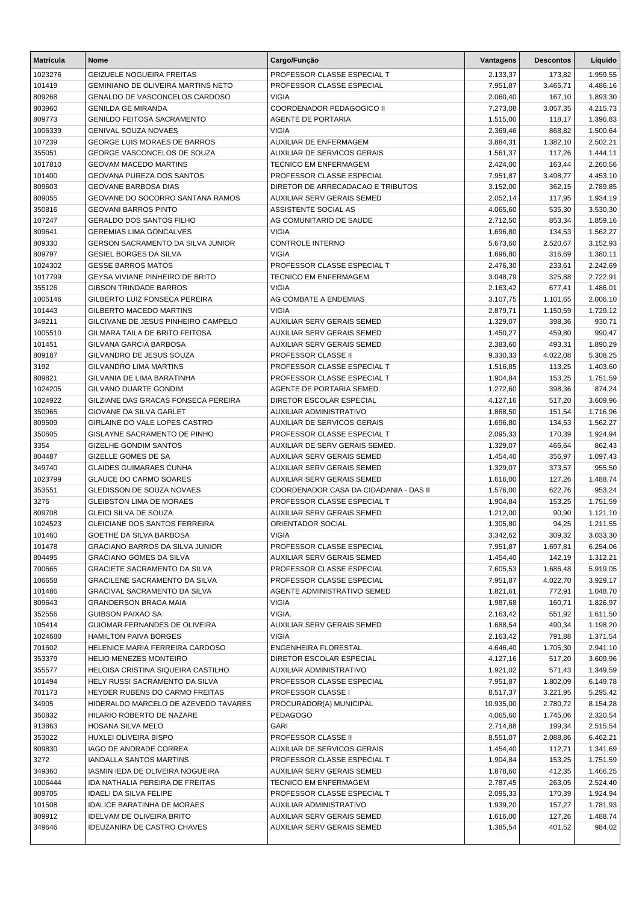| <b>Matrícula</b>   | <b>Nome</b>                                                | Cargo/Função                                | Vantagens            | <b>Descontos</b> | Líquido              |
|--------------------|------------------------------------------------------------|---------------------------------------------|----------------------|------------------|----------------------|
| 1023276            | <b>GEIZUELE NOGUEIRA FREITAS</b>                           | PROFESSOR CLASSE ESPECIAL T                 | 2.133,37             | 173,82           | 1.959,55             |
| 101419             | GEMINIANO DE OLIVEIRA MARTINS NETO                         | PROFESSOR CLASSE ESPECIAL                   | 7.951,87             | 3.465,71         | 4.486,16             |
| 809268             | GENALDO DE VASCONCELOS CARDOSO                             | <b>VIGIA</b>                                | 2.060,40             | 167,10           | 1.893,30             |
| 803960             | <b>GENILDA GE MIRANDA</b>                                  | COORDENADOR PEDAGOGICO II                   | 7.273,08             | 3.057,35         | 4.215,73             |
| 809773             | <b>GENILDO FEITOSA SACRAMENTO</b>                          | AGENTE DE PORTARIA                          | 1.515,00             | 118,17           | 1.396,83             |
| 1006339            | <b>GENIVAL SOUZA NOVAES</b>                                | <b>VIGIA</b>                                | 2.369,46             | 868,82           | 1.500,64             |
| 107239             | <b>GEORGE LUIS MORAES DE BARROS</b>                        | AUXILIAR DE ENFERMAGEM                      | 3.884,31             | 1.382,10         | 2.502,21             |
| 355051             | GEORGE VASCONCELOS DE SOUZA                                | AUXILIAR DE SERVICOS GERAIS                 | 1.561,37             | 117,26           | 1.444,11             |
| 1017810            | <b>GEOVAM MACEDO MARTINS</b>                               | <b>TECNICO EM ENFERMAGEM</b>                | 2.424,00             | 163,44           | 2.260,56             |
| 101400             | GEOVANA PUREZA DOS SANTOS                                  | PROFESSOR CLASSE ESPECIAL                   | 7.951,87             | 3.498,77         | 4.453,10             |
| 809603             | <b>GEOVANE BARBOSA DIAS</b>                                | DIRETOR DE ARRECADACAO E TRIBUTOS           | 3.152,00             | 362,15           | 2.789,85             |
| 809055             | GEOVANE DO SOCORRO SANTANA RAMOS                           | AUXILIAR SERV GERAIS SEMED                  | 2.052,14             | 117,95           | 1.934,19             |
| 350816             | <b>GEOVANI BARROS PINTO</b>                                | ASSISTENTE SOCIAL AS                        | 4.065,60             | 535,30           | 3.530,30             |
| 107247             | <b>GERALDO DOS SANTOS FILHO</b>                            | AG COMUNITARIO DE SAUDE                     | 2.712,50             | 853,34           | 1.859,16             |
| 809641             | <b>GEREMIAS LIMA GONCALVES</b>                             | <b>VIGIA</b>                                | 1.696,80             | 134,53           | 1.562,27             |
| 809330             | <b>GERSON SACRAMENTO DA SILVA JUNIOR</b>                   | <b>CONTROLE INTERNO</b>                     | 5.673,60             | 2.520,67         | 3.152,93             |
| 809797             | <b>GESIEL BORGES DA SILVA</b><br><b>GESSE BARROS MATOS</b> | <b>VIGIA</b><br>PROFESSOR CLASSE ESPECIAL T | 1.696,80             | 316,69           | 1.380,11             |
| 1024302<br>1017799 | GEYSA VIVIANE PINHEIRO DE BRITO                            | <b>TECNICO EM ENFERMAGEM</b>                | 2.476,30<br>3.048,79 | 233,61<br>325,88 | 2.242,69<br>2.722,91 |
| 355126             | <b>GIBSON TRINDADE BARROS</b>                              | <b>VIGIA</b>                                | 2.163,42             | 677,41           | 1.486,01             |
| 1005146            | GILBERTO LUIZ FONSECA PEREIRA                              | AG COMBATE A ENDEMIAS                       | 3.107,75             | 1.101,65         | 2.006,10             |
| 101443             | GILBERTO MACEDO MARTINS                                    | <b>VIGIA</b>                                | 2.879,71             | 1.150,59         | 1.729,12             |
| 349211             | GILCIVANE DE JESUS PINHEIRO CAMPELO                        | AUXILIAR SERV GERAIS SEMED                  | 1.329,07             | 398,36           | 930,71               |
| 1005510            | GILMARA TAILA DE BRITO FEITOSA                             | AUXILIAR SERV GERAIS SEMED                  | 1.450,27             | 459,80           | 990,47               |
| 101451             | GILVANA GARCIA BARBOSA                                     | AUXILIAR SERV GERAIS SEMED                  | 2.383,60             | 493,31           | 1.890,29             |
| 809187             | GILVANDRO DE JESUS SOUZA                                   | PROFESSOR CLASSE II                         | 9.330,33             | 4.022,08         | 5.308,25             |
| 3192               | <b>GILVANDRO LIMA MARTINS</b>                              | PROFESSOR CLASSE ESPECIAL T                 | 1.516,85             | 113,25           | 1.403,60             |
| 809821             | GILVANIA DE LIMA BARATINHA                                 | PROFESSOR CLASSE ESPECIAL T                 | 1.904,84             | 153,25           | 1.751,59             |
| 1024205            | <b>GILVANO DUARTE GONDIM</b>                               | AGENTE DE PORTARIA SEMED.                   | 1.272,60             | 398,36           | 874,24               |
| 1024922            | GILZIANE DAS GRACAS FONSECA PEREIRA                        | DIRETOR ESCOLAR ESPECIAL                    | 4.127,16             | 517,20           | 3.609,96             |
| 350965             | GIOVANE DA SILVA GARLET                                    | AUXILIAR ADMINISTRATIVO                     | 1.868,50             | 151,54           | 1.716,96             |
| 809509             | GIRLAINE DO VALE LOPES CASTRO                              | AUXILIAR DE SERVICOS GERAIS                 | 1.696,80             | 134,53           | 1.562,27             |
| 350605             | GISLAYNE SACRAMENTO DE PINHO                               | PROFESSOR CLASSE ESPECIAL T                 | 2.095,33             | 170,39           | 1.924,94             |
| 3354               | GIZELHE GONDIM SANTOS                                      | AUXILIAR DE SERV GERAIS SEMED.              | 1.329,07             | 466,64           | 862,43               |
| 804487             | GIZELLE GOMES DE SA                                        | AUXILIAR SERV GERAIS SEMED                  | 1.454,40             | 356,97           | 1.097,43             |
| 349740             | <b>GLAIDES GUIMARAES CUNHA</b>                             | AUXILIAR SERV GERAIS SEMED                  | 1.329,07             | 373,57           | 955,50               |
| 1023799            | <b>GLAUCE DO CARMO SOARES</b>                              | <b>AUXILIAR SERV GERAIS SEMED</b>           | 1.616,00             | 127,26           | 1.488,74             |
| 353551             | GLEDISSON DE SOUZA NOVAES                                  | COORDENADOR CASA DA CIDADANIA - DAS II      | 1.576,00             | 622,76           | 953,24               |
| 3276               | <b>GLEIBSTON LIMA DE MORAES</b>                            | PROFESSOR CLASSE ESPECIAL T                 | 1.904,84             | 153,25           | 1.751,59             |
| 809708             | <b>GLEICI SILVA DE SOUZA</b>                               | AUXILIAR SERV GERAIS SEMED                  | 1.212,00             | 90,90            | 1.121,10             |
| 1024523            | <b>GLEICIANE DOS SANTOS FERREIRA</b>                       | ORIENTADOR SOCIAL                           | 1.305,80             | 94,25            | 1.211,55             |
| 101460             | GOETHE DA SILVA BARBOSA                                    | VIGIA                                       | 3.342,62             | 309,32           | 3.033,30             |
| 101478             | <b>GRACIANO BARROS DA SILVA JUNIOR</b>                     | PROFESSOR CLASSE ESPECIAL                   | 7.951,87             | 1.697,81         | 6.254,06             |
| 804495             | GRACIANO GOMES DA SILVA                                    | AUXILIAR SERV GERAIS SEMED                  | 1.454,40             | 142,19           | 1.312,21             |
| 700665             | <b>GRACIETE SACRAMENTO DA SILVA</b>                        | PROFESSOR CLASSE ESPECIAL                   | 7.605,53             | 1.686,48         | 5.919,05             |
| 106658             | GRACILENE SACRAMENTO DA SILVA                              | PROFESSOR CLASSE ESPECIAL                   | 7.951,87             | 4.022,70         | 3.929,17             |
| 101486             | GRACIVAL SACRAMENTO DA SILVA                               | AGENTE ADMINISTRATIVO SEMED                 | 1.821,61             | 772,91           | 1.048,70             |
| 809643             | <b>GRANDERSON BRAGA MAIA</b>                               | <b>VIGIA</b>                                | 1.987,68             | 160,71           | 1.826,97             |
| 352556             | <b>GUIBSON PAIXAO SA</b>                                   | VIGIA.                                      | 2.163,42             | 551,92           | 1.611,50             |
| 105414             | GUIOMAR FERNANDES DE OLIVEIRA                              | <b>AUXILIAR SERV GERAIS SEMED</b>           | 1.688,54             | 490,34           | 1.198,20             |
| 1024680            | <b>HAMILTON PAIVA BORGES</b>                               | <b>VIGIA</b>                                | 2.163,42             | 791,88           | 1.371,54             |
| 701602             | HELENICE MARIA FERREIRA CARDOSO                            | ENGENHEIRA FLORESTAL                        | 4.646,40             | 1.705,30         | 2.941,10             |
| 353379             | HELIO MENEZES MONTEIRO                                     | DIRETOR ESCOLAR ESPECIAL                    | 4.127,16             | 517,20           | 3.609,96             |
| 355577             | HELOISA CRISTINA SIQUEIRA CASTILHO                         | AUXILIAR ADMINISTRATIVO                     | 1.921,02             | 571,43           | 1.349,59             |
| 101494             | HELY RUSSI SACRAMENTO DA SILVA                             | PROFESSOR CLASSE ESPECIAL                   | 7.951,87             | 1.802,09         | 6.149,78             |
| 701173             | HEYDER RUBENS DO CARMO FREITAS                             | PROFESSOR CLASSE I                          | 8.517,37             | 3.221,95         | 5.295,42             |
| 34905              | HIDERALDO MARCELO DE AZEVEDO TAVARES                       | PROCURADOR(A) MUNICIPAL                     | 10.935,00            | 2.780,72         | 8.154,28             |
| 350832             | HILARIO ROBERTO DE NAZARE                                  | <b>PEDAGOGO</b>                             | 4.065,60             | 1.745,06         | 2.320,54             |
| 913863             | HOSANA SILVA MELO                                          | GARI                                        | 2.714,88             | 199,34           | 2.515,54             |
| 353022             | HUXLEI OLIVEIRA BISPO                                      | PROFESSOR CLASSE II                         | 8.551,07             | 2.088,86         | 6.462,21             |
| 809830             | IAGO DE ANDRADE CORREA                                     | AUXILIAR DE SERVICOS GERAIS                 | 1.454,40             | 112,71           | 1.341,69             |
| 3272               | <b>IANDALLA SANTOS MARTINS</b>                             | PROFESSOR CLASSE ESPECIAL T                 | 1.904,84             | 153,25           | 1.751,59             |
| 349360             | IASMIN IEDA DE OLIVEIRA NOGUEIRA                           | AUXILIAR SERV GERAIS SEMED                  | 1.878,60             | 412,35           | 1.466,25             |
| 1006444            | IDA NATHALIA PEREIRA DE FREITAS                            | TECNICO EM ENFERMAGEM                       | 2.787,45             | 263,05           | 2.524,40             |
| 809705             | <b>IDAELI DA SILVA FELIPE</b>                              | PROFESSOR CLASSE ESPECIAL T                 | 2.095,33             | 170,39           | 1.924,94             |
| 101508             | <b>IDALICE BARATINHA DE MORAES</b>                         | AUXILIAR ADMINISTRATIVO                     | 1.939,20             | 157,27           | 1.781,93             |
| 809912             | <b>IDELVAM DE OLIVEIRA BRITO</b>                           | AUXILIAR SERV GERAIS SEMED                  | 1.616,00             | 127,26           | 1.488,74             |
| 349646             | <b>IDEUZANIRA DE CASTRO CHAVES</b>                         | AUXILIAR SERV GERAIS SEMED                  | 1.385,54             | 401,52           | 984,02               |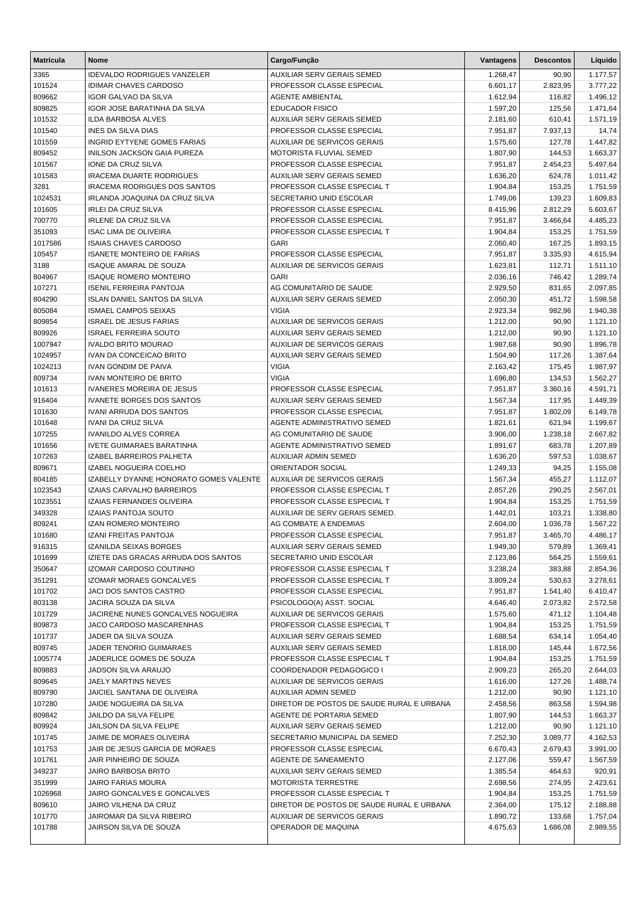| <b>Matrícula</b>  | Nome                                                            | Cargo/Função                                                            | Vantagens            | <b>Descontos</b> | Líquido              |
|-------------------|-----------------------------------------------------------------|-------------------------------------------------------------------------|----------------------|------------------|----------------------|
| 3365              | <b>IDEVALDO RODRIGUES VANZELER</b>                              | <b>AUXILIAR SERV GERAIS SEMED</b>                                       | 1.268,47             | 90,90            | 1.177,57             |
| 101524            | <b>IDIMAR CHAVES CARDOSO</b>                                    | PROFESSOR CLASSE ESPECIAL                                               | 6.601,17             | 2.823,95         | 3.777,22             |
| 809662            | IGOR GALVAO DA SILVA                                            | <b>AGENTE AMBIENTAL</b>                                                 | 1.612,94             | 116,82           | 1.496,12             |
| 809825            | <b>IGOR JOSE BARATINHA DA SILVA</b>                             | <b>EDUCADOR FISICO</b>                                                  | 1.597,20             | 125,56           | 1.471,64             |
| 101532            | <b>ILDA BARBOSA ALVES</b>                                       | <b>AUXILIAR SERV GERAIS SEMED</b>                                       | 2.181,60             | 610,41           | 1.571,19             |
| 101540            | INES DA SILVA DIAS                                              | PROFESSOR CLASSE ESPECIAL                                               | 7.951,87             | 7.937,13         | 14,74                |
| 101559            | <b>INGRID EYTYENE GOMES FARIAS</b>                              | AUXILIAR DE SERVICOS GERAIS                                             | 1.575,60             | 127,78           | 1.447,82             |
| 809452            | <b>INILSON JACKSON GAIA PUREZA</b>                              | MOTORISTA FLUVIAL SEMED                                                 | 1.807,90             | 144,53           | 1.663,37             |
| 101567            | IONE DA CRUZ SILVA                                              | PROFESSOR CLASSE ESPECIAL                                               | 7.951,87             | 2.454,23         | 5.497,64             |
| 101583            | <b>IRACEMA DUARTE RODRIGUES</b>                                 | <b>AUXILIAR SERV GERAIS SEMED</b>                                       | 1.636,20             | 624,78           | 1.011,42             |
| 3281              | <b>IRACEMA RODRIGUES DOS SANTOS</b>                             | PROFESSOR CLASSE ESPECIAL T                                             | 1.904,84             | 153,25           | 1.751,59             |
| 1024531           | IRLANDA JOAQUINA DA CRUZ SILVA                                  | SECRETARIO UNID ESCOLAR                                                 | 1.749,06             | 139,23           | 1.609,83             |
| 101605            | <b>IRLEI DA CRUZ SILVA</b>                                      | PROFESSOR CLASSE ESPECIAL                                               | 8.415,96             | 2.812,29         | 5.603,67             |
| 700770            | <b>IRLENE DA CRUZ SILVA</b>                                     | PROFESSOR CLASSE ESPECIAL                                               | 7.951,87             | 3.466,64         | 4.485,23             |
| 351093            | <b>ISAC LIMA DE OLIVEIRA</b>                                    | PROFESSOR CLASSE ESPECIAL T                                             | 1.904,84             | 153,25           | 1.751,59             |
| 1017586           | <b>ISAIAS CHAVES CARDOSO</b>                                    | <b>GARI</b>                                                             | 2.060,40             | 167,25           | 1.893,15             |
| 105457            | <b>ISANETE MONTEIRO DE FARIAS</b>                               | PROFESSOR CLASSE ESPECIAL                                               | 7.951,87             | 3.335,93         | 4.615,94             |
| 3188              | <b>ISAQUE AMARAL DE SOUZA</b>                                   | AUXILIAR DE SERVICOS GERAIS                                             | 1.623,81             | 112,71           | 1.511,10             |
| 804967            | <b>ISAQUE ROMERO MONTEIRO</b><br><b>ISENIL FERREIRA PANTOJA</b> | <b>GARI</b>                                                             | 2.036,16             | 746,42           | 1.289,74             |
| 107271<br>804290  |                                                                 | AG COMUNITARIO DE SAUDE                                                 | 2.929,50             | 831,65           | 2.097,85             |
|                   | <b>ISLAN DANIEL SANTOS DA SILVA</b>                             | <b>AUXILIAR SERV GERAIS SEMED</b><br><b>VIGIA</b>                       | 2.050,30             | 451,72           | 1.598,58             |
| 805084            | <b>ISMAEL CAMPOS SEIXAS</b>                                     | <b>AUXILIAR DE SERVICOS GERAIS</b>                                      | 2.923,34             | 982,96           | 1.940,38             |
| 809854            | <b>ISRAEL DE JESUS FARIAS</b>                                   |                                                                         | 1.212,00             | 90,90            | 1.121,10             |
| 809926<br>1007947 | <b>ISRAEL FERREIRA SOUTO</b><br><b>IVALDO BRITO MOURAO</b>      | <b>AUXILIAR SERV GERAIS SEMED</b><br><b>AUXILIAR DE SERVICOS GERAIS</b> | 1.212,00             | 90,90<br>90,90   | 1.121,10             |
| 1024957           | <b>IVAN DA CONCEICAO BRITO</b>                                  | <b>AUXILIAR SERV GERAIS SEMED</b>                                       | 1.987,68<br>1.504,90 | 117,26           | 1.896,78<br>1.387,64 |
| 1024213           | <b>IVAN GONDIM DE PAIVA</b>                                     | <b>VIGIA</b>                                                            | 2.163,42             | 175,45           | 1.987,97             |
| 809734            | <b>IVAN MONTEIRO DE BRITO</b>                                   | <b>VIGIA</b>                                                            | 1.696,80             | 134,53           | 1.562,27             |
| 101613            | <b>IVANERES MOREIRA DE JESUS</b>                                | PROFESSOR CLASSE ESPECIAL                                               | 7.951,87             | 3.360,16         | 4.591,71             |
| 916404            | <b>IVANETE BORGES DOS SANTOS</b>                                | AUXILIAR SERV GERAIS SEMED                                              | 1.567,34             | 117,95           | 1.449,39             |
| 101630            | <b>IVANI ARRUDA DOS SANTOS</b>                                  | PROFESSOR CLASSE ESPECIAL                                               | 7.951,87             | 1.802,09         | 6.149,78             |
| 101648            | <b>IVANI DA CRUZ SILVA</b>                                      | AGENTE ADMINISTRATIVO SEMED                                             | 1.821,61             | 621,94           | 1.199,67             |
| 107255            | <b>IVANILDO ALVES CORREA</b>                                    | AG COMUNITARIO DE SAUDE                                                 | 3.906,00             | 1.238,18         | 2.667,82             |
| 101656            | <b>IVETE GUIMARAES BARATINHA</b>                                | AGENTE ADMINISTRATIVO SEMED                                             | 1.891,67             | 683,78           | 1.207,89             |
| 107263            | IZABEL BARREIROS PALHETA                                        | <b>AUXILIAR ADMIN SEMED</b>                                             | 1.636,20             | 597,53           | 1.038,67             |
| 809671            | IZABEL NOGUEIRA COELHO                                          | ORIENTADOR SOCIAL                                                       | 1.249,33             | 94,25            | 1.155,08             |
| 804185            | <b>IZABELLY DYANNE HONORATO GOMES VALENTE</b>                   | <b>AUXILIAR DE SERVICOS GERAIS</b>                                      | 1.567,34             | 455,27           | 1.112,07             |
| 1023543           | IZAIAS CARVALHO BARREIROS                                       | PROFESSOR CLASSE ESPECIAL T                                             | 2.857,26             | 290,25           | 2.567,01             |
| 1023551           | <b>IZAIAS FERNANDES OLIVEIRA</b>                                | PROFESSOR CLASSE ESPECIAL T                                             | 1.904,84             | 153,25           | 1.751,59             |
| 349328            | <b>IZAIAS PANTOJA SOUTO</b>                                     | AUXILIAR DE SERV GERAIS SEMED.                                          | 1.442,01             | 103,21           | 1.338,80             |
| 809241            | <b>IZAN ROMERO MONTEIRO</b>                                     | AG COMBATE A ENDEMIAS                                                   | 2.604,00             | 1.036,78         | 1.567,22             |
| 101680            | IZANI FREITAS PANTOJA                                           | PROFESSOR CLASSE ESPECIAL                                               | 7.951,87             | 3.465,70         | 4.486,17             |
| 916315            | IZANILDA SEIXAS BORGES                                          | AUXILIAR SERV GERAIS SEMED                                              | 1.949,30             | 579,89           | 1.369,41             |
| 101699            | IZIETE DAS GRACAS ARRUDA DOS SANTOS                             | SECRETARIO UNID ESCOLAR                                                 | 2.123,86             | 564,25           | 1.559,61             |
| 350647            | <b>IZOMAR CARDOSO COUTINHO</b>                                  | PROFESSOR CLASSE ESPECIAL T                                             | 3.238,24             | 383,88           | 2.854,36             |
| 351291            | <b>IZOMAR MORAES GONCALVES</b>                                  | PROFESSOR CLASSE ESPECIAL T                                             | 3.809,24             | 530,63           | 3.278,61             |
| 101702            | JACI DOS SANTOS CASTRO                                          | PROFESSOR CLASSE ESPECIAL                                               | 7.951,87             | 1.541,40         | 6.410,47             |
| 803138            | <b>JACIRA SOUZA DA SILVA</b>                                    | PSICOLOGO(A) ASST. SOCIAL                                               | 4.646.40             | 2.073,82         | 2.572,58             |
| 101729            | JACIRENE NUNES GONCALVES NOGUEIRA                               | AUXILIAR DE SERVICOS GERAIS                                             | 1.575,60             | 471,12           | 1.104,48             |
| 809873            | JACO CARDOSO MASCARENHAS                                        | PROFESSOR CLASSE ESPECIAL T                                             | 1.904,84             | 153,25           | 1.751,59             |
| 101737            | JADER DA SILVA SOUZA                                            | AUXILIAR SERV GERAIS SEMED                                              | 1.688,54             | 634,14           | 1.054,40             |
| 809745            | JADER TENORIO GUIMARAES                                         | AUXILIAR SERV GERAIS SEMED                                              | 1.818,00             | 145,44           | 1.672,56             |
| 1005774           | JADERLICE GOMES DE SOUZA                                        | PROFESSOR CLASSE ESPECIAL T                                             | 1.904,84             | 153,25           | 1.751,59             |
| 809883            | JADSON SILVA ARAUJO                                             | COORDENADOR PEDAGOGICO I                                                | 2.909,23             | 265,20           | 2.644,03             |
| 809645            | JAELY MARTINS NEVES                                             | AUXILIAR DE SERVICOS GERAIS                                             | 1.616,00             | 127,26           | 1.488,74             |
| 809790            | JAICIEL SANTANA DE OLIVEIRA                                     | <b>AUXILIAR ADMIN SEMED</b>                                             | 1.212,00             | 90,90            | 1.121,10             |
| 107280            | JAIDE NOGUEIRA DA SILVA                                         | DIRETOR DE POSTOS DE SAUDE RURAL E URBANA                               | 2.458,56             | 863,58           | 1.594,98             |
| 809842            | JAILDO DA SILVA FELIPE                                          | AGENTE DE PORTARIA SEMED                                                | 1.807,90             | 144,53           | 1.663,37             |
| 809924            | JAILSON DA SILVA FELIPE                                         | AUXILIAR SERV GERAIS SEMED                                              | 1.212,00             | 90,90            | 1.121,10             |
| 101745            | JAIME DE MORAES OLIVEIRA                                        | SECRETARIO MUNICIPAL DA SEMED                                           | 7.252,30             | 3.089,77         | 4.162,53             |
| 101753            | JAIR DE JESUS GARCIA DE MORAES                                  | PROFESSOR CLASSE ESPECIAL                                               | 6.670,43             | 2.679,43         | 3.991,00             |
| 101761            | JAIR PINHEIRO DE SOUZA                                          | AGENTE DE SANEAMENTO                                                    | 2.127,06             | 559,47           | 1.567,59             |
| 349237            | JAIRO BARBOSA BRITO                                             | AUXILIAR SERV GERAIS SEMED                                              | 1.385,54             | 464,63           | 920,91               |
| 351999            | JAIRO FARIAS MOURA                                              | <b>MOTORISTA TERRESTRE</b>                                              | 2.698,56             | 274,95           | 2.423,61             |
| 1026968           | JAIRO GONCALVES E GONCALVES                                     | PROFESSOR CLASSE ESPECIAL T                                             | 1.904,84             | 153,25           | 1.751,59             |
| 809610            | JAIRO VILHENA DA CRUZ                                           | DIRETOR DE POSTOS DE SAUDE RURAL E URBANA                               | 2.364,00             | 175,12           | 2.188,88             |
| 101770            | JAIROMAR DA SILVA RIBEIRO                                       | AUXILIAR DE SERVICOS GERAIS                                             | 1.890,72             | 133,68           | 1.757,04             |
| 101788            | JAIRSON SILVA DE SOUZA                                          | OPERADOR DE MAQUINA                                                     | 4.675,63             | 1.686,08         | 2.989,55             |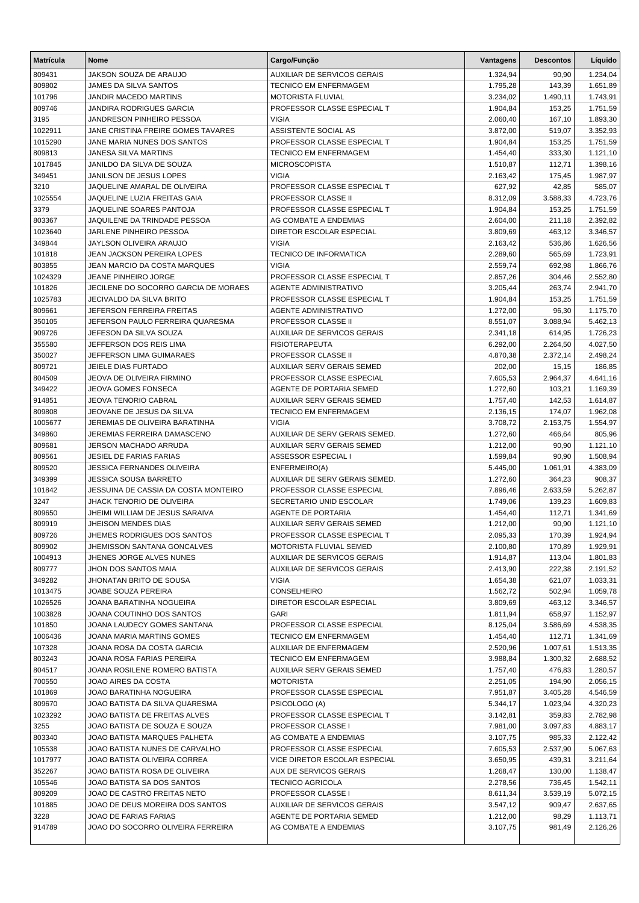| <b>Matrícula</b> | <b>Nome</b>                                                    | Cargo/Função                                                   | Vantagens            | <b>Descontos</b>     | Líquido              |
|------------------|----------------------------------------------------------------|----------------------------------------------------------------|----------------------|----------------------|----------------------|
| 809431           | JAKSON SOUZA DE ARAUJO                                         | <b>AUXILIAR DE SERVICOS GERAIS</b>                             | 1.324,94             | 90,90                | 1.234,04             |
| 809802           | JAMES DA SILVA SANTOS                                          | <b>TECNICO EM ENFERMAGEM</b>                                   | 1.795,28             | 143,39               | 1.651,89             |
| 101796           | JANDIR MACEDO MARTINS                                          | MOTORISTA FLUVIAL                                              | 3.234,02             | 1.490,11             | 1.743,91             |
| 809746           | JANDIRA RODRIGUES GARCIA                                       | PROFESSOR CLASSE ESPECIAL T                                    | 1.904,84             | 153,25               | 1.751,59             |
| 3195             | JANDRESON PINHEIRO PESSOA                                      | <b>VIGIA</b>                                                   | 2.060,40             | 167,10               | 1.893,30             |
| 1022911          | JANE CRISTINA FREIRE GOMES TAVARES                             | <b>ASSISTENTE SOCIAL AS</b>                                    | 3.872,00             | 519,07               | 3.352,93             |
| 1015290          | JANE MARIA NUNES DOS SANTOS                                    | PROFESSOR CLASSE ESPECIAL T                                    | 1.904,84             | 153,25               | 1.751,59             |
| 809813           | JANESA SILVA MARTINS                                           | <b>TECNICO EM ENFERMAGEM</b>                                   | 1.454,40             | 333,30               | 1.121,10             |
| 1017845          | JANILDO DA SILVA DE SOUZA                                      | <b>MICROSCOPISTA</b>                                           | 1.510,87             | 112,71               | 1.398,16             |
| 349451           | JANILSON DE JESUS LOPES                                        | <b>VIGIA</b>                                                   | 2.163,42             | 175,45               | 1.987,97             |
| 3210             | JAQUELINE AMARAL DE OLIVEIRA                                   | PROFESSOR CLASSE ESPECIAL T                                    | 627,92               | 42,85                | 585,07               |
| 1025554          | JAQUELINE LUZIA FREITAS GAIA                                   | PROFESSOR CLASSE II                                            | 8.312,09             | 3.588,33             | 4.723,76             |
| 3379             | JAQUELINE SOARES PANTOJA                                       | PROFESSOR CLASSE ESPECIAL T                                    | 1.904,84             | 153,25               | 1.751,59             |
| 803367           | JAQUILENE DA TRINDADE PESSOA                                   | AG COMBATE A ENDEMIAS                                          | 2.604,00             | 211,18               | 2.392,82             |
| 1023640          | JARLENE PINHEIRO PESSOA                                        | DIRETOR ESCOLAR ESPECIAL                                       | 3.809,69             | 463,12               | 3.346,57             |
| 349844           | JAYLSON OLIVEIRA ARAUJO                                        | <b>VIGIA</b>                                                   | 2.163,42             | 536,86               | 1.626,56             |
| 101818           | JEAN JACKSON PEREIRA LOPES                                     | <b>TECNICO DE INFORMATICA</b>                                  | 2.289,60             | 565,69               | 1.723,91             |
| 803855           | <b>JEAN MARCIO DA COSTA MARQUES</b>                            | <b>VIGIA</b>                                                   | 2.559,74             | 692,98               | 1.866,76             |
| 1024329          | JEANE PINHEIRO JORGE                                           | PROFESSOR CLASSE ESPECIAL T                                    | 2.857,26             | 304,46               | 2.552,80             |
| 101826           | JECILENE DO SOCORRO GARCIA DE MORAES                           | <b>AGENTE ADMINISTRATIVO</b>                                   | 3.205,44             | 263,74               | 2.941,70             |
| 1025783          | <b>JECIVALDO DA SILVA BRITO</b>                                | PROFESSOR CLASSE ESPECIAL T                                    | 1.904,84             | 153,25               | 1.751,59             |
| 809661           | JEFERSON FERREIRA FREITAS                                      | <b>AGENTE ADMINISTRATIVO</b>                                   | 1.272,00             | 96,30                | 1.175,70             |
| 350105           | JEFERSON PAULO FERREIRA QUARESMA                               | PROFESSOR CLASSE II                                            | 8.551,07             | 3.088,94             | 5.462,13             |
| 909726           | JEFESON DA SILVA SOUZA                                         | AUXILIAR DE SERVICOS GERAIS                                    | 2.341,18             | 614,95               | 1.726,23             |
| 355580           | JEFFERSON DOS REIS LIMA                                        | <b>FISIOTERAPEUTA</b>                                          | 6.292,00             | 2.264,50             | 4.027,50             |
| 350027           | JEFFERSON LIMA GUIMARAES                                       | <b>PROFESSOR CLASSE II</b>                                     | 4.870,38             | 2.372,14             | 2.498,24             |
| 809721           | JEIELE DIAS FURTADO                                            | AUXILIAR SERV GERAIS SEMED                                     | 202,00               | 15,15                | 186,85               |
| 804509           | JEOVA DE OLIVEIRA FIRMINO                                      | PROFESSOR CLASSE ESPECIAL                                      | 7.605,53             | 2.964,37             | 4.641,16             |
| 349422           | <b>JEOVA GOMES FONSECA</b>                                     | AGENTE DE PORTARIA SEMED                                       | 1.272,60             | 103,21               | 1.169,39             |
| 914851           | JEOVA TENORIO CABRAL                                           | AUXILIAR SERV GERAIS SEMED                                     | 1.757,40             | 142,53               | 1.614,87             |
| 809808           | JEOVANE DE JESUS DA SILVA                                      | <b>TECNICO EM ENFERMAGEM</b>                                   | 2.136,15             | 174,07               | 1.962,08             |
| 1005677          | JEREMIAS DE OLIVEIRA BARATINHA                                 | <b>VIGIA</b>                                                   | 3.708,72             | 2.153,75             | 1.554,97             |
| 349860           | JEREMIAS FERREIRA DAMASCENO                                    | AUXILIAR DE SERV GERAIS SEMED.                                 | 1.272,60             | 466,64               | 805,96               |
| 809681           | JERSON MACHADO ARRUDA                                          | <b>AUXILIAR SERV GERAIS SEMED</b>                              | 1.212,00             | 90,90                | 1.121,10             |
| 809561           | JESIEL DE FARIAS FARIAS                                        | ASSESSOR ESPECIAL I                                            | 1.599,84             | 90,90                | 1.508,94             |
| 809520           | JESSICA FERNANDES OLIVEIRA                                     | ENFERMEIRO(A)                                                  | 5.445,00             | 1.061,91             | 4.383,09             |
| 349399           | <b>JESSICA SOUSA BARRETO</b>                                   | AUXILIAR DE SERV GERAIS SEMED.                                 | 1.272,60             | 364,23               | 908,37               |
| 101842           | JESSUINA DE CASSIA DA COSTA MONTEIRO                           | PROFESSOR CLASSE ESPECIAL                                      | 7.896,46             | 2.633,59             | 5.262,87             |
| 3247             | JHACK TENORIO DE OLIVEIRA                                      | SECRETARIO UNID ESCOLAR                                        | 1.749,06             | 139,23               | 1.609,83             |
| 809650           | JHEIMI WILLIAM DE JESUS SARAIVA                                | <b>AGENTE DE PORTARIA</b>                                      | 1.454,40             | 112,71               | 1.341,69             |
| 809919           | JHEISON MENDES DIAS                                            | <b>AUXILIAR SERV GERAIS SEMED</b>                              | 1.212,00             | 90,90                | 1.121,10             |
| 809726           | JHEMES RODRIGUES DOS SANTOS                                    | PROFESSOR CLASSE ESPECIAL T                                    | 2.095,33             | 170,39               | 1.924,94             |
| 809902           | JHEMISSON SANTANA GONCALVES                                    | MOTORISTA FLUVIAL SEMED                                        | 2.100,80             | 170,89               | 1.929,91             |
| 1004913          | JHENES JORGE ALVES NUNES                                       | AUXILIAR DE SERVICOS GERAIS                                    | 1.914,87             | 113,04               | 1.801,83             |
| 809777           | JHON DOS SANTOS MAIA                                           | AUXILIAR DE SERVICOS GERAIS                                    | 2.413,90             | 222,38               | 2.191,52             |
| 349282           | JHONATAN BRITO DE SOUSA                                        | <b>VIGIA</b>                                                   | 1.654,38             | 621,07               | 1.033,31             |
| 1013475          | JOABE SOUZA PEREIRA<br>JOANA BARATINHA NOGUEIRA                | CONSELHEIRO<br><b>DIRETOR ESCOLAR ESPECIAL</b>                 | 1.562,72             | 502,94               | 1.059,78             |
| 1026526          |                                                                |                                                                | 3.809,69             | 463,12               | 3.346,57             |
| 1003828          | JOANA COUTINHO DOS SANTOS                                      | <b>GARI</b>                                                    | 1.811,94             | 658,97               | 1.152,97             |
| 101850           | JOANA LAUDECY GOMES SANTANA                                    | PROFESSOR CLASSE ESPECIAL                                      | 8.125,04             | 3.586,69             | 4.538,35             |
| 1006436          | JOANA MARIA MARTINS GOMES                                      | TECNICO EM ENFERMAGEM                                          | 1.454,40             | 112,71               | 1.341,69             |
| 107328           | JOANA ROSA DA COSTA GARCIA<br>JOANA ROSA FARIAS PEREIRA        | AUXILIAR DE ENFERMAGEM                                         | 2.520,96             | 1.007,61             | 1.513,35             |
| 803243           |                                                                | TECNICO EM ENFERMAGEM                                          | 3.988,84             | 1.300,32             | 2.688,52             |
| 804517           | JOANA ROSILENE ROMERO BATISTA<br>JOAO AIRES DA COSTA           | AUXILIAR SERV GERAIS SEMED<br><b>MOTORISTA</b>                 | 1.757,40             | 476,83               | 1.280,57             |
| 700550           | JOAO BARATINHA NOGUEIRA                                        | PROFESSOR CLASSE ESPECIAL                                      | 2.251,05             | 194,90               | 2.056,15             |
| 101869<br>809670 | JOAO BATISTA DA SILVA QUARESMA                                 |                                                                | 7.951,87<br>5.344,17 | 3.405,28<br>1.023,94 | 4.546,59<br>4.320,23 |
|                  |                                                                | PSICOLOGO (A)                                                  |                      |                      |                      |
| 1023292<br>3255  | JOAO BATISTA DE FREITAS ALVES<br>JOAO BATISTA DE SOUZA E SOUZA | PROFESSOR CLASSE ESPECIAL T<br>PROFESSOR CLASSE I              | 3.142,81<br>7.981,00 | 359,83<br>3.097,83   | 2.782,98<br>4.883,17 |
| 803340           | JOAO BATISTA MARQUES PALHETA                                   | AG COMBATE A ENDEMIAS                                          | 3.107,75             | 985,33               | 2.122,42             |
| 105538           | JOAO BATISTA NUNES DE CARVALHO                                 | PROFESSOR CLASSE ESPECIAL                                      | 7.605,53             | 2.537,90             | 5.067,63             |
|                  |                                                                |                                                                |                      |                      |                      |
| 1017977          | JOAO BATISTA OLIVEIRA CORREA<br>JOAO BATISTA ROSA DE OLIVEIRA  | VICE DIRETOR ESCOLAR ESPECIAL<br><b>AUX DE SERVICOS GERAIS</b> | 3.650,95             | 439,31               | 3.211,64             |
| 352267           |                                                                |                                                                | 1.268,47             | 130,00               | 1.138,47             |
| 105546<br>809209 | JOAO BATISTA SA DOS SANTOS<br>JOAO DE CASTRO FREITAS NETO      | <b>TECNICO AGRICOLA</b><br>PROFESSOR CLASSE I                  | 2.278,56<br>8.611,34 | 736,45               | 1.542,11<br>5.072,15 |
| 101885           | JOAO DE DEUS MOREIRA DOS SANTOS                                | AUXILIAR DE SERVICOS GERAIS                                    | 3.547,12             | 3.539,19<br>909,47   | 2.637,65             |
| 3228             | JOAO DE FARIAS FARIAS                                          | AGENTE DE PORTARIA SEMED                                       | 1.212,00             | 98,29                |                      |
| 914789           | JOAO DO SOCORRO OLIVEIRA FERREIRA                              | AG COMBATE A ENDEMIAS                                          | 3.107,75             | 981,49               | 1.113,71<br>2.126,26 |
|                  |                                                                |                                                                |                      |                      |                      |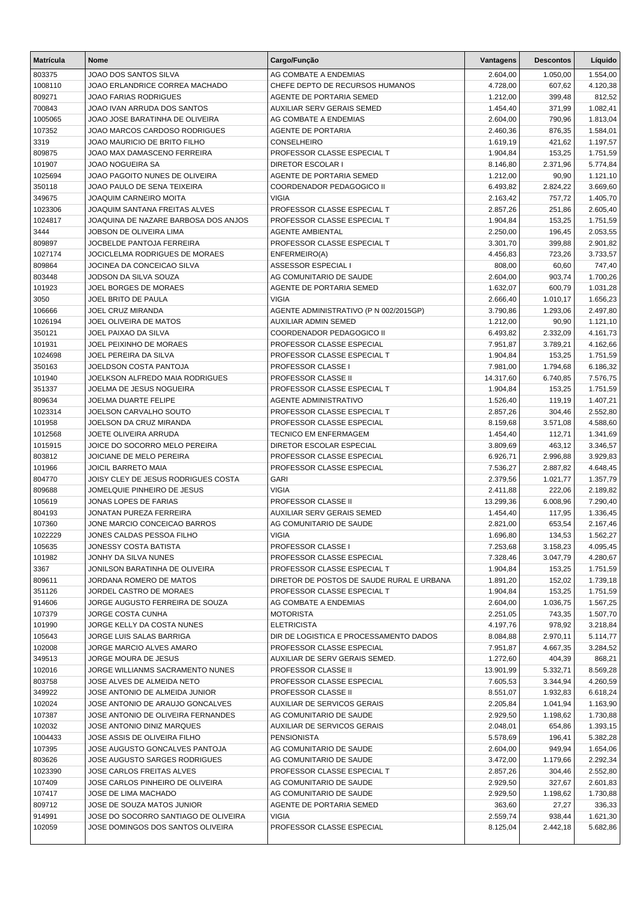| <b>Matrícula</b>  | <b>Nome</b>                                       | Cargo/Função                                             | Vantagens            | <b>Descontos</b>   | Líquido              |
|-------------------|---------------------------------------------------|----------------------------------------------------------|----------------------|--------------------|----------------------|
| 803375            | JOAO DOS SANTOS SILVA                             | AG COMBATE A ENDEMIAS                                    | 2.604,00             | 1.050,00           | 1.554,00             |
| 1008110           | JOAO ERLANDRICE CORREA MACHADO                    | CHEFE DEPTO DE RECURSOS HUMANOS                          | 4.728,00             | 607,62             | 4.120,38             |
| 809271            | JOAO FARIAS RODRIGUES                             | AGENTE DE PORTARIA SEMED                                 | 1.212,00             | 399,48             | 812,52               |
| 700843            | JOAO IVAN ARRUDA DOS SANTOS                       | <b>AUXILIAR SERV GERAIS SEMED</b>                        | 1.454,40             | 371,99             | 1.082,41             |
| 1005065           | JOAO JOSE BARATINHA DE OLIVEIRA                   | AG COMBATE A ENDEMIAS                                    | 2.604,00             | 790,96             | 1.813,04             |
| 107352            | JOAO MARCOS CARDOSO RODRIGUES                     | <b>AGENTE DE PORTARIA</b>                                | 2.460,36             | 876,35             | 1.584,01             |
| 3319              | JOAO MAURICIO DE BRITO FILHO                      | CONSELHEIRO                                              | 1.619,19             | 421,62             | 1.197,57             |
| 809875            | JOAO MAX DAMASCENO FERREIRA                       | PROFESSOR CLASSE ESPECIAL T                              | 1.904,84             | 153,25             | 1.751,59             |
| 101907            | JOAO NOGUEIRA SA                                  | <b>DIRETOR ESCOLAR I</b>                                 | 8.146,80             | 2.371,96           | 5.774,84             |
| 1025694           | JOAO PAGOITO NUNES DE OLIVEIRA                    | AGENTE DE PORTARIA SEMED                                 | 1.212,00             | 90,90              | 1.121,10             |
| 350118            | JOAO PAULO DE SENA TEIXEIRA                       | COORDENADOR PEDAGOGICO II                                | 6.493,82             | 2.824,22           | 3.669,60             |
| 349675            | JOAQUIM CARNEIRO MOITA                            | <b>VIGIA</b>                                             | 2.163,42             | 757,72             | 1.405,70             |
| 1023306           | JOAQUIM SANTANA FREITAS ALVES                     | PROFESSOR CLASSE ESPECIAL T                              | 2.857,26             | 251,86             | 2.605,40             |
| 1024817           | JOAQUINA DE NAZARE BARBOSA DOS ANJOS              | PROFESSOR CLASSE ESPECIAL T                              | 1.904,84             | 153,25             | 1.751,59             |
| 3444              | JOBSON DE OLIVEIRA LIMA                           | <b>AGENTE AMBIENTAL</b>                                  | 2.250,00             | 196,45             | 2.053,55             |
| 809897            | JOCBELDE PANTOJA FERREIRA                         | PROFESSOR CLASSE ESPECIAL T                              | 3.301,70             | 399,88             | 2.901,82             |
| 1027174           | JOCICLELMA RODRIGUES DE MORAES                    | ENFERMEIRO(A)                                            | 4.456,83             | 723,26             | 3.733,57             |
| 809864            | JOCINEA DA CONCEICAO SILVA                        | ASSESSOR ESPECIAL I                                      | 808,00               | 60,60              | 747,40               |
| 803448            | JODSON DA SILVA SOUZA                             | AG COMUNITARIO DE SAUDE                                  | 2.604,00             | 903,74             | 1.700,26             |
| 101923            | JOEL BORGES DE MORAES                             | <b>AGENTE DE PORTARIA SEMED</b>                          | 1.632,07             | 600,79             | 1.031,28             |
| 3050              | JOEL BRITO DE PAULA                               | <b>VIGIA</b>                                             | 2.666,40             | 1.010,17           | 1.656,23             |
| 106666            | JOEL CRUZ MIRANDA                                 | AGENTE ADMINISTRATIVO (P N 002/2015GP)                   | 3.790,86             | 1.293,06           | 2.497,80             |
| 1026194           | JOEL OLIVEIRA DE MATOS                            | <b>AUXILIAR ADMIN SEMED</b>                              | 1.212,00             | 90,90              | 1.121,10             |
| 350121            | JOEL PAIXAO DA SILVA                              | COORDENADOR PEDAGOGICO II                                | 6.493,82             | 2.332,09           | 4.161,73             |
| 101931            | JOEL PEIXINHO DE MORAES                           | PROFESSOR CLASSE ESPECIAL                                | 7.951,87             | 3.789,21           | 4.162,66             |
| 1024698           | JOEL PEREIRA DA SILVA                             | PROFESSOR CLASSE ESPECIAL T                              | 1.904,84             | 153,25             | 1.751,59             |
| 350163            | JOELDSON COSTA PANTOJA                            | PROFESSOR CLASSE I                                       | 7.981,00             | 1.794,68           | 6.186,32             |
| 101940            | JOELKSON ALFREDO MAIA RODRIGUES                   | PROFESSOR CLASSE II                                      | 14.317,60            | 6.740,85           | 7.576,75             |
| 351337            | JOELMA DE JESUS NOGUEIRA                          | PROFESSOR CLASSE ESPECIAL T                              | 1.904,84             | 153,25             | 1.751,59             |
| 809634            | JOELMA DUARTE FELIPE                              | <b>AGENTE ADMINISTRATIVO</b>                             | 1.526,40             | 119,19             | 1.407,21             |
| 1023314           | JOELSON CARVALHO SOUTO<br>JOELSON DA CRUZ MIRANDA | PROFESSOR CLASSE ESPECIAL T<br>PROFESSOR CLASSE ESPECIAL | 2.857,26             | 304,46             | 2.552,80             |
| 101958<br>1012568 | JOETE OLIVEIRA ARRUDA                             | <b>TECNICO EM ENFERMAGEM</b>                             | 8.159,68             | 3.571,08<br>112,71 | 4.588,60             |
| 1015915           | JOICE DO SOCORRO MELO PEREIRA                     | DIRETOR ESCOLAR ESPECIAL                                 | 1.454,40<br>3.809,69 | 463,12             | 1.341,69<br>3.346,57 |
| 803812            | JOICIANE DE MELO PEREIRA                          | PROFESSOR CLASSE ESPECIAL                                | 6.926,71             | 2.996,88           | 3.929,83             |
| 101966            | <b>JOICIL BARRETO MAIA</b>                        | PROFESSOR CLASSE ESPECIAL                                | 7.536,27             | 2.887,82           | 4.648,45             |
| 804770            | JOISY CLEY DE JESUS RODRIGUES COSTA               | <b>GARI</b>                                              | 2.379,56             | 1.021,77           | 1.357,79             |
| 809688            | JOMELQUIE PINHEIRO DE JESUS                       | <b>VIGIA</b>                                             | 2.411,88             | 222,06             | 2.189,82             |
| 105619            | JONAS LOPES DE FARIAS                             | PROFESSOR CLASSE II                                      | 13.299,36            | 6.008,96           | 7.290,40             |
| 804193            | JONATAN PUREZA FERREIRA                           | <b>AUXILIAR SERV GERAIS SEMED</b>                        | 1.454,40             | 117,95             | 1.336,45             |
| 107360            | JONE MARCIO CONCEICAO BARROS                      | AG COMUNITARIO DE SAUDE                                  | 2.821,00             | 653,54             | 2.167,46             |
| 1022229           | JONES CALDAS PESSOA FILHO                         | VIGIA                                                    | 1.696,80             | 134,53             | 1.562,27             |
| 105635            | JONESSY COSTA BATISTA                             | PROFESSOR CLASSE I                                       | 7.253,68             | 3.158,23           | 4.095,45             |
| 101982            | JONHY DA SILVA NUNES                              | PROFESSOR CLASSE ESPECIAL                                | 7.328,46             | 3.047,79           | 4.280,67             |
| 3367              | JONILSON BARATINHA DE OLIVEIRA                    | PROFESSOR CLASSE ESPECIAL T                              | 1.904,84             | 153,25             | 1.751,59             |
| 809611            | JORDANA ROMERO DE MATOS                           | DIRETOR DE POSTOS DE SAUDE RURAL E URBANA                | 1.891,20             | 152,02             | 1.739,18             |
| 351126            | JORDEL CASTRO DE MORAES                           | PROFESSOR CLASSE ESPECIAL T                              | 1.904,84             | 153,25             | 1.751,59             |
| 914606            | JORGE AUGUSTO FERREIRA DE SOUZA                   | AG COMBATE A ENDEMIAS                                    | 2.604,00             | 1.036,75           | 1.567,25             |
| 107379            | JORGE COSTA CUNHA                                 | <b>MOTORISTA</b>                                         | 2.251,05             | 743,35             | 1.507,70             |
| 101990            | JORGE KELLY DA COSTA NUNES                        | <b>ELETRICISTA</b>                                       | 4.197,76             | 978,92             | 3.218,84             |
| 105643            | JORGE LUIS SALAS BARRIGA                          | DIR DE LOGISTICA E PROCESSAMENTO DADOS                   | 8.084,88             | 2.970,11           | 5.114,77             |
| 102008            | JORGE MARCIO ALVES AMARO                          | PROFESSOR CLASSE ESPECIAL                                | 7.951,87             | 4.667,35           | 3.284,52             |
| 349513            | JORGE MOURA DE JESUS                              | AUXILIAR DE SERV GERAIS SEMED.                           | 1.272,60             | 404,39             | 868,21               |
| 102016            | JORGE WILLIANMS SACRAMENTO NUNES                  | PROFESSOR CLASSE II                                      | 13.901,99            | 5.332,71           | 8.569,28             |
| 803758            | JOSE ALVES DE ALMEIDA NETO                        | PROFESSOR CLASSE ESPECIAL                                | 7.605,53             | 3.344,94           | 4.260,59             |
| 349922            | JOSE ANTONIO DE ALMEIDA JUNIOR                    | PROFESSOR CLASSE II                                      | 8.551,07             | 1.932,83           | 6.618,24             |
| 102024            | JOSE ANTONIO DE ARAUJO GONCALVES                  | AUXILIAR DE SERVICOS GERAIS                              | 2.205,84             | 1.041,94           | 1.163,90             |
| 107387            | JOSE ANTONIO DE OLIVEIRA FERNANDES                | AG COMUNITARIO DE SAUDE                                  | 2.929,50             | 1.198,62           | 1.730,88             |
| 102032            | JOSE ANTONIO DINIZ MARQUES                        | AUXILIAR DE SERVICOS GERAIS                              | 2.048,01             | 654,86             | 1.393,15             |
| 1004433           | JOSE ASSIS DE OLIVEIRA FILHO                      | <b>PENSIONISTA</b>                                       | 5.578,69             | 196,41             | 5.382,28             |
| 107395            | JOSE AUGUSTO GONCALVES PANTOJA                    | AG COMUNITARIO DE SAUDE                                  | 2.604,00             | 949,94             | 1.654,06             |
| 803626            | JOSE AUGUSTO SARGES RODRIGUES                     | AG COMUNITARIO DE SAUDE                                  | 3.472,00             | 1.179,66           | 2.292,34             |
| 1023390           | JOSE CARLOS FREITAS ALVES                         | PROFESSOR CLASSE ESPECIAL T                              | 2.857,26             | 304,46             | 2.552,80             |
| 107409            | JOSE CARLOS PINHEIRO DE OLIVEIRA                  | AG COMUNITARIO DE SAUDE                                  | 2.929,50             | 327,67             | 2.601,83             |
| 107417            | JOSE DE LIMA MACHADO                              | AG COMUNITARIO DE SAUDE                                  | 2.929,50             | 1.198,62           | 1.730,88             |
| 809712            | JOSE DE SOUZA MATOS JUNIOR                        | AGENTE DE PORTARIA SEMED                                 | 363,60               | 27,27              | 336,33               |
| 914991            | JOSE DO SOCORRO SANTIAGO DE OLIVEIRA              | <b>VIGIA</b>                                             | 2.559,74             | 938,44             | 1.621,30             |
| 102059            | JOSE DOMINGOS DOS SANTOS OLIVEIRA                 | PROFESSOR CLASSE ESPECIAL                                | 8.125,04             | 2.442,18           | 5.682,86             |
|                   |                                                   |                                                          |                      |                    |                      |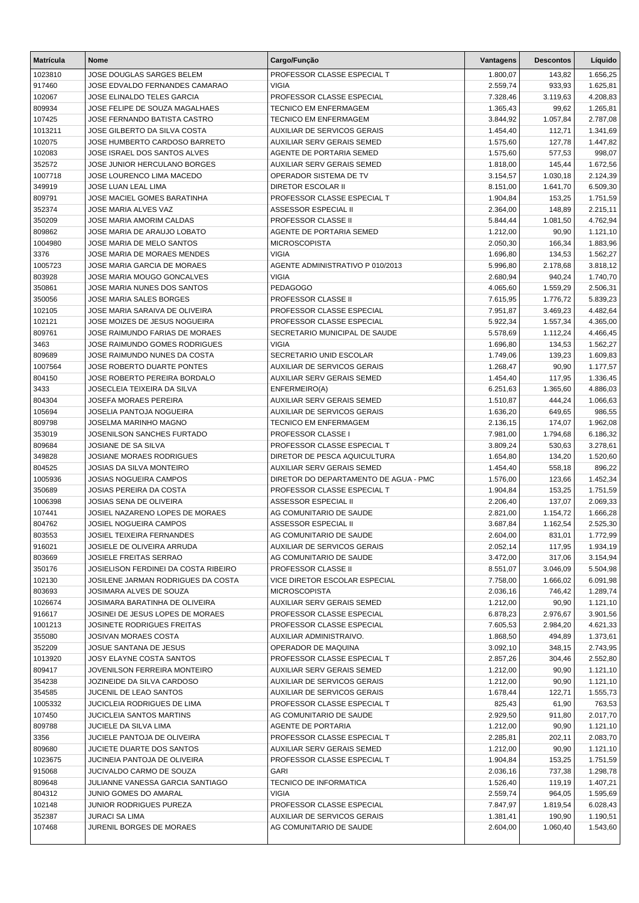| <b>Matrícula</b> | Nome                                                             | Cargo/Função                                      | Vantagens            | <b>Descontos</b>     | Líquido              |
|------------------|------------------------------------------------------------------|---------------------------------------------------|----------------------|----------------------|----------------------|
| 1023810          | JOSE DOUGLAS SARGES BELEM                                        | PROFESSOR CLASSE ESPECIAL T                       | 1.800,07             | 143,82               | 1.656,25             |
| 917460           | JOSE EDVALDO FERNANDES CAMARAO                                   | <b>VIGIA</b>                                      | 2.559,74             | 933,93               | 1.625,81             |
| 102067           | JOSE ELINALDO TELES GARCIA                                       | PROFESSOR CLASSE ESPECIAL                         | 7.328,46             | 3.119,63             | 4.208,83             |
| 809934           | JOSE FELIPE DE SOUZA MAGALHAES                                   | <b>TECNICO EM ENFERMAGEM</b>                      | 1.365,43             | 99,62                | 1.265,81             |
| 107425           | JOSE FERNANDO BATISTA CASTRO                                     | <b>TECNICO EM ENFERMAGEM</b>                      | 3.844,92             | 1.057,84             | 2.787,08             |
| 1013211          | JOSE GILBERTO DA SILVA COSTA                                     | AUXILIAR DE SERVICOS GERAIS                       | 1.454,40             | 112,71               | 1.341,69             |
| 102075           | JOSE HUMBERTO CARDOSO BARRETO                                    | <b>AUXILIAR SERV GERAIS SEMED</b>                 | 1.575,60             | 127,78               | 1.447,82             |
| 102083           | JOSE ISRAEL DOS SANTOS ALVES                                     | AGENTE DE PORTARIA SEMED                          | 1.575,60             | 577,53               | 998,07               |
| 352572           | JOSE JUNIOR HERCULANO BORGES                                     | <b>AUXILIAR SERV GERAIS SEMED</b>                 | 1.818,00             | 145,44               | 1.672,56             |
| 1007718          | JOSE LOURENCO LIMA MACEDO                                        | OPERADOR SISTEMA DE TV                            | 3.154,57             | 1.030,18             | 2.124,39             |
| 349919           | <b>JOSE LUAN LEAL LIMA</b>                                       | <b>DIRETOR ESCOLAR II</b>                         | 8.151,00             | 1.641,70             | 6.509,30             |
| 809791           | JOSE MACIEL GOMES BARATINHA                                      | PROFESSOR CLASSE ESPECIAL T                       | 1.904,84             | 153,25               | 1.751,59             |
| 352374           | JOSE MARIA ALVES VAZ                                             | ASSESSOR ESPECIAL II                              | 2.364,00             | 148,89               | 2.215,11             |
| 350209           | JOSE MARIA AMORIM CALDAS                                         | PROFESSOR CLASSE II                               | 5.844,44             | 1.081,50             | 4.762,94             |
| 809862           | JOSE MARIA DE ARAUJO LOBATO                                      | AGENTE DE PORTARIA SEMED                          | 1.212,00             | 90,90                | 1.121,10             |
| 1004980          | JOSE MARIA DE MELO SANTOS                                        | <b>MICROSCOPISTA</b>                              | 2.050,30             | 166,34               | 1.883,96             |
| 3376             | JOSE MARIA DE MORAES MENDES                                      | <b>VIGIA</b>                                      | 1.696,80             | 134,53               | 1.562,27             |
| 1005723          | JOSE MARIA GARCIA DE MORAES<br><b>JOSE MARIA MOUGO GONCALVES</b> | AGENTE ADMINISTRATIVO P 010/2013<br><b>VIGIA</b>  | 5.996,80             | 2.178,68             | 3.818,12             |
| 803928           | JOSE MARIA NUNES DOS SANTOS                                      | <b>PEDAGOGO</b>                                   | 2.680,94             | 940,24               | 1.740,70<br>2.506,31 |
| 350861<br>350056 | JOSE MARIA SALES BORGES                                          | PROFESSOR CLASSE II                               | 4.065,60<br>7.615,95 | 1.559,29<br>1.776,72 | 5.839,23             |
| 102105           | JOSE MARIA SARAIVA DE OLIVEIRA                                   | PROFESSOR CLASSE ESPECIAL                         | 7.951,87             | 3.469,23             | 4.482,64             |
| 102121           | JOSE MOIZES DE JESUS NOGUEIRA                                    | PROFESSOR CLASSE ESPECIAL                         | 5.922,34             | 1.557,34             | 4.365,00             |
| 809761           | JOSE RAIMUNDO FARIAS DE MORAES                                   | SECRETARIO MUNICIPAL DE SAUDE                     | 5.578,69             | 1.112,24             | 4.466,45             |
| 3463             | JOSE RAIMUNDO GOMES RODRIGUES                                    | <b>VIGIA</b>                                      | 1.696,80             | 134,53               | 1.562,27             |
| 809689           | JOSE RAIMUNDO NUNES DA COSTA                                     | SECRETARIO UNID ESCOLAR                           | 1.749,06             | 139,23               | 1.609,83             |
| 1007564          | JOSE ROBERTO DUARTE PONTES                                       | <b>AUXILIAR DE SERVICOS GERAIS</b>                | 1.268,47             | 90,90                | 1.177,57             |
| 804150           | JOSE ROBERTO PEREIRA BORDALO                                     | AUXILIAR SERV GERAIS SEMED                        | 1.454,40             | 117,95               | 1.336,45             |
| 3433             | JOSECLEIA TEIXEIRA DA SILVA                                      | ENFERMEIRO(A)                                     | 6.251,63             | 1.365,60             | 4.886,03             |
| 804304           | <b>JOSEFA MORAES PEREIRA</b>                                     | <b>AUXILIAR SERV GERAIS SEMED</b>                 | 1.510,87             | 444,24               | 1.066,63             |
| 105694           | JOSELIA PANTOJA NOGUEIRA                                         | <b>AUXILIAR DE SERVICOS GERAIS</b>                | 1.636,20             | 649,65               | 986,55               |
| 809798           | JOSELMA MARINHO MAGNO                                            | <b>TECNICO EM ENFERMAGEM</b>                      | 2.136,15             | 174,07               | 1.962,08             |
| 353019           | JOSENILSON SANCHES FURTADO                                       | PROFESSOR CLASSE I                                | 7.981,00             | 1.794,68             | 6.186,32             |
| 809684           | JOSIANE DE SA SILVA                                              | PROFESSOR CLASSE ESPECIAL T                       | 3.809,24             | 530,63               | 3.278,61             |
| 349828           | JOSIANE MORAES RODRIGUES                                         | DIRETOR DE PESCA AQUICULTURA                      | 1.654,80             | 134,20               | 1.520,60             |
| 804525           | JOSIAS DA SILVA MONTEIRO                                         | <b>AUXILIAR SERV GERAIS SEMED</b>                 | 1.454,40             | 558,18               | 896,22               |
| 1005936          | <b>JOSIAS NOGUEIRA CAMPOS</b>                                    | DIRETOR DO DEPARTAMENTO DE AGUA - PMC             | 1.576,00             | 123,66               | 1.452,34             |
| 350689           | <b>JOSIAS PEREIRA DA COSTA</b>                                   | PROFESSOR CLASSE ESPECIAL T                       | 1.904,84             | 153,25               | 1.751,59             |
| 1006398          | JOSIAS SENA DE OLIVEIRA                                          | ASSESSOR ESPECIAL II                              | 2.206,40             | 137,07               | 2.069,33             |
| 107441           | JOSIEL NAZARENO LOPES DE MORAES                                  | AG COMUNITARIO DE SAUDE                           | 2.821,00             | 1.154,72             | 1.666,28             |
| 804762           | <b>JOSIEL NOGUEIRA CAMPOS</b>                                    | ASSESSOR ESPECIAL II                              | 3.687,84             | 1.162,54             | 2.525,30             |
| 803553           | JOSIEL TEIXEIRA FERNANDES                                        | AG COMUNITARIO DE SAUDE                           | 2.604,00             | 831,01               | 1.772,99             |
| 916021           | JOSIELE DE OLIVEIRA ARRUDA                                       | AUXILIAR DE SERVICOS GERAIS                       | 2.052,14             | 117,95               | 1.934,19             |
| 803669           | JOSIELE FREITAS SERRAO                                           | AG COMUNITARIO DE SAUDE                           | 3.472,00             | 317,06               | 3.154,94             |
| 350176           | JOSIELISON FERDINEI DA COSTA RIBEIRO                             | PROFESSOR CLASSE II                               | 8.551,07             | 3.046,09             | 5.504,98             |
| 102130           | JOSILENE JARMAN RODRIGUES DA COSTA                               | VICE DIRETOR ESCOLAR ESPECIAL                     | 7.758,00             | 1.666,02             | 6.091,98             |
| 803693           | JOSIMARA ALVES DE SOUZA                                          | <b>MICROSCOPISTA</b>                              | 2.036,16             | 746,42               | 1.289,74             |
| 1026674          | JOSIMARA BARATINHA DE OLIVEIRA                                   | AUXILIAR SERV GERAIS SEMED                        | 1.212,00             | 90,90                | 1.121,10             |
| 916617           | JOSINEI DE JESUS LOPES DE MORAES                                 | PROFESSOR CLASSE ESPECIAL                         | 6.878,23             | 2.976,67             | 3.901,56             |
| 1001213          | JOSINETE RODRIGUES FREITAS                                       | PROFESSOR CLASSE ESPECIAL                         | 7.605,53             | 2.984,20             | 4.621,33             |
| 355080           | JOSIVAN MORAES COSTA                                             | AUXILIAR ADMINISTRAIVO.                           | 1.868,50             | 494,89               | 1.373,61             |
| 352209           | JOSUE SANTANA DE JESUS                                           | OPERADOR DE MAQUINA                               | 3.092,10             | 348,15               | 2.743,95             |
| 1013920          | JOSY ELAYNE COSTA SANTOS                                         | PROFESSOR CLASSE ESPECIAL T                       | 2.857,26             | 304,46               | 2.552,80             |
| 809417           | JOVENILSON FERREIRA MONTEIRO                                     | AUXILIAR SERV GERAIS SEMED                        | 1.212,00             | 90,90                | 1.121,10             |
| 354238           | JOZINEIDE DA SILVA CARDOSO                                       | <b>AUXILIAR DE SERVICOS GERAIS</b>                | 1.212,00             | 90,90                | 1.121,10             |
| 354585           | JUCENIL DE LEAO SANTOS                                           | AUXILIAR DE SERVICOS GERAIS                       | 1.678,44             | 122,71               | 1.555,73             |
| 1005332          | JUCICLEIA RODRIGUES DE LIMA                                      | PROFESSOR CLASSE ESPECIAL T                       | 825,43               | 61,90                | 763,53               |
| 107450           | <b>JUCICLEIA SANTOS MARTINS</b>                                  | AG COMUNITARIO DE SAUDE                           | 2.929,50             | 911,80               | 2.017,70             |
| 809788<br>3356   | JUCIELE DA SILVA LIMA<br>JUCIELE PANTOJA DE OLIVEIRA             | AGENTE DE PORTARIA<br>PROFESSOR CLASSE ESPECIAL T | 1.212,00<br>2.285,81 | 90,90<br>202,11      | 1.121,10<br>2.083,70 |
| 809680           | <b>JUCIETE DUARTE DOS SANTOS</b>                                 | AUXILIAR SERV GERAIS SEMED                        | 1.212,00             | 90,90                | 1.121,10             |
| 1023675          | JUCINEIA PANTOJA DE OLIVEIRA                                     | PROFESSOR CLASSE ESPECIAL T                       | 1.904,84             | 153,25               | 1.751,59             |
| 915068           | JUCIVALDO CARMO DE SOUZA                                         | <b>GARI</b>                                       | 2.036,16             | 737,38               | 1.298,78             |
| 809648           | JULIANNE VANESSA GARCIA SANTIAGO                                 | TECNICO DE INFORMATICA                            | 1.526,40             | 119,19               | 1.407,21             |
| 804312           | JUNIO GOMES DO AMARAL                                            | <b>VIGIA</b>                                      | 2.559,74             | 964,05               | 1.595,69             |
| 102148           | JUNIOR RODRIGUES PUREZA                                          | PROFESSOR CLASSE ESPECIAL                         | 7.847,97             | 1.819,54             | 6.028,43             |
| 352387           | JURACI SA LIMA                                                   | AUXILIAR DE SERVICOS GERAIS                       | 1.381,41             | 190,90               | 1.190,51             |
| 107468           | JURENIL BORGES DE MORAES                                         | AG COMUNITARIO DE SAUDE                           | 2.604,00             | 1.060,40             | 1.543,60             |
|                  |                                                                  |                                                   |                      |                      |                      |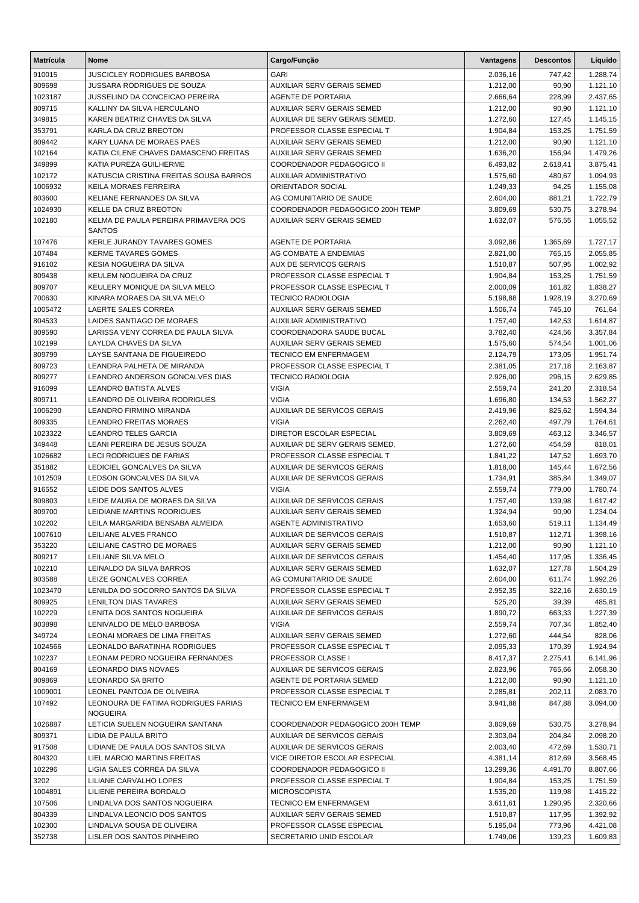| <b>Matrícula</b> | <b>Nome</b>                                            | Cargo/Função                      | Vantagens | <b>Descontos</b> | Líquido  |
|------------------|--------------------------------------------------------|-----------------------------------|-----------|------------------|----------|
| 910015           | <b>JUSCICLEY RODRIGUES BARBOSA</b>                     | <b>GARI</b>                       | 2.036,16  | 747,42           | 1.288,74 |
| 809698           | JUSSARA RODRIGUES DE SOUZA                             | AUXILIAR SERV GERAIS SEMED        | 1.212,00  | 90,90            | 1.121,10 |
| 1023187          | JUSSELINO DA CONCEICAO PEREIRA                         | AGENTE DE PORTARIA                | 2.666,64  | 228,99           | 2.437,65 |
| 809715           | KALLINY DA SILVA HERCULANO                             | <b>AUXILIAR SERV GERAIS SEMED</b> | 1.212,00  | 90,90            | 1.121,10 |
| 349815           | KAREN BEATRIZ CHAVES DA SILVA                          | AUXILIAR DE SERV GERAIS SEMED.    | 1.272,60  | 127,45           | 1.145,15 |
| 353791           | KARLA DA CRUZ BREOTON                                  | PROFESSOR CLASSE ESPECIAL T       | 1.904,84  | 153,25           | 1.751,59 |
| 809442           | KARY LUANA DE MORAES PAES                              | AUXILIAR SERV GERAIS SEMED        | 1.212,00  | 90,90            | 1.121,10 |
| 102164           | KATIA CILENE CHAVES DAMASCENO FREITAS                  | AUXILIAR SERV GERAIS SEMED        | 1.636,20  | 156,94           | 1.479,26 |
| 349899           | KATIA PUREZA GUILHERME                                 | COORDENADOR PEDAGOGICO II         | 6.493,82  | 2.618,41         | 3.875,41 |
| 102172           | KATUSCIA CRISTINA FREITAS SOUSA BARROS                 | <b>AUXILIAR ADMINISTRATIVO</b>    | 1.575,60  | 480,67           | 1.094,93 |
| 1006932          | <b>KEILA MORAES FERREIRA</b>                           | ORIENTADOR SOCIAL                 | 1.249,33  | 94,25            | 1.155,08 |
| 803600           | KELIANE FERNANDES DA SILVA                             | AG COMUNITARIO DE SAUDE           | 2.604,00  | 881,21           | 1.722,79 |
| 1024930          | KELLE DA CRUZ BREOTON                                  | COORDENADOR PEDAGOGICO 200H TEMP  | 3.809,69  | 530,75           | 3.278,94 |
| 102180           | KELMA DE PAULA PEREIRA PRIMAVERA DOS<br><b>SANTOS</b>  | AUXILIAR SERV GERAIS SEMED        | 1.632,07  | 576,55           | 1.055,52 |
| 107476           | KERLE JURANDY TAVARES GOMES                            | <b>AGENTE DE PORTARIA</b>         | 3.092,86  | 1.365,69         | 1.727,17 |
| 107484           | <b>KERME TAVARES GOMES</b>                             | AG COMBATE A ENDEMIAS             | 2.821,00  | 765,15           | 2.055,85 |
| 916102           | KESIA NOGUEIRA DA SILVA                                | <b>AUX DE SERVICOS GERAIS</b>     | 1.510,87  | 507,95           | 1.002,92 |
| 809438           | KEULEM NOGUEIRA DA CRUZ                                | PROFESSOR CLASSE ESPECIAL T       | 1.904,84  | 153,25           | 1.751,59 |
| 809707           | KEULERY MONIQUE DA SILVA MELO                          | PROFESSOR CLASSE ESPECIAL T       | 2.000,09  | 161,82           | 1.838,27 |
| 700630           | KINARA MORAES DA SILVA MELO                            | <b>TECNICO RADIOLOGIA</b>         | 5.198,88  | 1.928,19         | 3.270,69 |
| 1005472          | LAERTE SALES CORREA                                    | AUXILIAR SERV GERAIS SEMED        | 1.506,74  | 745,10           | 761,64   |
| 804533           | LAIDES SANTIAGO DE MORAES                              | <b>AUXILIAR ADMINISTRATIVO</b>    | 1.757,40  | 142,53           | 1.614,87 |
| 809590           | LARISSA VENY CORREA DE PAULA SILVA                     | COORDENADORA SAUDE BUCAL          | 3.782,40  | 424,56           | 3.357,84 |
| 102199           | <b>LAYLDA CHAVES DA SILVA</b>                          | AUXILIAR SERV GERAIS SEMED        | 1.575,60  | 574,54           | 1.001,06 |
| 809799           | LAYSE SANTANA DE FIGUEIREDO                            | <b>TECNICO EM ENFERMAGEM</b>      | 2.124,79  | 173,05           | 1.951,74 |
| 809723           | LEANDRA PALHETA DE MIRANDA                             | PROFESSOR CLASSE ESPECIAL T       | 2.381,05  | 217,18           | 2.163,87 |
| 809277           | LEANDRO ANDERSON GONCALVES DIAS                        | <b>TECNICO RADIOLOGIA</b>         | 2.926,00  | 296,15           | 2.629,85 |
| 916099           | LEANDRO BATISTA ALVES                                  | <b>VIGIA</b>                      | 2.559,74  | 241,20           | 2.318,54 |
| 809711           | LEANDRO DE OLIVEIRA RODRIGUES                          | <b>VIGIA</b>                      | 1.696,80  | 134,53           | 1.562,27 |
| 1006290          | LEANDRO FIRMINO MIRANDA                                | AUXILIAR DE SERVICOS GERAIS       | 2.419,96  | 825,62           | 1.594,34 |
| 809335           | <b>LEANDRO FREITAS MORAES</b>                          | <b>VIGIA</b>                      | 2.262,40  | 497,79           | 1.764,61 |
| 1023322          | <b>LEANDRO TELES GARCIA</b>                            | DIRETOR ESCOLAR ESPECIAL          | 3.809,69  | 463,12           | 3.346,57 |
| 349448           | LEANI PEREIRA DE JESUS SOUZA                           | AUXILIAR DE SERV GERAIS SEMED.    | 1.272,60  | 454,59           | 818,01   |
| 1026682          | LECI RODRIGUES DE FARIAS                               | PROFESSOR CLASSE ESPECIAL T       | 1.841,22  | 147,52           | 1.693,70 |
| 351882           | LEDICIEL GONCALVES DA SILVA                            | AUXILIAR DE SERVICOS GERAIS       | 1.818,00  | 145,44           | 1.672,56 |
| 1012509          | LEDSON GONCALVES DA SILVA                              | AUXILIAR DE SERVICOS GERAIS       | 1.734,91  | 385,84           | 1.349,07 |
| 916552           | LEIDE DOS SANTOS ALVES                                 | <b>VIGIA</b>                      | 2.559,74  | 779,00           | 1.780,74 |
| 809803           | LEIDE MAURA DE MORAES DA SILVA                         | AUXILIAR DE SERVICOS GERAIS       | 1.757,40  | 139,98           | 1.617,42 |
| 809700           | LEIDIANE MARTINS RODRIGUES                             | AUXILIAR SERV GERAIS SEMED        | 1.324,94  | 90,90            | 1.234,04 |
| 102202           | LEILA MARGARIDA BENSABA ALMEIDA                        | <b>AGENTE ADMINISTRATIVO</b>      | 1.653,60  | 519,11           | 1.134,49 |
| 1007610          | LEILIANE ALVES FRANCO                                  | AUXILIAR DE SERVICOS GERAIS       | 1.510,87  | 112,71           | 1.398,16 |
| 353220           | LEILIANE CASTRO DE MORAES                              | AUXILIAR SERV GERAIS SEMED        | 1.212,00  | 90,90            | 1.121,10 |
| 809217           | LEILIANE SILVA MELO                                    | AUXILIAR DE SERVICOS GERAIS       | 1.454,40  | 117,95           | 1.336,45 |
| 102210           | LEINALDO DA SILVA BARROS                               | AUXILIAR SERV GERAIS SEMED        | 1.632,07  | 127,78           | 1.504,29 |
| 803588           | LEIZE GONCALVES CORREA                                 | AG COMUNITARIO DE SAUDE           | 2.604,00  | 611,74           | 1.992,26 |
| 1023470          | LENILDA DO SOCORRO SANTOS DA SILVA                     | PROFESSOR CLASSE ESPECIAL T       | 2.952,35  | 322,16           | 2.630,19 |
| 809925           | LENILTON DIAS TAVARES                                  | <b>AUXILIAR SERV GERAIS SEMED</b> | 525,20    | 39,39            | 485,81   |
| 102229           | LENITA DOS SANTOS NOGUEIRA                             | AUXILIAR DE SERVICOS GERAIS       | 1.890,72  | 663,33           | 1.227,39 |
| 803898           | LENIVALDO DE MELO BARBOSA                              | <b>VIGIA</b>                      | 2.559,74  | 707,34           | 1.852,40 |
| 349724           | LEONAI MORAES DE LIMA FREITAS                          | AUXILIAR SERV GERAIS SEMED        | 1.272,60  | 444,54           | 828,06   |
| 1024566          | LEONALDO BARATINHA RODRIGUES                           | PROFESSOR CLASSE ESPECIAL T       | 2.095,33  | 170,39           | 1.924,94 |
| 102237           | LEONAM PEDRO NOGUEIRA FERNANDES                        | PROFESSOR CLASSE I                | 8.417,37  | 2.275,41         | 6.141,96 |
| 804169           | LEONARDO DIAS NOVAES                                   | AUXILIAR DE SERVICOS GERAIS       | 2.823,96  | 765,66           | 2.058,30 |
| 809869           | LEONARDO SA BRITO                                      | AGENTE DE PORTARIA SEMED          | 1.212,00  | 90,90            | 1.121,10 |
| 1009001          | LEONEL PANTOJA DE OLIVEIRA                             | PROFESSOR CLASSE ESPECIAL T       | 2.285,81  | 202,11           | 2.083,70 |
| 107492           | LEONOURA DE FATIMA RODRIGUES FARIAS<br><b>NOGUEIRA</b> | TECNICO EM ENFERMAGEM             | 3.941,88  | 847,88           | 3.094,00 |
| 1026887          | LETICIA SUELEN NOGUEIRA SANTANA                        | COORDENADOR PEDAGOGICO 200H TEMP  | 3.809,69  | 530,75           | 3.278,94 |
| 809371           | LIDIA DE PAULA BRITO                                   | AUXILIAR DE SERVICOS GERAIS       | 2.303,04  | 204,84           | 2.098,20 |
| 917508           | LIDIANE DE PAULA DOS SANTOS SILVA                      | AUXILIAR DE SERVICOS GERAIS       | 2.003,40  | 472,69           | 1.530,71 |
| 804320           | LIEL MARCIO MARTINS FREITAS                            | VICE DIRETOR ESCOLAR ESPECIAL     | 4.381,14  | 812,69           | 3.568,45 |
| 102296           | LIGIA SALES CORREA DA SILVA                            | COORDENADOR PEDAGOGICO II         | 13.299,36 | 4.491,70         | 8.807,66 |
|                  |                                                        | PROFESSOR CLASSE ESPECIAL T       |           |                  |          |
| 3202             | LILIANE CARVALHO LOPES                                 |                                   | 1.904,84  | 153,25           | 1.751,59 |
| 1004891          | LILIENE PEREIRA BORDALO                                | <b>MICROSCOPISTA</b>              | 1.535,20  | 119,98           | 1.415,22 |
| 107506           | LINDALVA DOS SANTOS NOGUEIRA                           | <b>TECNICO EM ENFERMAGEM</b>      | 3.611,61  | 1.290,95         | 2.320,66 |
| 804339           | LINDALVA LEONCIO DOS SANTOS                            | AUXILIAR SERV GERAIS SEMED        | 1.510,87  | 117,95           | 1.392,92 |
| 102300           | LINDALVA SOUSA DE OLIVEIRA                             | PROFESSOR CLASSE ESPECIAL         | 5.195,04  | 773,96           | 4.421,08 |
| 352738           | LISLER DOS SANTOS PINHEIRO                             | SECRETARIO UNID ESCOLAR           | 1.749,06  | 139,23           | 1.609,83 |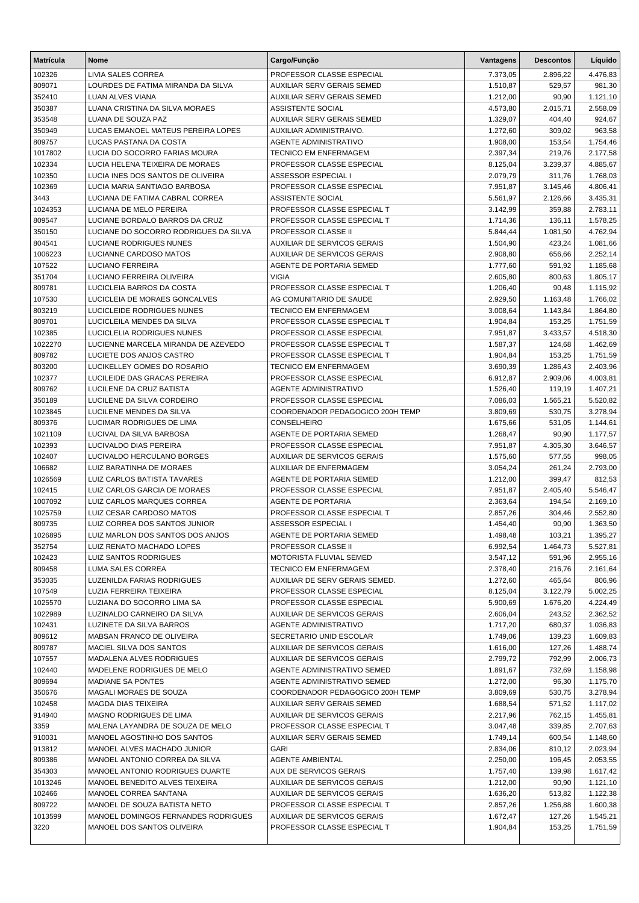| <b>Matrícula</b>   | <b>Nome</b>                                               | Cargo/Função                                             | Vantagens            | <b>Descontos</b>   | Líquido              |
|--------------------|-----------------------------------------------------------|----------------------------------------------------------|----------------------|--------------------|----------------------|
| 102326             | LIVIA SALES CORREA                                        | PROFESSOR CLASSE ESPECIAL                                | 7.373,05             | 2.896,22           | 4.476,83             |
| 809071             | LOURDES DE FATIMA MIRANDA DA SILVA                        | <b>AUXILIAR SERV GERAIS SEMED</b>                        | 1.510,87             | 529,57             | 981,30               |
| 352410             | LUAN ALVES VIANA                                          | <b>AUXILIAR SERV GERAIS SEMED</b>                        | 1.212,00             | 90,90              | 1.121,10             |
| 350387             | LUANA CRISTINA DA SILVA MORAES                            | <b>ASSISTENTE SOCIAL</b>                                 | 4.573,80             | 2.015,71           | 2.558,09             |
| 353548             | LUANA DE SOUZA PAZ                                        | AUXILIAR SERV GERAIS SEMED                               | 1.329,07             | 404,40             | 924,67               |
| 350949             | LUCAS EMANOEL MATEUS PEREIRA LOPES                        | AUXILIAR ADMINISTRAIVO.                                  | 1.272,60             | 309,02             | 963,58               |
| 809757             | LUCAS PASTANA DA COSTA                                    | <b>AGENTE ADMINISTRATIVO</b>                             | 1.908,00             | 153,54             | 1.754,46             |
| 1017802            | LUCIA DO SOCORRO FARIAS MOURA                             | <b>TECNICO EM ENFERMAGEM</b>                             | 2.397,34             | 219,76             | 2.177,58             |
| 102334             | LUCIA HELENA TEIXEIRA DE MORAES                           | PROFESSOR CLASSE ESPECIAL                                | 8.125,04             | 3.239,37           | 4.885,67             |
| 102350             | LUCIA INES DOS SANTOS DE OLIVEIRA                         | <b>ASSESSOR ESPECIAL I</b>                               | 2.079,79             | 311,76             | 1.768,03             |
| 102369             | LUCIA MARIA SANTIAGO BARBOSA                              | PROFESSOR CLASSE ESPECIAL                                | 7.951,87             | 3.145,46           | 4.806,41             |
| 3443               | LUCIANA DE FATIMA CABRAL CORREA                           | ASSISTENTE SOCIAL                                        | 5.561,97             | 2.126,66           | 3.435,31             |
| 1024353            | LUCIANA DE MELO PEREIRA                                   | PROFESSOR CLASSE ESPECIAL T                              | 3.142,99             | 359,88             | 2.783,11             |
| 809547             | LUCIANE BORDALO BARROS DA CRUZ                            | PROFESSOR CLASSE ESPECIAL T                              | 1.714,36             | 136,11             | 1.578,25             |
| 350150             | LUCIANE DO SOCORRO RODRIGUES DA SILVA                     | PROFESSOR CLASSE II                                      | 5.844,44             | 1.081,50           | 4.762,94             |
| 804541             | LUCIANE RODRIGUES NUNES                                   | <b>AUXILIAR DE SERVICOS GERAIS</b>                       | 1.504,90             | 423,24             | 1.081,66             |
| 1006223            | LUCIANNE CARDOSO MATOS<br><b>LUCIANO FERREIRA</b>         | AUXILIAR DE SERVICOS GERAIS                              | 2.908,80             | 656,66             | 2.252,14             |
| 107522<br>351704   | LUCIANO FERREIRA OLIVEIRA                                 | AGENTE DE PORTARIA SEMED<br><b>VIGIA</b>                 | 1.777,60<br>2.605,80 | 591,92<br>800,63   | 1.185,68             |
| 809781             | LUCICLEIA BARROS DA COSTA                                 | PROFESSOR CLASSE ESPECIAL T                              | 1.206,40             | 90,48              | 1.805,17<br>1.115,92 |
| 107530             | LUCICLEIA DE MORAES GONCALVES                             | AG COMUNITARIO DE SAUDE                                  | 2.929,50             | 1.163,48           | 1.766,02             |
| 803219             | LUCICLEIDE RODRIGUES NUNES                                | <b>TECNICO EM ENFERMAGEM</b>                             | 3.008,64             | 1.143,84           | 1.864,80             |
| 809701             | LUCICLEILA MENDES DA SILVA                                | PROFESSOR CLASSE ESPECIAL T                              | 1.904,84             | 153,25             | 1.751,59             |
| 102385             | LUCICLELIA RODRIGUES NUNES                                | PROFESSOR CLASSE ESPECIAL                                | 7.951,87             | 3.433,57           | 4.518,30             |
| 1022270            | LUCIENNE MARCELA MIRANDA DE AZEVEDO                       | PROFESSOR CLASSE ESPECIAL T                              | 1.587,37             | 124.68             | 1.462,69             |
| 809782             | LUCIETE DOS ANJOS CASTRO                                  | PROFESSOR CLASSE ESPECIAL T                              | 1.904,84             | 153,25             | 1.751,59             |
| 803200             | LUCIKELLEY GOMES DO ROSARIO                               | <b>TECNICO EM ENFERMAGEM</b>                             | 3.690,39             | 1.286,43           | 2.403,96             |
| 102377             | LUCILEIDE DAS GRACAS PEREIRA                              | PROFESSOR CLASSE ESPECIAL                                | 6.912,87             | 2.909,06           | 4.003,81             |
| 809762             | LUCILENE DA CRUZ BATISTA                                  | <b>AGENTE ADMINISTRATIVO</b>                             | 1.526,40             | 119,19             | 1.407,21             |
| 350189             | LUCILENE DA SILVA CORDEIRO                                | PROFESSOR CLASSE ESPECIAL                                | 7.086,03             | 1.565,21           | 5.520,82             |
| 1023845            | LUCILENE MENDES DA SILVA                                  | COORDENADOR PEDAGOGICO 200H TEMP                         | 3.809,69             | 530,75             | 3.278,94             |
| 809376             | LUCIMAR RODRIGUES DE LIMA                                 | CONSELHEIRO                                              | 1.675,66             | 531,05             | 1.144,61             |
| 1021109            | LUCIVAL DA SILVA BARBOSA                                  | AGENTE DE PORTARIA SEMED                                 | 1.268,47             | 90,90              | 1.177,57             |
| 102393             | LUCIVALDO DIAS PEREIRA                                    | PROFESSOR CLASSE ESPECIAL                                | 7.951,87             | 4.305,30           | 3.646,57             |
| 102407             | LUCIVALDO HERCULANO BORGES                                | <b>AUXILIAR DE SERVICOS GERAIS</b>                       | 1.575,60             | 577,55             | 998,05               |
| 106682             | LUIZ BARATINHA DE MORAES                                  | AUXILIAR DE ENFERMAGEM                                   | 3.054,24             | 261,24             | 2.793,00             |
| 1026569            | LUIZ CARLOS BATISTA TAVARES                               | AGENTE DE PORTARIA SEMED                                 | 1.212,00             | 399,47             | 812,53               |
| 102415             | LUIZ CARLOS GARCIA DE MORAES                              | PROFESSOR CLASSE ESPECIAL                                | 7.951,87             | 2.405,40           | 5.546,47             |
| 1007092            | LUIZ CARLOS MARQUES CORREA                                | <b>AGENTE DE PORTARIA</b>                                | 2.363,64             | 194,54             | 2.169,10             |
| 1025759            | LUIZ CESAR CARDOSO MATOS                                  | PROFESSOR CLASSE ESPECIAL T                              | 2.857,26             | 304,46             | 2.552,80             |
| 809735             | LUIZ CORREA DOS SANTOS JUNIOR                             | <b>ASSESSOR ESPECIAL I</b>                               | 1.454,40             | 90,90              | 1.363,50             |
| 1026895            | LUIZ MARLON DOS SANTOS DOS ANJOS                          | AGENTE DE PORTARIA SEMED                                 | 1.498,48             | 103,21             | 1.395,27             |
| 352754             | LUIZ RENATO MACHADO LOPES                                 | PROFESSOR CLASSE II                                      | 6.992,54             | 1.464,73           | 5.527,81             |
| 102423             | LUIZ SANTOS RODRIGUES                                     | MOTORISTA FLUVIAL SEMED                                  | 3.547,12             | 591,96             | 2.955,16             |
| 809458             | LUMA SALES CORREA                                         | TECNICO EM ENFERMAGEM                                    | 2.378,40             | 216,76             | 2.161,64             |
| 353035             | LUZENILDA FARIAS RODRIGUES                                | AUXILIAR DE SERV GERAIS SEMED.                           | 1.272,60             | 465,64             | 806,96               |
| 107549             | LUZIA FERREIRA TEIXEIRA                                   | PROFESSOR CLASSE ESPECIAL                                | 8.125,04             | 3.122,79           | 5.002,25<br>4.224,49 |
| 1025570<br>1022989 | LUZIANA DO SOCORRO LIMA SA<br>LUZINALDO CARNEIRO DA SILVA | PROFESSOR CLASSE ESPECIAL<br>AUXILIAR DE SERVICOS GERAIS | 5.900,69<br>2.606,04 | 1.676,20<br>243,52 | 2.362,52             |
| 102431             | LUZINETE DA SILVA BARROS                                  | AGENTE ADMINISTRATIVO                                    | 1.717,20             | 680,37             | 1.036,83             |
| 809612             | MABSAN FRANCO DE OLIVEIRA                                 | SECRETARIO UNID ESCOLAR                                  | 1.749,06             | 139,23             | 1.609,83             |
| 809787             | MACIEL SILVA DOS SANTOS                                   | <b>AUXILIAR DE SERVICOS GERAIS</b>                       | 1.616,00             | 127,26             | 1.488,74             |
| 107557             | MADALENA ALVES RODRIGUES                                  | AUXILIAR DE SERVICOS GERAIS                              | 2.799,72             | 792,99             | 2.006,73             |
| 102440             | MADELENE RODRIGUES DE MELO                                | AGENTE ADMINISTRATIVO SEMED                              | 1.891,67             | 732,69             | 1.158,98             |
| 809694             | <b>MADIANE SA PONTES</b>                                  | AGENTE ADMINISTRATIVO SEMED                              | 1.272,00             | 96,30              | 1.175,70             |
| 350676             | MAGALI MORAES DE SOUZA                                    | COORDENADOR PEDAGOGICO 200H TEMP                         | 3.809,69             | 530,75             | 3.278,94             |
| 102458             | MAGDA DIAS TEIXEIRA                                       | AUXILIAR SERV GERAIS SEMED                               | 1.688,54             | 571,52             | 1.117,02             |
| 914940             | MAGNO RODRIGUES DE LIMA                                   | AUXILIAR DE SERVICOS GERAIS                              | 2.217,96             | 762,15             | 1.455,81             |
| 3359               | MALENA LAYANDRA DE SOUZA DE MELO                          | PROFESSOR CLASSE ESPECIAL T                              | 3.047,48             | 339,85             | 2.707,63             |
| 910031             | MANOEL AGOSTINHO DOS SANTOS                               | AUXILIAR SERV GERAIS SEMED                               | 1.749,14             | 600,54             | 1.148,60             |
| 913812             | MANOEL ALVES MACHADO JUNIOR                               | <b>GARI</b>                                              | 2.834,06             | 810,12             | 2.023,94             |
| 809386             | MANOEL ANTONIO CORREA DA SILVA                            | AGENTE AMBIENTAL                                         | 2.250,00             | 196,45             | 2.053,55             |
| 354303             | MANOEL ANTONIO RODRIGUES DUARTE                           | AUX DE SERVICOS GERAIS                                   | 1.757,40             | 139,98             | 1.617,42             |
| 1013246            | MANOEL BENEDITO ALVES TEIXEIRA                            | AUXILIAR DE SERVICOS GERAIS                              | 1.212,00             | 90,90              | 1.121,10             |
| 102466             | MANOEL CORREA SANTANA                                     | AUXILIAR DE SERVICOS GERAIS                              | 1.636,20             | 513,82             | 1.122,38             |
| 809722             | MANOEL DE SOUZA BATISTA NETO                              | PROFESSOR CLASSE ESPECIAL T                              | 2.857,26             | 1.256,88           | 1.600,38             |
| 1013599            | MANOEL DOMINGOS FERNANDES RODRIGUES                       | AUXILIAR DE SERVICOS GERAIS                              | 1.672,47             | 127,26             | 1.545,21             |
| 3220               | MANOEL DOS SANTOS OLIVEIRA                                | PROFESSOR CLASSE ESPECIAL T                              | 1.904,84             | 153,25             | 1.751,59             |
|                    |                                                           |                                                          |                      |                    |                      |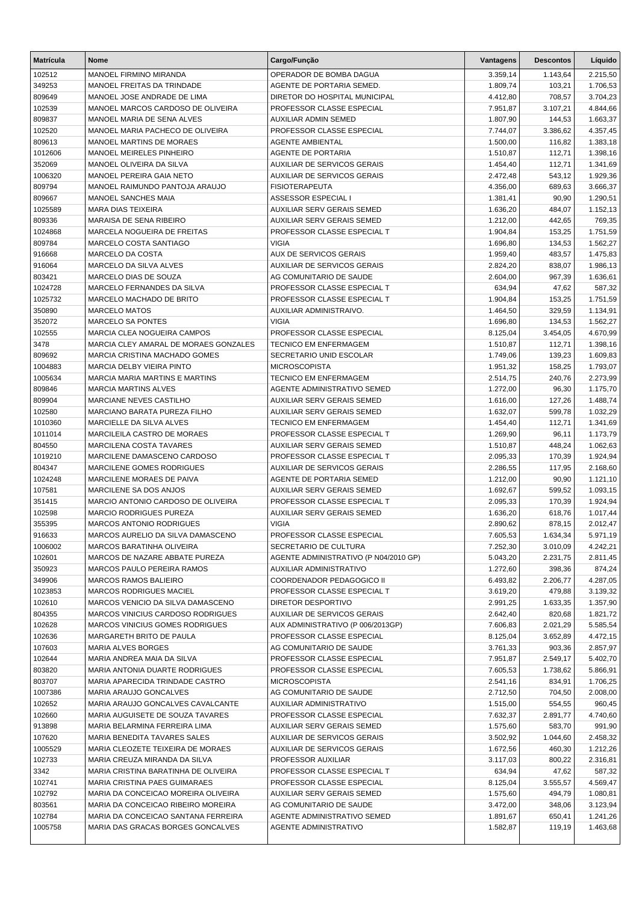| <b>Matrícula</b>  | <b>Nome</b>                                                                 | Cargo/Função                                                   | Vantagens            | <b>Descontos</b>     | Líquido              |
|-------------------|-----------------------------------------------------------------------------|----------------------------------------------------------------|----------------------|----------------------|----------------------|
| 102512            | MANOEL FIRMINO MIRANDA                                                      | OPERADOR DE BOMBA DAGUA                                        | 3.359,14             | 1.143,64             | 2.215,50             |
| 349253            | MANOEL FREITAS DA TRINDADE                                                  | AGENTE DE PORTARIA SEMED.                                      | 1.809,74             | 103,21               | 1.706,53             |
| 809649            | MANOEL JOSE ANDRADE DE LIMA                                                 | DIRETOR DO HOSPITAL MUNICIPAL                                  | 4.412,80             | 708,57               | 3.704,23             |
| 102539            | MANOEL MARCOS CARDOSO DE OLIVEIRA                                           | PROFESSOR CLASSE ESPECIAL                                      | 7.951,87             | 3.107,21             | 4.844,66             |
| 809837            | MANOEL MARIA DE SENA ALVES                                                  | AUXILIAR ADMIN SEMED                                           | 1.807,90             | 144,53               | 1.663,37             |
| 102520            | MANOEL MARIA PACHECO DE OLIVEIRA                                            | PROFESSOR CLASSE ESPECIAL                                      | 7.744,07             | 3.386,62             | 4.357,45             |
| 809613            | MANOEL MARTINS DE MORAES                                                    | AGENTE AMBIENTAL                                               | 1.500,00             | 116,82               | 1.383,18             |
| 1012606           | MANOEL MEIRELES PINHEIRO                                                    | <b>AGENTE DE PORTARIA</b>                                      | 1.510,87             | 112,71               | 1.398,16             |
| 352069            | MANOEL OLIVEIRA DA SILVA                                                    | <b>AUXILIAR DE SERVICOS GERAIS</b>                             | 1.454,40             | 112,71               | 1.341,69             |
| 1006320           | MANOEL PEREIRA GAIA NETO                                                    | <b>AUXILIAR DE SERVICOS GERAIS</b>                             | 2.472,48             | 543,12               | 1.929,36             |
| 809794            | MANOEL RAIMUNDO PANTOJA ARAUJO                                              | <b>FISIOTERAPEUTA</b>                                          | 4.356,00             | 689,63               | 3.666,37             |
| 809667            | <b>MANOEL SANCHES MAIA</b>                                                  | ASSESSOR ESPECIAL I                                            | 1.381,41             | 90,90                | 1.290,51             |
| 1025589           | MARA DIAS TEIXEIRA                                                          | <b>AUXILIAR SERV GERAIS SEMED</b>                              | 1.636,20             | 484,07               | 1.152,13             |
| 809336            | MARAISA DE SENA RIBEIRO                                                     | AUXILIAR SERV GERAIS SEMED                                     | 1.212,00             | 442,65               | 769,35               |
| 1024868           | MARCELA NOGUEIRA DE FREITAS                                                 | PROFESSOR CLASSE ESPECIAL T                                    | 1.904,84             | 153,25               | 1.751,59             |
| 809784            | MARCELO COSTA SANTIAGO                                                      | <b>VIGIA</b>                                                   | 1.696,80             | 134,53               | 1.562,27             |
| 916668            | MARCELO DA COSTA                                                            | <b>AUX DE SERVICOS GERAIS</b>                                  | 1.959,40             | 483,57               | 1.475,83             |
| 916064            | MARCELO DA SILVA ALVES<br>MARCELO DIAS DE SOUZA                             | AUXILIAR DE SERVICOS GERAIS                                    | 2.824,20             | 838,07               | 1.986,13             |
| 803421<br>1024728 | MARCELO FERNANDES DA SILVA                                                  | AG COMUNITARIO DE SAUDE<br>PROFESSOR CLASSE ESPECIAL T         | 2.604,00<br>634,94   | 967,39<br>47,62      | 1.636,61             |
| 1025732           | MARCELO MACHADO DE BRITO                                                    | PROFESSOR CLASSE ESPECIAL T                                    | 1.904,84             | 153,25               | 587,32<br>1.751,59   |
| 350890            | <b>MARCELO MATOS</b>                                                        | AUXILIAR ADMINISTRAIVO.                                        | 1.464,50             | 329,59               | 1.134,91             |
| 352072            | MARCELO SA PONTES                                                           | <b>VIGIA</b>                                                   | 1.696,80             | 134,53               | 1.562,27             |
| 102555            | <b>MARCIA CLEA NOGUEIRA CAMPOS</b>                                          | PROFESSOR CLASSE ESPECIAL                                      | 8.125,04             | 3.454,05             | 4.670,99             |
| 3478              | MARCIA CLEY AMARAL DE MORAES GONZALES                                       | <b>TECNICO EM ENFERMAGEM</b>                                   | 1.510,87             | 112,71               | 1.398,16             |
| 809692            | MARCIA CRISTINA MACHADO GOMES                                               | SECRETARIO UNID ESCOLAR                                        | 1.749,06             | 139,23               | 1.609,83             |
| 1004883           | MARCIA DELBY VIEIRA PINTO                                                   | <b>MICROSCOPISTA</b>                                           | 1.951,32             | 158,25               | 1.793,07             |
| 1005634           | <b>MARCIA MARIA MARTINS E MARTINS</b>                                       | <b>TECNICO EM ENFERMAGEM</b>                                   | 2.514,75             | 240,76               | 2.273,99             |
| 809846            | <b>MARCIA MARTINS ALVES</b>                                                 | AGENTE ADMINISTRATIVO SEMED                                    | 1.272,00             | 96,30                | 1.175,70             |
| 809904            | MARCIANE NEVES CASTILHO                                                     | <b>AUXILIAR SERV GERAIS SEMED</b>                              | 1.616,00             | 127,26               | 1.488,74             |
| 102580            | MARCIANO BARATA PUREZA FILHO                                                | AUXILIAR SERV GERAIS SEMED                                     | 1.632,07             | 599,78               | 1.032,29             |
| 1010360           | MARCIELLE DA SILVA ALVES                                                    | <b>TECNICO EM ENFERMAGEM</b>                                   | 1.454,40             | 112,71               | 1.341,69             |
| 1011014           | MARCILEILA CASTRO DE MORAES                                                 | PROFESSOR CLASSE ESPECIAL T                                    | 1.269,90             | 96,11                | 1.173,79             |
| 804550            | <b>MARCILENA COSTA TAVARES</b>                                              | <b>AUXILIAR SERV GERAIS SEMED</b>                              | 1.510,87             | 448,24               | 1.062,63             |
| 1019210           | MARCILENE DAMASCENO CARDOSO                                                 | PROFESSOR CLASSE ESPECIAL T                                    | 2.095,33             | 170,39               | 1.924,94             |
| 804347            | MARCILENE GOMES RODRIGUES                                                   | <b>AUXILIAR DE SERVICOS GERAIS</b>                             | 2.286,55             | 117,95               | 2.168,60             |
| 1024248           | MARCILENE MORAES DE PAIVA                                                   | AGENTE DE PORTARIA SEMED                                       | 1.212,00             | 90,90                | 1.121,10             |
| 107581            | MARCILENE SA DOS ANJOS                                                      | <b>AUXILIAR SERV GERAIS SEMED</b>                              | 1.692,67             | 599,52               | 1.093,15             |
| 351415            | MARCIO ANTONIO CARDOSO DE OLIVEIRA                                          | PROFESSOR CLASSE ESPECIAL T                                    | 2.095,33             | 170,39               | 1.924,94             |
| 102598            | <b>MARCIO RODRIGUES PUREZA</b>                                              | <b>AUXILIAR SERV GERAIS SEMED</b>                              | 1.636,20             | 618,76               | 1.017,44             |
| 355395            | <b>MARCOS ANTONIO RODRIGUES</b>                                             | <b>VIGIA</b>                                                   | 2.890,62             | 878,15               | 2.012,47             |
| 916633            | MARCOS AURELIO DA SILVA DAMASCENO                                           | PROFESSOR CLASSE ESPECIAL                                      | 7.605,53             | 1.634,34             | 5.971,19             |
| 1006002           | MARCOS BARATINHA OLIVEIRA                                                   | SECRETARIO DE CULTURA                                          | 7.252,30             | 3.010,09             | 4.242,21             |
| 102601            | MARCOS DE NAZARE ABBATE PUREZA                                              | AGENTE ADMINISTRATIVO (P N04/2010 GP)                          | 5.043,20             | 2.231,75             | 2.811,45             |
| 350923            | MARCOS PAULO PEREIRA RAMOS                                                  | AUXILIAR ADMINISTRATIVO                                        | 1.272,60             | 398,36               | 874,24               |
| 349906            | MARCOS RAMOS BALIEIRO                                                       | COORDENADOR PEDAGOGICO II                                      | 6.493,82             | 2.206,77             | 4.287,05             |
| 1023853           | <b>MARCOS RODRIGUES MACIEL</b>                                              | PROFESSOR CLASSE ESPECIAL T                                    | 3.619,20             | 479,88               | 3.139,32             |
| 102610            | MARCOS VENICIO DA SILVA DAMASCENO                                           | DIRETOR DESPORTIVO                                             | 2.991,25             | 1.633,35             | 1.357,90             |
| 804355            | MARCOS VINICIUS CARDOSO RODRIGUES<br><b>MARCOS VINICIUS GOMES RODRIGUES</b> | AUXILIAR DE SERVICOS GERAIS                                    | 2.642,40             | 820,68               | 1.821,72             |
| 102628<br>102636  | MARGARETH BRITO DE PAULA                                                    | AUX ADMINISTRATIVO (P 006/2013GP)<br>PROFESSOR CLASSE ESPECIAL | 7.606,83<br>8.125,04 | 2.021,29<br>3.652,89 | 5.585,54<br>4.472,15 |
| 107603            | <b>MARIA ALVES BORGES</b>                                                   | AG COMUNITARIO DE SAUDE                                        | 3.761,33             | 903,36               | 2.857,97             |
| 102644            | MARIA ANDREA MAIA DA SILVA                                                  | PROFESSOR CLASSE ESPECIAL                                      | 7.951,87             | 2.549,17             | 5.402,70             |
| 803820            | MARIA ANTONIA DUARTE RODRIGUES                                              | PROFESSOR CLASSE ESPECIAL                                      | 7.605,53             | 1.738,62             | 5.866,91             |
| 803707            | MARIA APARECIDA TRINDADE CASTRO                                             | <b>MICROSCOPISTA</b>                                           | 2.541,16             | 834,91               | 1.706,25             |
| 1007386           | MARIA ARAUJO GONCALVES                                                      | AG COMUNITARIO DE SAUDE                                        | 2.712,50             | 704,50               | 2.008,00             |
| 102652            | MARIA ARAUJO GONCALVES CAVALCANTE                                           | AUXILIAR ADMINISTRATIVO                                        | 1.515,00             | 554,55               | 960,45               |
| 102660            | MARIA AUGUISETE DE SOUZA TAVARES                                            | PROFESSOR CLASSE ESPECIAL                                      | 7.632,37             | 2.891,77             | 4.740,60             |
| 913898            | MARIA BELARMINA FERREIRA LIMA                                               | AUXILIAR SERV GERAIS SEMED                                     | 1.575,60             | 583,70               | 991,90               |
| 107620            | MARIA BENEDITA TAVARES SALES                                                | AUXILIAR DE SERVICOS GERAIS                                    | 3.502,92             | 1.044,60             | 2.458,32             |
| 1005529           | MARIA CLEOZETE TEIXEIRA DE MORAES                                           | AUXILIAR DE SERVICOS GERAIS                                    | 1.672,56             | 460,30               | 1.212,26             |
| 102733            | MARIA CREUZA MIRANDA DA SILVA                                               | PROFESSOR AUXILIAR                                             | 3.117,03             | 800,22               | 2.316,81             |
| 3342              | MARIA CRISTINA BARATINHA DE OLIVEIRA                                        | PROFESSOR CLASSE ESPECIAL T                                    | 634,94               | 47,62                | 587,32               |
| 102741            | <b>MARIA CRISTINA PAES GUIMARAES</b>                                        | PROFESSOR CLASSE ESPECIAL                                      | 8.125,04             | 3.555,57             | 4.569,47             |
| 102792            | MARIA DA CONCEICAO MOREIRA OLIVEIRA                                         | AUXILIAR SERV GERAIS SEMED                                     | 1.575,60             | 494,79               | 1.080,81             |
| 803561            | MARIA DA CONCEICAO RIBEIRO MOREIRA                                          | AG COMUNITARIO DE SAUDE                                        | 3.472,00             | 348,06               | 3.123,94             |
| 102784            | MARIA DA CONCEICAO SANTANA FERREIRA                                         | AGENTE ADMINISTRATIVO SEMED                                    | 1.891,67             | 650,41               | 1.241,26             |
| 1005758           | MARIA DAS GRACAS BORGES GONCALVES                                           | <b>AGENTE ADMINISTRATIVO</b>                                   | 1.582,87             | 119,19               | 1.463,68             |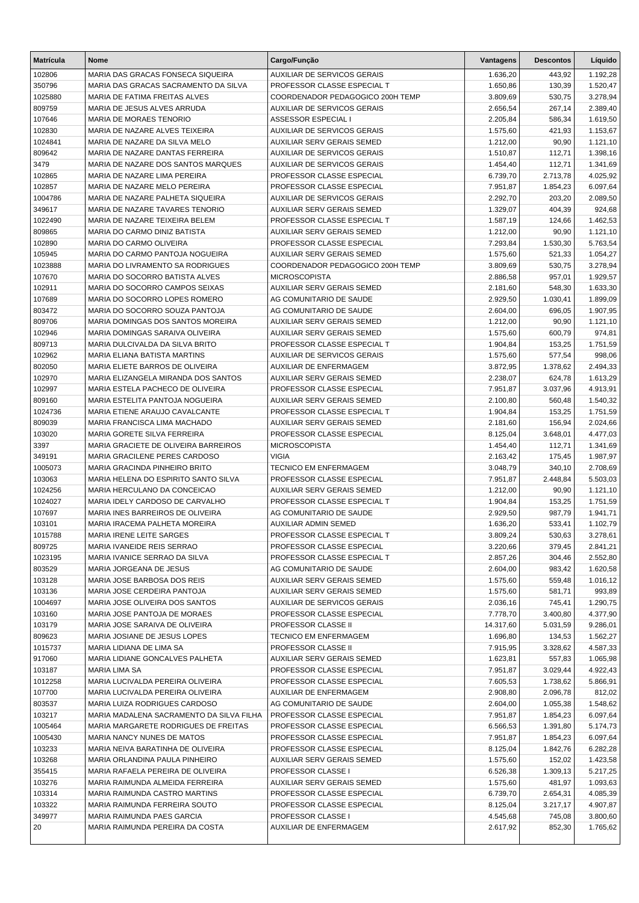| <b>Matrícula</b>  | Nome                                                                | Cargo/Função                                                     | Vantagens            | <b>Descontos</b>   | Líquido              |
|-------------------|---------------------------------------------------------------------|------------------------------------------------------------------|----------------------|--------------------|----------------------|
| 102806            | MARIA DAS GRACAS FONSECA SIQUEIRA                                   | <b>AUXILIAR DE SERVICOS GERAIS</b>                               | 1.636,20             | 443,92             | 1.192,28             |
| 350796            | MARIA DAS GRACAS SACRAMENTO DA SILVA                                | PROFESSOR CLASSE ESPECIAL T                                      | 1.650,86             | 130,39             | 1.520,47             |
| 1025880           | MARIA DE FATIMA FREITAS ALVES                                       | COORDENADOR PEDAGOGICO 200H TEMP                                 | 3.809,69             | 530,75             | 3.278,94             |
| 809759            | MARIA DE JESUS ALVES ARRUDA                                         | <b>AUXILIAR DE SERVICOS GERAIS</b>                               | 2.656,54             | 267,14             | 2.389,40             |
| 107646            | MARIA DE MORAES TENORIO                                             | ASSESSOR ESPECIAL I                                              | 2.205,84             | 586,34             | 1.619,50             |
| 102830            | MARIA DE NAZARE ALVES TEIXEIRA                                      | <b>AUXILIAR DE SERVICOS GERAIS</b>                               | 1.575,60             | 421,93             | 1.153,67             |
| 1024841           | MARIA DE NAZARE DA SILVA MELO                                       | <b>AUXILIAR SERV GERAIS SEMED</b>                                | 1.212,00             | 90,90              | 1.121,10             |
| 809642            | MARIA DE NAZARE DANTAS FERREIRA                                     | <b>AUXILIAR DE SERVICOS GERAIS</b>                               | 1.510,87             | 112,71             | 1.398,16             |
| 3479              | MARIA DE NAZARE DOS SANTOS MARQUES                                  | <b>AUXILIAR DE SERVICOS GERAIS</b>                               | 1.454,40             | 112,71             | 1.341,69             |
| 102865            | MARIA DE NAZARE LIMA PEREIRA                                        | PROFESSOR CLASSE ESPECIAL                                        | 6.739,70             | 2.713,78           | 4.025,92             |
| 102857            | MARIA DE NAZARE MELO PEREIRA                                        | PROFESSOR CLASSE ESPECIAL                                        | 7.951,87             | 1.854,23           | 6.097,64             |
| 1004786<br>349617 | MARIA DE NAZARE PALHETA SIQUEIRA<br>MARIA DE NAZARE TAVARES TENORIO | <b>AUXILIAR DE SERVICOS GERAIS</b><br>AUXILIAR SERV GERAIS SEMED | 2.292,70<br>1.329,07 | 203,20<br>404,39   | 2.089,50<br>924,68   |
| 1022490           | MARIA DE NAZARE TEIXEIRA BELEM                                      | PROFESSOR CLASSE ESPECIAL T                                      | 1.587,19             | 124,66             | 1.462,53             |
| 809865            | MARIA DO CARMO DINIZ BATISTA                                        | AUXILIAR SERV GERAIS SEMED                                       | 1.212,00             | 90,90              | 1.121,10             |
| 102890            | MARIA DO CARMO OLIVEIRA                                             | PROFESSOR CLASSE ESPECIAL                                        | 7.293,84             | 1.530,30           | 5.763,54             |
| 105945            | MARIA DO CARMO PANTOJA NOGUEIRA                                     | AUXILIAR SERV GERAIS SEMED                                       | 1.575,60             | 521,33             | 1.054,27             |
| 1023888           | MARIA DO LIVRAMENTO SA RODRIGUES                                    | COORDENADOR PEDAGOGICO 200H TEMP                                 | 3.809,69             | 530,75             | 3.278,94             |
| 107670            | MARIA DO SOCORRO BATISTA ALVES                                      | <b>MICROSCOPISTA</b>                                             | 2.886,58             | 957,01             | 1.929,57             |
| 102911            | MARIA DO SOCORRO CAMPOS SEIXAS                                      | <b>AUXILIAR SERV GERAIS SEMED</b>                                | 2.181,60             | 548,30             | 1.633,30             |
| 107689            | MARIA DO SOCORRO LOPES ROMERO                                       | AG COMUNITARIO DE SAUDE                                          | 2.929,50             | 1.030,41           | 1.899,09             |
| 803472            | MARIA DO SOCORRO SOUZA PANTOJA                                      | AG COMUNITARIO DE SAUDE                                          | 2.604,00             | 696,05             | 1.907,95             |
| 809706            | MARIA DOMINGAS DOS SANTOS MOREIRA                                   | <b>AUXILIAR SERV GERAIS SEMED</b>                                | 1.212,00             | 90,90              | 1.121,10             |
| 102946            | MARIA DOMINGAS SARAIVA OLIVEIRA                                     | <b>AUXILIAR SERV GERAIS SEMED</b>                                | 1.575,60             | 600,79             | 974,81               |
| 809713            | MARIA DULCIVALDA DA SILVA BRITO                                     | PROFESSOR CLASSE ESPECIAL T                                      | 1.904,84             | 153,25             | 1.751,59             |
| 102962            | MARIA ELIANA BATISTA MARTINS                                        | <b>AUXILIAR DE SERVICOS GERAIS</b>                               | 1.575,60             | 577,54             | 998,06               |
| 802050            | MARIA ELIETE BARROS DE OLIVEIRA                                     | AUXILIAR DE ENFERMAGEM                                           | 3.872,95             | 1.378,62           | 2.494,33             |
| 102970            | MARIA ELIZANGELA MIRANDA DOS SANTOS                                 | <b>AUXILIAR SERV GERAIS SEMED</b>                                | 2.238,07             | 624,78             | 1.613,29             |
| 102997            | MARIA ESTELA PACHECO DE OLIVEIRA                                    | PROFESSOR CLASSE ESPECIAL                                        | 7.951,87             | 3.037,96           | 4.913,91             |
| 809160            | MARIA ESTELITA PANTOJA NOGUEIRA                                     | AUXILIAR SERV GERAIS SEMED                                       | 2.100,80             | 560,48             | 1.540,32             |
| 1024736           | MARIA ETIENE ARAUJO CAVALCANTE                                      | PROFESSOR CLASSE ESPECIAL T                                      | 1.904,84             | 153,25             | 1.751,59             |
| 809039            | MARIA FRANCISCA LIMA MACHADO                                        | AUXILIAR SERV GERAIS SEMED                                       | 2.181,60             | 156,94             | 2.024,66             |
| 103020<br>3397    | MARIA GORETE SILVA FERREIRA<br>MARIA GRACIETE DE OLIVEIRA BARREIROS | PROFESSOR CLASSE ESPECIAL<br><b>MICROSCOPISTA</b>                | 8.125,04             | 3.648,01<br>112,71 | 4.477,03             |
| 349191            | MARIA GRACILENE PERES CARDOSO                                       | <b>VIGIA</b>                                                     | 1.454,40<br>2.163,42 | 175,45             | 1.341,69<br>1.987,97 |
| 1005073           | MARIA GRACINDA PINHEIRO BRITO                                       | <b>TECNICO EM ENFERMAGEM</b>                                     | 3.048,79             | 340,10             | 2.708,69             |
| 103063            | MARIA HELENA DO ESPIRITO SANTO SILVA                                | PROFESSOR CLASSE ESPECIAL                                        | 7.951,87             | 2.448,84           | 5.503,03             |
| 1024256           | MARIA HERCULANO DA CONCEICAO                                        | AUXILIAR SERV GERAIS SEMED                                       | 1.212,00             | 90,90              | 1.121,10             |
| 1024027           | MARIA IDELY CARDOSO DE CARVALHO                                     | PROFESSOR CLASSE ESPECIAL T                                      | 1.904,84             | 153,25             | 1.751,59             |
| 107697            | MARIA INES BARREIROS DE OLIVEIRA                                    | AG COMUNITARIO DE SAUDE                                          | 2.929,50             | 987,79             | 1.941,71             |
| 103101            | MARIA IRACEMA PALHETA MOREIRA                                       | AUXILIAR ADMIN SEMED                                             | 1.636,20             | 533,41             | 1.102,79             |
| 1015788           | MARIA IRENE LEITE SARGES                                            | PROFESSOR CLASSE ESPECIAL T                                      | 3.809,24             | 530,63             | 3.278,61             |
| 809725            | MARIA IVANEIDE REIS SERRAO                                          | PROFESSOR CLASSE ESPECIAL                                        | 3.220,66             | 379,45             | 2.841,21             |
| 1023195           | MARIA IVANICE SERRAO DA SILVA                                       | PROFESSOR CLASSE ESPECIAL T                                      | 2.857,26             | 304,46             | 2.552,80             |
| 803529            | MARIA JORGEANA DE JESUS                                             | AG COMUNITARIO DE SAUDE                                          | 2.604,00             | 983,42             | 1.620,58             |
| 103128            | MARIA JOSE BARBOSA DOS REIS                                         | AUXILIAR SERV GERAIS SEMED                                       | 1.575,60             | 559,48             | 1.016,12             |
| 103136            | MARIA JOSE CERDEIRA PANTOJA                                         | AUXILIAR SERV GERAIS SEMED                                       | 1.575,60             | 581,71             | 993,89               |
| 1004697           | MARIA JOSE OLIVEIRA DOS SANTOS                                      | AUXILIAR DE SERVICOS GERAIS                                      | 2.036,16             | 745,41             | 1.290,75             |
| 103160            | MARIA JOSE PANTOJA DE MORAES                                        | PROFESSOR CLASSE ESPECIAL                                        | 7.778,70             | 3.400,80           | 4.377,90             |
| 103179            | MARIA JOSE SARAIVA DE OLIVEIRA                                      | PROFESSOR CLASSE II                                              | 14.317,60            | 5.031,59           | 9.286,01             |
| 809623            | MARIA JOSIANE DE JESUS LOPES                                        | <b>TECNICO EM ENFERMAGEM</b>                                     | 1.696,80             | 134,53             | 1.562,27             |
| 1015737           | MARIA LIDIANA DE LIMA SA                                            | <b>PROFESSOR CLASSE II</b>                                       | 7.915,95             | 3.328,62           | 4.587,33             |
| 917060<br>103187  | MARIA LIDIANE GONCALVES PALHETA<br><b>MARIA LIMA SA</b>             | AUXILIAR SERV GERAIS SEMED<br>PROFESSOR CLASSE ESPECIAL          | 1.623,81<br>7.951,87 | 557,83<br>3.029,44 | 1.065,98<br>4.922,43 |
| 1012258           | MARIA LUCIVALDA PEREIRA OLIVEIRA                                    | PROFESSOR CLASSE ESPECIAL                                        | 7.605,53             | 1.738,62           | 5.866,91             |
| 107700            | MARIA LUCIVALDA PEREIRA OLIVEIRA                                    | AUXILIAR DE ENFERMAGEM                                           | 2.908,80             | 2.096,78           | 812,02               |
| 803537            | MARIA LUIZA RODRIGUES CARDOSO                                       | AG COMUNITARIO DE SAUDE                                          | 2.604,00             | 1.055,38           | 1.548,62             |
| 103217            | MARIA MADALENA SACRAMENTO DA SILVA FILHA                            | PROFESSOR CLASSE ESPECIAL                                        | 7.951,87             | 1.854,23           | 6.097,64             |
| 1005464           | MARIA MARGARETE RODRIGUES DE FREITAS                                | PROFESSOR CLASSE ESPECIAL                                        | 6.566,53             | 1.391,80           | 5.174,73             |
| 1005430           | MARIA NANCY NUNES DE MATOS                                          | PROFESSOR CLASSE ESPECIAL                                        | 7.951,87             | 1.854,23           | 6.097,64             |
| 103233            | MARIA NEIVA BARATINHA DE OLIVEIRA                                   | PROFESSOR CLASSE ESPECIAL                                        | 8.125,04             | 1.842,76           | 6.282,28             |
| 103268            | MARIA ORLANDINA PAULA PINHEIRO                                      | AUXILIAR SERV GERAIS SEMED                                       | 1.575,60             | 152,02             | 1.423,58             |
| 355415            | MARIA RAFAELA PEREIRA DE OLIVEIRA                                   | PROFESSOR CLASSE I                                               | 6.526,38             | 1.309,13           | 5.217,25             |
| 103276            | MARIA RAIMUNDA ALMEIDA FERREIRA                                     | AUXILIAR SERV GERAIS SEMED                                       | 1.575,60             | 481,97             | 1.093,63             |
| 103314            | MARIA RAIMUNDA CASTRO MARTINS                                       | PROFESSOR CLASSE ESPECIAL                                        | 6.739,70             | 2.654,31           | 4.085,39             |
| 103322            | MARIA RAIMUNDA FERREIRA SOUTO                                       | PROFESSOR CLASSE ESPECIAL                                        | 8.125,04             | 3.217,17           | 4.907,87             |
| 349977            | MARIA RAIMUNDA PAES GARCIA                                          | PROFESSOR CLASSE I                                               | 4.545,68             | 745,08             | 3.800,60             |
| 20                | MARIA RAIMUNDA PEREIRA DA COSTA                                     | AUXILIAR DE ENFERMAGEM                                           | 2.617,92             | 852,30             | 1.765,62             |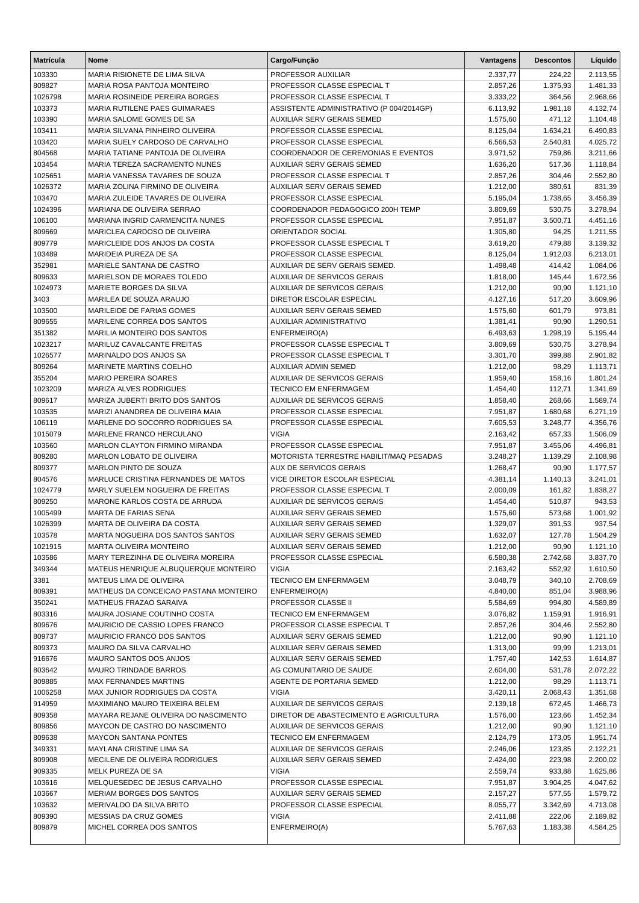| <b>Matrícula</b>  | Nome                                                    | Cargo/Função                                                         | Vantagens            | <b>Descontos</b>   | Líquido              |
|-------------------|---------------------------------------------------------|----------------------------------------------------------------------|----------------------|--------------------|----------------------|
| 103330            | MARIA RISIONETE DE LIMA SILVA                           | PROFESSOR AUXILIAR                                                   | 2.337,77             | 224,22             | 2.113,55             |
| 809827            | MARIA ROSA PANTOJA MONTEIRO                             | PROFESSOR CLASSE ESPECIAL T                                          | 2.857,26             | 1.375,93           | 1.481,33             |
| 1026798           | MARIA ROSINEIDE PEREIRA BORGES                          | PROFESSOR CLASSE ESPECIAL T                                          | 3.333,22             | 364,56             | 2.968,66             |
| 103373            | MARIA RUTILENE PAES GUIMARAES                           | ASSISTENTE ADMINISTRATIVO (P 004/2014GP)                             | 6.113,92             | 1.981,18           | 4.132,74             |
| 103390            | MARIA SALOME GOMES DE SA                                | AUXILIAR SERV GERAIS SEMED                                           | 1.575,60             | 471,12             | 1.104,48             |
| 103411            | MARIA SILVANA PINHEIRO OLIVEIRA                         | PROFESSOR CLASSE ESPECIAL                                            | 8.125,04             | 1.634,21           | 6.490,83             |
| 103420            | MARIA SUELY CARDOSO DE CARVALHO                         | PROFESSOR CLASSE ESPECIAL                                            | 6.566,53             | 2.540,81           | 4.025,72             |
| 804568            | MARIA TATIANE PANTOJA DE OLIVEIRA                       | COORDENADOR DE CEREMONIAS E EVENTOS                                  | 3.971,52             | 759,86             | 3.211,66             |
| 103454            | MARIA TEREZA SACRAMENTO NUNES                           | AUXILIAR SERV GERAIS SEMED                                           | 1.636,20             | 517,36             | 1.118,84             |
| 1025651           | MARIA VANESSA TAVARES DE SOUZA                          | PROFESSOR CLASSE ESPECIAL T                                          | 2.857,26             | 304,46             | 2.552,80             |
| 1026372           | MARIA ZOLINA FIRMINO DE OLIVEIRA                        | <b>AUXILIAR SERV GERAIS SEMED</b>                                    | 1.212,00             | 380,61             | 831,39               |
| 103470            | MARIA ZULEIDE TAVARES DE OLIVEIRA                       | PROFESSOR CLASSE ESPECIAL                                            | 5.195,04             | 1.738,65           | 3.456,39             |
| 1024396           | MARIANA DE OLIVEIRA SERRAO                              | COORDENADOR PEDAGOGICO 200H TEMP                                     | 3.809,69             | 530,75             | 3.278,94             |
| 106100            | MARIANA INGRID CARMENCITA NUNES                         | PROFESSOR CLASSE ESPECIAL                                            | 7.951,87             | 3.500,71           | 4.451,16             |
| 809669            | MARICLEA CARDOSO DE OLIVEIRA                            | ORIENTADOR SOCIAL                                                    | 1.305,80             | 94,25              | 1.211,55             |
| 809779            | MARICLEIDE DOS ANJOS DA COSTA                           | PROFESSOR CLASSE ESPECIAL T                                          | 3.619,20             | 479,88             | 3.139,32             |
| 103489            | MARIDEIA PUREZA DE SA                                   | PROFESSOR CLASSE ESPECIAL                                            | 8.125,04             | 1.912,03           | 6.213,01             |
| 352981            | MARIELE SANTANA DE CASTRO<br>MARIELSON DE MORAES TOLEDO | AUXILIAR DE SERV GERAIS SEMED.<br><b>AUXILIAR DE SERVICOS GERAIS</b> | 1.498,48             | 414,42             | 1.084,06             |
| 809633<br>1024973 | MARIETE BORGES DA SILVA                                 | <b>AUXILIAR DE SERVICOS GERAIS</b>                                   | 1.818,00<br>1.212,00 | 145,44<br>90,90    | 1.672,56<br>1.121,10 |
| 3403              | MARILEA DE SOUZA ARAUJO                                 | <b>DIRETOR ESCOLAR ESPECIAL</b>                                      | 4.127,16             | 517,20             | 3.609,96             |
| 103500            | MARILEIDE DE FARIAS GOMES                               | AUXILIAR SERV GERAIS SEMED                                           | 1.575,60             | 601,79             | 973,81               |
| 809655            | MARILENE CORREA DOS SANTOS                              | AUXILIAR ADMINISTRATIVO                                              | 1.381,41             | 90,90              | 1.290,51             |
| 351382            | MARILIA MONTEIRO DOS SANTOS                             | ENFERMEIRO(A)                                                        | 6.493,63             | 1.298,19           | 5.195,44             |
| 1023217           | MARILUZ CAVALCANTE FREITAS                              | PROFESSOR CLASSE ESPECIAL T                                          | 3.809,69             | 530,75             | 3.278,94             |
| 1026577           | MARINALDO DOS ANJOS SA                                  | PROFESSOR CLASSE ESPECIAL T                                          | 3.301,70             | 399,88             | 2.901,82             |
| 809264            | MARINETE MARTINS COELHO                                 | <b>AUXILIAR ADMIN SEMED</b>                                          | 1.212,00             | 98,29              | 1.113,71             |
| 355204            | <b>MARIO PEREIRA SOARES</b>                             | <b>AUXILIAR DE SERVICOS GERAIS</b>                                   | 1.959,40             | 158,16             | 1.801,24             |
| 1023209           | MARIZA ALVES RODRIGUES                                  | <b>TECNICO EM ENFERMAGEM</b>                                         | 1.454,40             | 112,71             | 1.341,69             |
| 809617            | MARIZA JUBERTI BRITO DOS SANTOS                         | <b>AUXILIAR DE SERVICOS GERAIS</b>                                   | 1.858,40             | 268,66             | 1.589,74             |
| 103535            | MARIZI ANANDREA DE OLIVEIRA MAIA                        | PROFESSOR CLASSE ESPECIAL                                            | 7.951,87             | 1.680,68           | 6.271,19             |
| 106119            | MARLENE DO SOCORRO RODRIGUES SA                         | PROFESSOR CLASSE ESPECIAL                                            | 7.605,53             | 3.248,77           | 4.356,76             |
| 1015079           | MARLENE FRANCO HERCULANO                                | <b>VIGIA</b>                                                         | 2.163,42             | 657,33             | 1.506,09             |
| 103560            | MARLON CLAYTON FIRMINO MIRANDA                          | PROFESSOR CLASSE ESPECIAL                                            | 7.951,87             | 3.455,06           | 4.496,81             |
| 809280            | MARLON LOBATO DE OLIVEIRA                               | MOTORISTA TERRESTRE HABILIT/MAQ PESADAS                              | 3.248,27             | 1.139,29           | 2.108,98             |
| 809377            | <b>MARLON PINTO DE SOUZA</b>                            | <b>AUX DE SERVICOS GERAIS</b>                                        | 1.268,47             | 90,90              | 1.177,57             |
| 804576            | MARLUCE CRISTINA FERNANDES DE MATOS                     | VICE DIRETOR ESCOLAR ESPECIAL                                        | 4.381,14             | 1.140,13           | 3.241,01             |
| 1024779           | MARLY SUELEM NOGUEIRA DE FREITAS                        | PROFESSOR CLASSE ESPECIAL T                                          | 2.000,09             | 161,82             | 1.838,27             |
| 809250            | MARONE KARLOS COSTA DE ARRUDA                           | <b>AUXILIAR DE SERVICOS GERAIS</b>                                   | 1.454,40             | 510,87             | 943,53               |
| 1005499           | <b>MARTA DE FARIAS SENA</b>                             | <b>AUXILIAR SERV GERAIS SEMED</b>                                    | 1.575,60             | 573,68             | 1.001,92             |
| 1026399           | MARTA DE OLIVEIRA DA COSTA                              | AUXILIAR SERV GERAIS SEMED                                           | 1.329,07             | 391,53             | 937,54               |
| 103578            | MARTA NOGUEIRA DOS SANTOS SANTOS                        | AUXILIAR SERV GERAIS SEMED                                           | 1.632,07             | 127,78             | 1.504,29             |
| 1021915           | <b>MARTA OLIVEIRA MONTEIRO</b>                          | <b>AUXILIAR SERV GERAIS SEMED</b>                                    | 1.212,00             | 90,90              | 1.121,10             |
| 103586            | MARY TEREZINHA DE OLIVEIRA MOREIRA                      | PROFESSOR CLASSE ESPECIAL                                            | 6.580,38             | 2.742,68           | 3.837,70             |
| 349344            | MATEUS HENRIQUE ALBUQUERQUE MONTEIRO                    | <b>VIGIA</b>                                                         | 2.163,42             | 552,92             | 1.610,50             |
| 3381              | MATEUS LIMA DE OLIVEIRA                                 | TECNICO EM ENFERMAGEM                                                | 3.048,79             | 340,10             | 2.708,69             |
| 809391            | MATHEUS DA CONCEICAO PASTANA MONTEIRO                   | ENFERMEIRO(A)                                                        | 4.840,00             | 851,04             | 3.988,96             |
| 350241            | MATHEUS FRAZAO SARAIVA<br>MAURA JOSIANE COUTINHO COSTA  | PROFESSOR CLASSE II                                                  | 5.584,69             | 994,80             | 4.589,89             |
| 803316<br>809676  | MAURICIO DE CASSIO LOPES FRANCO                         | <b>TECNICO EM ENFERMAGEM</b><br>PROFESSOR CLASSE ESPECIAL T          | 3.076,82<br>2.857,26 | 1.159,91<br>304,46 | 1.916,91<br>2.552,80 |
| 809737            | MAURICIO FRANCO DOS SANTOS                              | AUXILIAR SERV GERAIS SEMED                                           | 1.212,00             | 90,90              | 1.121,10             |
| 809373            | MAURO DA SILVA CARVALHO                                 | AUXILIAR SERV GERAIS SEMED                                           | 1.313,00             | 99,99              | 1.213,01             |
| 916676            | MAURO SANTOS DOS ANJOS                                  | AUXILIAR SERV GERAIS SEMED                                           | 1.757,40             | 142,53             | 1.614,87             |
| 803642            | MAURO TRINDADE BARROS                                   | AG COMUNITARIO DE SAUDE                                              | 2.604,00             | 531,78             | 2.072,22             |
| 809885            | <b>MAX FERNANDES MARTINS</b>                            | AGENTE DE PORTARIA SEMED                                             | 1.212,00             | 98,29              | 1.113,71             |
| 1006258           | MAX JUNIOR RODRIGUES DA COSTA                           | <b>VIGIA</b>                                                         | 3.420,11             | 2.068,43           | 1.351,68             |
| 914959            | MAXIMIANO MAURO TEIXEIRA BELEM                          | AUXILIAR DE SERVICOS GERAIS                                          | 2.139,18             | 672,45             | 1.466,73             |
| 809358            | MAYARA REJANE OLIVEIRA DO NASCIMENTO                    | DIRETOR DE ABASTECIMENTO E AGRICULTURA                               | 1.576,00             | 123,66             | 1.452,34             |
| 809856            | MAYCON DE CASTRO DO NASCIMENTO                          | AUXILIAR DE SERVICOS GERAIS                                          | 1.212,00             | 90,90              | 1.121,10             |
| 809638            | <b>MAYCON SANTANA PONTES</b>                            | TECNICO EM ENFERMAGEM                                                | 2.124,79             | 173,05             | 1.951,74             |
| 349331            | MAYLANA CRISTINE LIMA SA                                | AUXILIAR DE SERVICOS GERAIS                                          | 2.246,06             | 123,85             | 2.122,21             |
| 809908            | MECILENE DE OLIVEIRA RODRIGUES                          | AUXILIAR SERV GERAIS SEMED                                           | 2.424,00             | 223,98             | 2.200,02             |
| 909335            | MELK PUREZA DE SA                                       | <b>VIGIA</b>                                                         | 2.559,74             | 933,88             | 1.625,86             |
| 103616            | MELQUESEDEC DE JESUS CARVALHO                           | PROFESSOR CLASSE ESPECIAL                                            | 7.951,87             | 3.904,25           | 4.047,62             |
| 103667            | MERIAM BORGES DOS SANTOS                                | AUXILIAR SERV GERAIS SEMED                                           | 2.157,27             | 577,55             | 1.579,72             |
| 103632            | MERIVALDO DA SILVA BRITO                                | PROFESSOR CLASSE ESPECIAL                                            | 8.055,77             | 3.342,69           | 4.713,08             |
| 809390            | MESSIAS DA CRUZ GOMES                                   | <b>VIGIA</b>                                                         | 2.411,88             | 222,06             | 2.189,82             |
| 809879            | MICHEL CORREA DOS SANTOS                                | ENFERMEIRO(A)                                                        | 5.767,63             | 1.183,38           | 4.584,25             |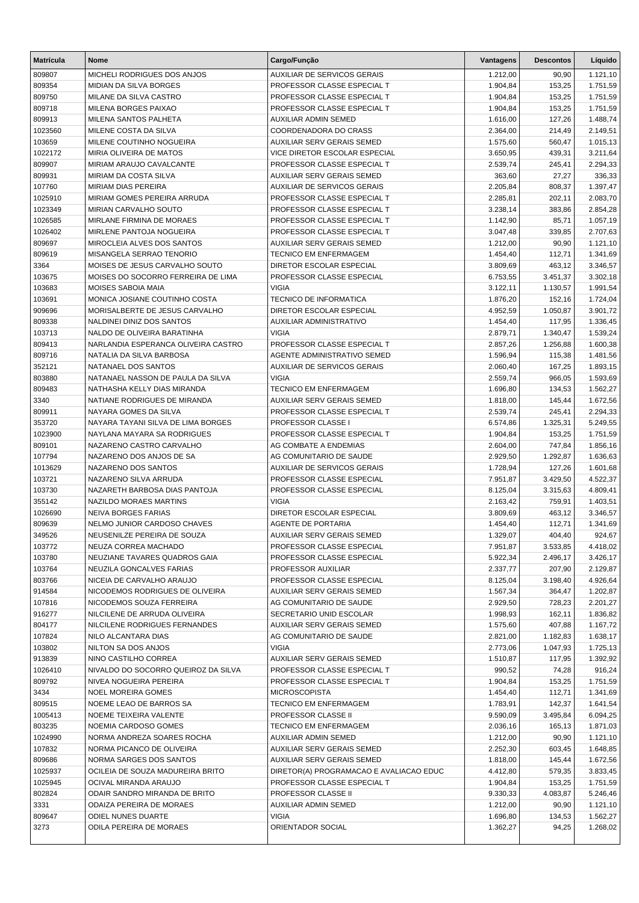| <b>Matrícula</b> | Nome                                                                 | Cargo/Função                                             | Vantagens            | <b>Descontos</b>     | Líquido              |
|------------------|----------------------------------------------------------------------|----------------------------------------------------------|----------------------|----------------------|----------------------|
| 809807           | MICHELI RODRIGUES DOS ANJOS                                          | <b>AUXILIAR DE SERVICOS GERAIS</b>                       | 1.212,00             | 90,90                | 1.121,10             |
| 809354           | <b>MIDIAN DA SILVA BORGES</b>                                        | PROFESSOR CLASSE ESPECIAL T                              | 1.904,84             | 153,25               | 1.751,59             |
| 809750           | MILANE DA SILVA CASTRO                                               | PROFESSOR CLASSE ESPECIAL T                              | 1.904,84             | 153,25               | 1.751,59             |
| 809718           | MILENA BORGES PAIXAO                                                 | PROFESSOR CLASSE ESPECIAL T                              | 1.904,84             | 153,25               | 1.751,59             |
| 809913           | MILENA SANTOS PALHETA                                                | AUXILIAR ADMIN SEMED                                     | 1.616,00             | 127,26               | 1.488,74             |
| 1023560          | MILENE COSTA DA SILVA                                                | COORDENADORA DO CRASS                                    | 2.364,00             | 214,49               | 2.149,51             |
| 103659           | MILENE COUTINHO NOGUEIRA                                             | <b>AUXILIAR SERV GERAIS SEMED</b>                        | 1.575,60             | 560,47               | 1.015,13             |
| 1022172          | MIRIA OLIVEIRA DE MATOS                                              | VICE DIRETOR ESCOLAR ESPECIAL                            | 3.650,95             | 439,31               | 3.211,64             |
| 809907           | MIRIAM ARAUJO CAVALCANTE                                             | PROFESSOR CLASSE ESPECIAL T                              | 2.539,74             | 245,41               | 2.294,33             |
| 809931           | <b>MIRIAM DA COSTA SILVA</b>                                         | <b>AUXILIAR SERV GERAIS SEMED</b>                        | 363,60               | 27,27                | 336,33               |
| 107760           | <b>MIRIAM DIAS PEREIRA</b>                                           | <b>AUXILIAR DE SERVICOS GERAIS</b>                       | 2.205,84             | 808,37               | 1.397,47             |
| 1025910          | MIRIAM GOMES PEREIRA ARRUDA                                          | PROFESSOR CLASSE ESPECIAL T                              | 2.285,81             | 202,11               | 2.083,70             |
| 1023349          | MIRIAN CARVALHO SOUTO                                                | PROFESSOR CLASSE ESPECIAL T                              | 3.238,14             | 383,86               | 2.854,28             |
| 1026585          | MIRLANE FIRMINA DE MORAES                                            | PROFESSOR CLASSE ESPECIAL T                              | 1.142,90             | 85,71                | 1.057,19             |
| 1026402          | MIRLENE PANTOJA NOGUEIRA                                             | PROFESSOR CLASSE ESPECIAL T                              | 3.047,48             | 339,85               | 2.707,63             |
| 809697           | MIROCLEIA ALVES DOS SANTOS                                           | <b>AUXILIAR SERV GERAIS SEMED</b>                        | 1.212,00             | 90,90                | 1.121,10             |
| 809619           | MISANGELA SERRAO TENORIO                                             | TECNICO EM ENFERMAGEM<br><b>DIRETOR ESCOLAR ESPECIAL</b> | 1.454,40             | 112,71               | 1.341,69             |
| 3364             | MOISES DE JESUS CARVALHO SOUTO<br>MOISES DO SOCORRO FERREIRA DE LIMA |                                                          | 3.809,69             | 463,12               | 3.346,57             |
| 103675<br>103683 | <b>MOISES SABOIA MAIA</b>                                            | PROFESSOR CLASSE ESPECIAL<br><b>VIGIA</b>                | 6.753,55<br>3.122,11 | 3.451,37<br>1.130,57 | 3.302,18<br>1.991,54 |
| 103691           | MONICA JOSIANE COUTINHO COSTA                                        | <b>TECNICO DE INFORMATICA</b>                            | 1.876,20             | 152,16               | 1.724,04             |
| 909696           | MORISALBERTE DE JESUS CARVALHO                                       | DIRETOR ESCOLAR ESPECIAL                                 | 4.952,59             | 1.050,87             | 3.901,72             |
| 809338           | NALDINEI DINIZ DOS SANTOS                                            | AUXILIAR ADMINISTRATIVO                                  | 1.454,40             | 117,95               | 1.336,45             |
| 103713           | NALDO DE OLIVEIRA BARATINHA                                          | <b>VIGIA</b>                                             | 2.879,71             | 1.340,47             | 1.539,24             |
| 809413           | NARLANDIA ESPERANCA OLIVEIRA CASTRO                                  | PROFESSOR CLASSE ESPECIAL T                              | 2.857,26             | 1.256,88             | 1.600,38             |
| 809716           | NATALIA DA SILVA BARBOSA                                             | AGENTE ADMINISTRATIVO SEMED                              | 1.596,94             | 115,38               | 1.481,56             |
| 352121           | NATANAEL DOS SANTOS                                                  | AUXILIAR DE SERVICOS GERAIS                              | 2.060,40             | 167,25               | 1.893,15             |
| 803880           | NATANAEL NASSON DE PAULA DA SILVA                                    | <b>VIGIA</b>                                             | 2.559,74             | 966,05               | 1.593,69             |
| 809483           | NATHASHA KELLY DIAS MIRANDA                                          | <b>TECNICO EM ENFERMAGEM</b>                             | 1.696,80             | 134,53               | 1.562,27             |
| 3340             | NATIANE RODRIGUES DE MIRANDA                                         | AUXILIAR SERV GERAIS SEMED                               | 1.818,00             | 145,44               | 1.672,56             |
| 809911           | NAYARA GOMES DA SILVA                                                | PROFESSOR CLASSE ESPECIAL T                              | 2.539,74             | 245,41               | 2.294,33             |
| 353720           | NAYARA TAYANI SILVA DE LIMA BORGES                                   | PROFESSOR CLASSE I                                       | 6.574,86             | 1.325,31             | 5.249,55             |
| 1023900          | NAYLANA MAYARA SA RODRIGUES                                          | PROFESSOR CLASSE ESPECIAL T                              | 1.904,84             | 153,25               | 1.751,59             |
| 809101           | NAZARENO CASTRO CARVALHO                                             | AG COMBATE A ENDEMIAS                                    | 2.604,00             | 747,84               | 1.856,16             |
| 107794           | NAZARENO DOS ANJOS DE SA                                             | AG COMUNITARIO DE SAUDE                                  | 2.929,50             | 1.292,87             | 1.636,63             |
| 1013629          | NAZARENO DOS SANTOS                                                  | <b>AUXILIAR DE SERVICOS GERAIS</b>                       | 1.728,94             | 127,26               | 1.601,68             |
| 103721           | NAZARENO SILVA ARRUDA                                                | PROFESSOR CLASSE ESPECIAL                                | 7.951,87             | 3.429,50             | 4.522,37             |
| 103730           | NAZARETH BARBOSA DIAS PANTOJA                                        | PROFESSOR CLASSE ESPECIAL                                | 8.125,04             | 3.315,63             | 4.809,41             |
| 355142           | NAZILDO MORAES MARTINS                                               | <b>VIGIA</b>                                             | 2.163,42             | 759,91               | 1.403,51             |
| 1026690          | <b>NEIVA BORGES FARIAS</b>                                           | DIRETOR ESCOLAR ESPECIAL                                 | 3.809,69             | 463,12               | 3.346,57             |
| 809639           | NELMO JUNIOR CARDOSO CHAVES                                          | <b>AGENTE DE PORTARIA</b>                                | 1.454,40             | 112,71               | 1.341,69             |
| 349526           | NEUSENILZE PEREIRA DE SOUZA                                          | AUXILIAR SERV GERAIS SEMED                               | 1.329,07             | 404,40               | 924,67               |
| 103772           | NEUZA CORREA MACHADO                                                 | PROFESSOR CLASSE ESPECIAL                                | 7.951,87             | 3.533,85             | 4.418,02             |
| 103780           | NEUZIANE TAVARES QUADROS GAIA                                        | PROFESSOR CLASSE ESPECIAL                                | 5.922,34             | 2.496,17             | 3.426,17             |
| 103764           | NEUZILA GONCALVES FARIAS                                             | PROFESSOR AUXILIAR                                       | 2.337,77             | 207,90               | 2.129,87             |
| 803766           | NICEIA DE CARVALHO ARAUJO                                            | PROFESSOR CLASSE ESPECIAL                                | 8.125,04             | 3.198,40             | 4.926,64             |
| 914584           | NICODEMOS RODRIGUES DE OLIVEIRA                                      | AUXILIAR SERV GERAIS SEMED                               | 1.567,34             | 364,47               | 1.202,87             |
| 107816           | NICODEMOS SOUZA FERREIRA<br>NILCILENE DE ARRUDA OLIVEIRA             | AG COMUNITARIO DE SAUDE                                  | 2.929,50<br>1.998.93 | 728,23               | 2.201,27             |
| 916277<br>804177 | NILCILENE RODRIGUES FERNANDES                                        | SECRETARIO UNID ESCOLAR<br>AUXILIAR SERV GERAIS SEMED    | 1.575.60             | 162,11<br>407,88     | 1.836,82<br>1.167,72 |
| 107824           | NILO ALCANTARA DIAS                                                  | AG COMUNITARIO DE SAUDE                                  | 2.821,00             | 1.182,83             | 1.638,17             |
| 103802           | NILTON SA DOS ANJOS                                                  | <b>VIGIA</b>                                             | 2.773,06             | 1.047,93             | 1.725,13             |
| 913839           | NINO CASTILHO CORREA                                                 | AUXILIAR SERV GERAIS SEMED                               | 1.510,87             | 117,95               | 1.392,92             |
| 1026410          | NIVALDO DO SOCORRO QUEIROZ DA SILVA                                  | PROFESSOR CLASSE ESPECIAL T                              | 990,52               | 74,28                | 916,24               |
| 809792           | NIVEA NOGUEIRA PEREIRA                                               | PROFESSOR CLASSE ESPECIAL T                              | 1.904,84             | 153,25               | 1.751,59             |
| 3434             | <b>NOEL MOREIRA GOMES</b>                                            | <b>MICROSCOPISTA</b>                                     | 1.454,40             | 112,71               | 1.341,69             |
| 809515           | NOEME LEAO DE BARROS SA                                              | <b>TECNICO EM ENFERMAGEM</b>                             | 1.783,91             | 142,37               | 1.641,54             |
| 1005413          | NOEME TEIXEIRA VALENTE                                               | PROFESSOR CLASSE II                                      | 9.590,09             | 3.495,84             | 6.094,25             |
| 803235           | NOEMIA CARDOSO GOMES                                                 | <b>TECNICO EM ENFERMAGEM</b>                             | 2.036,16             | 165,13               | 1.871,03             |
| 1024990          | NORMA ANDREZA SOARES ROCHA                                           | <b>AUXILIAR ADMIN SEMED</b>                              | 1.212,00             | 90,90                | 1.121,10             |
| 107832           | NORMA PICANCO DE OLIVEIRA                                            | AUXILIAR SERV GERAIS SEMED                               | 2.252,30             | 603,45               | 1.648,85             |
| 809686           | NORMA SARGES DOS SANTOS                                              | AUXILIAR SERV GERAIS SEMED                               | 1.818,00             | 145,44               | 1.672,56             |
| 1025937          | OCILEIA DE SOUZA MADUREIRA BRITO                                     | DIRETOR(A) PROGRAMACAO E AVALIACAO EDUC                  | 4.412,80             | 579,35               | 3.833,45             |
| 1025945          | OCIVAL MIRANDA ARAUJO                                                | PROFESSOR CLASSE ESPECIAL T                              | 1.904,84             | 153,25               | 1.751,59             |
| 802824           | ODAIR SANDRO MIRANDA DE BRITO                                        | PROFESSOR CLASSE II                                      | 9.330,33             | 4.083,87             | 5.246,46             |
| 3331             | ODAIZA PEREIRA DE MORAES                                             | <b>AUXILIAR ADMIN SEMED</b>                              | 1.212,00             | 90,90                | 1.121,10             |
| 809647           | ODIEL NUNES DUARTE                                                   | <b>VIGIA</b>                                             | 1.696,80             | 134,53               | 1.562,27             |
| 3273             | ODILA PEREIRA DE MORAES                                              | ORIENTADOR SOCIAL                                        | 1.362,27             | 94,25                | 1.268,02             |
|                  |                                                                      |                                                          |                      |                      |                      |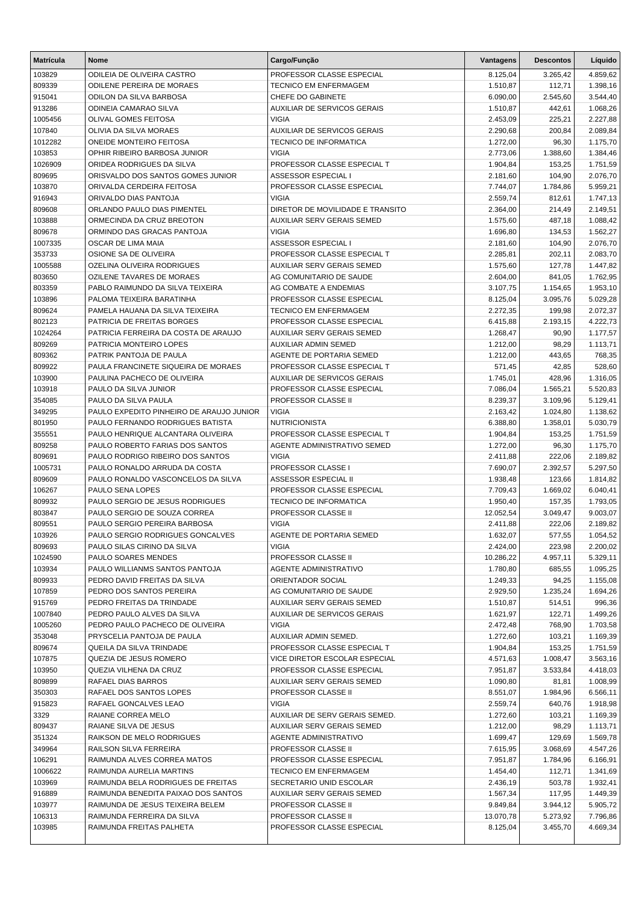| <b>Matrícula</b>  | Nome                                                                         | Cargo/Função                                              | Vantagens             | <b>Descontos</b>     | Líquido              |
|-------------------|------------------------------------------------------------------------------|-----------------------------------------------------------|-----------------------|----------------------|----------------------|
| 103829            | ODILEIA DE OLIVEIRA CASTRO                                                   | PROFESSOR CLASSE ESPECIAL                                 | 8.125,04              | 3.265,42             | 4.859,62             |
| 809339            | <b>ODILENE PEREIRA DE MORAES</b>                                             | <b>TECNICO EM ENFERMAGEM</b>                              | 1.510,87              | 112,71               | 1.398,16             |
| 915041            | ODILON DA SILVA BARBOSA                                                      | CHEFE DO GABINETE                                         | 6.090,00              | 2.545,60             | 3.544,40             |
| 913286            | ODINEIA CAMARAO SILVA                                                        | <b>AUXILIAR DE SERVICOS GERAIS</b>                        | 1.510,87              | 442,61               | 1.068,26             |
| 1005456           | OLIVAL GOMES FEITOSA                                                         | <b>VIGIA</b>                                              | 2.453,09              | 225,21               | 2.227,88             |
| 107840            | OLIVIA DA SILVA MORAES                                                       | <b>AUXILIAR DE SERVICOS GERAIS</b>                        | 2.290,68              | 200,84               | 2.089,84             |
| 1012282           | <b>ONEIDE MONTEIRO FEITOSA</b>                                               | TECNICO DE INFORMATICA                                    | 1.272,00              | 96,30                | 1.175,70             |
| 103853            | OPHIR RIBEIRO BARBOSA JUNIOR                                                 | <b>VIGIA</b>                                              | 2.773,06              | 1.388,60             | 1.384,46             |
| 1026909           | ORIDEA RODRIGUES DA SILVA                                                    | PROFESSOR CLASSE ESPECIAL T                               | 1.904,84              | 153,25               | 1.751,59             |
| 809695<br>103870  | ORISVALDO DOS SANTOS GOMES JUNIOR<br>ORIVALDA CERDEIRA FEITOSA               | ASSESSOR ESPECIAL I<br>PROFESSOR CLASSE ESPECIAL          | 2.181,60<br>7.744,07  | 104,90<br>1.784,86   | 2.076,70<br>5.959,21 |
| 916943            | ORIVALDO DIAS PANTOJA                                                        | <b>VIGIA</b>                                              | 2.559,74              | 812,61               | 1.747,13             |
| 809608            | ORLANDO PAULO DIAS PIMENTEL                                                  | DIRETOR DE MOVILIDADE E TRANSITO                          | 2.364,00              | 214,49               | 2.149,51             |
| 103888            | ORMECINDA DA CRUZ BREOTON                                                    | AUXILIAR SERV GERAIS SEMED                                | 1.575,60              | 487,18               | 1.088,42             |
| 809678            | ORMINDO DAS GRACAS PANTOJA                                                   | <b>VIGIA</b>                                              | 1.696,80              | 134,53               | 1.562,27             |
| 1007335           | OSCAR DE LIMA MAIA                                                           | ASSESSOR ESPECIAL I                                       | 2.181,60              | 104,90               | 2.076,70             |
| 353733            | OSIONE SA DE OLIVEIRA                                                        | PROFESSOR CLASSE ESPECIAL T                               | 2.285,81              | 202,11               | 2.083,70             |
| 1005588           | OZELINA OLIVEIRA RODRIGUES                                                   | AUXILIAR SERV GERAIS SEMED                                | 1.575,60              | 127,78               | 1.447,82             |
| 803650            | <b>OZILENE TAVARES DE MORAES</b>                                             | AG COMUNITARIO DE SAUDE                                   | 2.604,00              | 841,05               | 1.762,95             |
| 803359            | PABLO RAIMUNDO DA SILVA TEIXEIRA                                             | AG COMBATE A ENDEMIAS                                     | 3.107,75              | 1.154,65             | 1.953,10             |
| 103896            | PALOMA TEIXEIRA BARATINHA                                                    | PROFESSOR CLASSE ESPECIAL                                 | 8.125,04              | 3.095,76             | 5.029,28             |
| 809624            | PAMELA HAUANA DA SILVA TEIXEIRA                                              | TECNICO EM ENFERMAGEM                                     | 2.272,35              | 199,98               | 2.072,37             |
| 802123            | PATRICIA DE FREITAS BORGES                                                   | PROFESSOR CLASSE ESPECIAL                                 | 6.415,88              | 2.193,15             | 4.222,73             |
| 1024264           | PATRICIA FERREIRA DA COSTA DE ARAUJO                                         | <b>AUXILIAR SERV GERAIS SEMED</b>                         | 1.268,47              | 90,90                | 1.177,57             |
| 809269            | PATRICIA MONTEIRO LOPES                                                      | <b>AUXILIAR ADMIN SEMED</b>                               | 1.212,00              | 98,29                | 1.113,71             |
| 809362            | PATRIK PANTOJA DE PAULA                                                      | AGENTE DE PORTARIA SEMED                                  | 1.212,00              | 443,65               | 768,35               |
| 809922            | PAULA FRANCINETE SIQUEIRA DE MORAES                                          | PROFESSOR CLASSE ESPECIAL T                               | 571,45                | 42,85                | 528,60               |
| 103900            | PAULINA PACHECO DE OLIVEIRA                                                  | <b>AUXILIAR DE SERVICOS GERAIS</b>                        | 1.745,01              | 428,96               | 1.316,05             |
| 103918            | PAULO DA SILVA JUNIOR                                                        | PROFESSOR CLASSE ESPECIAL                                 | 7.086,04              | 1.565,21             | 5.520,83             |
| 354085            | PAULO DA SILVA PAULA                                                         | PROFESSOR CLASSE II                                       | 8.239,37              | 3.109,96             | 5.129,41             |
| 349295<br>801950  | PAULO EXPEDITO PINHEIRO DE ARAUJO JUNIOR<br>PAULO FERNANDO RODRIGUES BATISTA | <b>VIGIA</b><br><b>NUTRICIONISTA</b>                      | 2.163,42<br>6.388,80  | 1.024,80<br>1.358,01 | 1.138,62<br>5.030,79 |
| 355551            | PAULO HENRIQUE ALCANTARA OLIVEIRA                                            | PROFESSOR CLASSE ESPECIAL T                               | 1.904,84              | 153,25               | 1.751,59             |
| 809258            | PAULO ROBERTO FARIAS DOS SANTOS                                              | AGENTE ADMINISTRATIVO SEMED                               | 1.272,00              | 96,30                | 1.175,70             |
| 809691            | PAULO RODRIGO RIBEIRO DOS SANTOS                                             | <b>VIGIA</b>                                              | 2.411,88              | 222,06               | 2.189,82             |
| 1005731           | PAULO RONALDO ARRUDA DA COSTA                                                | PROFESSOR CLASSE I                                        | 7.690,07              | 2.392,57             | 5.297,50             |
| 809609            | PAULO RONALDO VASCONCELOS DA SILVA                                           | ASSESSOR ESPECIAL II                                      | 1.938,48              | 123,66               | 1.814,82             |
| 106267            | PAULO SENA LOPES                                                             | PROFESSOR CLASSE ESPECIAL                                 | 7.709,43              | 1.669,02             | 6.040,41             |
| 809932            | PAULO SERGIO DE JESUS RODRIGUES                                              | <b>TECNICO DE INFORMATICA</b>                             | 1.950,40              | 157,35               | 1.793,05             |
| 803847            | PAULO SERGIO DE SOUZA CORREA                                                 | PROFESSOR CLASSE II                                       | 12.052,54             | 3.049,47             | 9.003,07             |
| 809551            | PAULO SERGIO PEREIRA BARBOSA                                                 | <b>VIGIA</b>                                              | 2.411,88              | 222,06               | 2.189,82             |
| 103926            | PAULO SERGIO RODRIGUES GONCALVES                                             | AGENTE DE PORTARIA SEMED                                  | 1.632,07              | 577,55               | 1.054,52             |
| 809693            | PAULO SILAS CIRINO DA SILVA                                                  | VIGIA                                                     | 2.424,00              | 223,98               | 2.200,02             |
| 1024590           | PAULO SOARES MENDES                                                          | PROFESSOR CLASSE II                                       | 10.286,22             | 4.957,11             | 5.329,11             |
| 103934            | PAULO WILLIANMS SANTOS PANTOJA                                               | <b>AGENTE ADMINISTRATIVO</b>                              | 1.780,80              | 685,55               | 1.095,25             |
| 809933            | PEDRO DAVID FREITAS DA SILVA                                                 | ORIENTADOR SOCIAL                                         | 1.249,33              | 94,25                | 1.155,08             |
| 107859            | PEDRO DOS SANTOS PEREIRA                                                     | AG COMUNITARIO DE SAUDE                                   | 2.929,50              | 1.235,24             | 1.694,26             |
| 915769<br>1007840 | PEDRO FREITAS DA TRINDADE<br>PEDRO PAULO ALVES DA SILVA                      | AUXILIAR SERV GERAIS SEMED<br>AUXILIAR DE SERVICOS GERAIS | 1.510,87<br>1.621,97  | 514,51               | 996,36<br>1.499,26   |
| 1005260           | PEDRO PAULO PACHECO DE OLIVEIRA                                              | <b>VIGIA</b>                                              | 2.472,48              | 122,71<br>768,90     | 1.703,58             |
| 353048            | PRYSCELIA PANTOJA DE PAULA                                                   | AUXILIAR ADMIN SEMED.                                     | 1.272,60              | 103,21               | 1.169,39             |
| 809674            | QUEILA DA SILVA TRINDADE                                                     | PROFESSOR CLASSE ESPECIAL T                               | 1.904,84              | 153,25               | 1.751,59             |
| 107875            | QUEZIA DE JESUS ROMERO                                                       | VICE DIRETOR ESCOLAR ESPECIAL                             | 4.571,63              | 1.008,47             | 3.563,16             |
| 103950            | QUEZIA VILHENA DA CRUZ                                                       | PROFESSOR CLASSE ESPECIAL                                 | 7.951,87              | 3.533,84             | 4.418,03             |
| 809899            | RAFAEL DIAS BARROS                                                           | AUXILIAR SERV GERAIS SEMED                                | 1.090,80              | 81,81                | 1.008,99             |
| 350303            | RAFAEL DOS SANTOS LOPES                                                      | PROFESSOR CLASSE II                                       | 8.551,07              | 1.984,96             | 6.566,11             |
| 915823            | RAFAEL GONCALVES LEAO                                                        | <b>VIGIA</b>                                              | 2.559,74              | 640,76               | 1.918,98             |
| 3329              | RAIANE CORREA MELO                                                           | AUXILIAR DE SERV GERAIS SEMED.                            | 1.272,60              | 103,21               | 1.169,39             |
| 809437            | RAIANE SILVA DE JESUS                                                        | AUXILIAR SERV GERAIS SEMED                                | 1.212,00              | 98,29                | 1.113,71             |
| 351324            | RAIKSON DE MELO RODRIGUES                                                    | AGENTE ADMINISTRATIVO                                     | 1.699,47              | 129,69               | 1.569,78             |
| 349964            | RAILSON SILVA FERREIRA                                                       | <b>PROFESSOR CLASSE II</b>                                | 7.615,95              | 3.068,69             | 4.547,26             |
| 106291            | RAIMUNDA ALVES CORREA MATOS                                                  | PROFESSOR CLASSE ESPECIAL                                 | 7.951,87              | 1.784,96             | 6.166,91             |
| 1006622           | RAIMUNDA AURELIA MARTINS                                                     | <b>TECNICO EM ENFERMAGEM</b>                              | 1.454,40              | 112,71               | 1.341,69             |
| 103969            | RAIMUNDA BELA RODRIGUES DE FREITAS                                           | SECRETARIO UNID ESCOLAR                                   | 2.436,19              | 503,78               | 1.932,41             |
| 916889            | RAIMUNDA BENEDITA PAIXAO DOS SANTOS                                          | AUXILIAR SERV GERAIS SEMED                                | 1.567,34              | 117,95               | 1.449,39             |
| 103977            | RAIMUNDA DE JESUS TEIXEIRA BELEM                                             | PROFESSOR CLASSE II                                       | 9.849,84              | 3.944,12             | 5.905,72             |
| 106313<br>103985  | RAIMUNDA FERREIRA DA SILVA<br>RAIMUNDA FREITAS PALHETA                       | <b>PROFESSOR CLASSE II</b><br>PROFESSOR CLASSE ESPECIAL   | 13.070,78<br>8.125,04 | 5.273,92<br>3.455,70 | 7.796,86<br>4.669,34 |
|                   |                                                                              |                                                           |                       |                      |                      |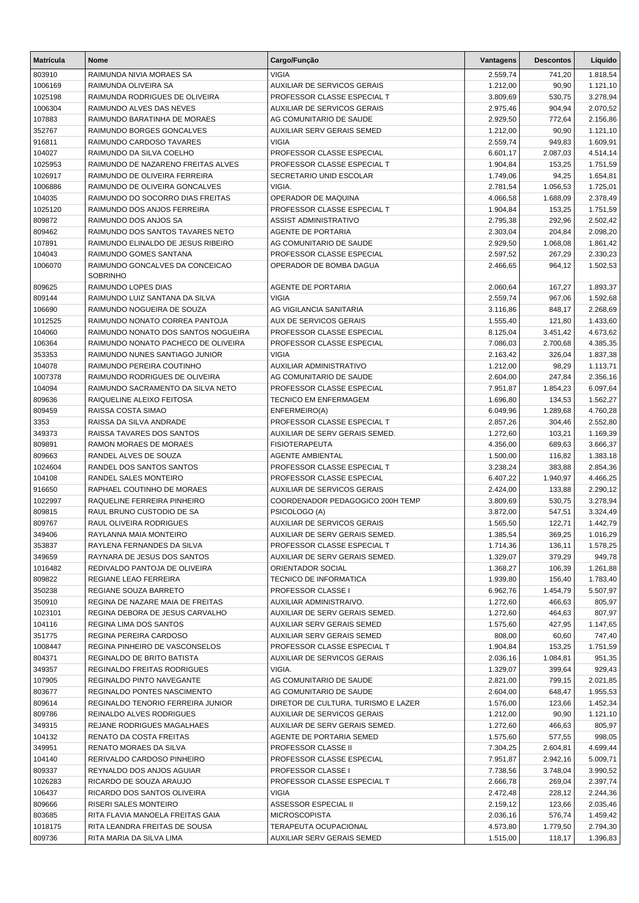| <b>Matrícula</b>  | <b>Nome</b>                                                       | Cargo/Função                                  | Vantagens            | <b>Descontos</b>   | Líquido              |
|-------------------|-------------------------------------------------------------------|-----------------------------------------------|----------------------|--------------------|----------------------|
| 803910            | RAIMUNDA NIVIA MORAES SA                                          | <b>VIGIA</b>                                  | 2.559,74             | 741,20             | 1.818,54             |
| 1006169           | RAIMUNDA OLIVEIRA SA                                              | <b>AUXILIAR DE SERVICOS GERAIS</b>            | 1.212,00             | 90,90              | 1.121,10             |
| 1025198           | RAIMUNDA RODRIGUES DE OLIVEIRA                                    | PROFESSOR CLASSE ESPECIAL T                   | 3.809,69             | 530,75             | 3.278,94             |
| 1006304           | RAIMUNDO ALVES DAS NEVES                                          | <b>AUXILIAR DE SERVICOS GERAIS</b>            | 2.975,46             | 904,94             | 2.070,52             |
| 107883            | RAIMUNDO BARATINHA DE MORAES                                      | AG COMUNITARIO DE SAUDE                       | 2.929,50             | 772,64             | 2.156,86             |
| 352767            | RAIMUNDO BORGES GONCALVES                                         | <b>AUXILIAR SERV GERAIS SEMED</b>             | 1.212,00             | 90,90              | 1.121,10             |
| 916811            | RAIMUNDO CARDOSO TAVARES                                          | <b>VIGIA</b>                                  | 2.559,74             | 949,83             | 1.609,91             |
| 104027            | RAIMUNDO DA SILVA COELHO                                          | PROFESSOR CLASSE ESPECIAL                     | 6.601,17             | 2.087,03           | 4.514,14             |
| 1025953           | RAIMUNDO DE NAZARENO FREITAS ALVES                                | PROFESSOR CLASSE ESPECIAL T                   | 1.904,84             | 153.25             | 1.751,59             |
| 1026917           | RAIMUNDO DE OLIVEIRA FERREIRA                                     | SECRETARIO UNID ESCOLAR                       | 1.749,06             | 94,25              | 1.654,81             |
| 1006886           | RAIMUNDO DE OLIVEIRA GONCALVES                                    | VIGIA.                                        | 2.781,54             | 1.056,53           | 1.725,01             |
| 104035            | RAIMUNDO DO SOCORRO DIAS FREITAS                                  | OPERADOR DE MAQUINA                           | 4.066,58             | 1.688,09           | 2.378,49             |
| 1025120           | RAIMUNDO DOS ANJOS FERREIRA                                       | PROFESSOR CLASSE ESPECIAL T                   | 1.904,84             | 153,25             | 1.751,59             |
| 809872            | RAIMUNDO DOS ANJOS SA                                             | <b>ASSIST ADMINISTRATIVO</b>                  | 2.795,38             | 292,96             | 2.502,42             |
| 809462            | RAIMUNDO DOS SANTOS TAVARES NETO                                  | <b>AGENTE DE PORTARIA</b>                     | 2.303,04             | 204,84             | 2.098,20             |
| 107891            | RAIMUNDO ELINALDO DE JESUS RIBEIRO                                | AG COMUNITARIO DE SAUDE                       | 2.929,50             | 1.068,08           | 1.861,42             |
| 104043            | RAIMUNDO GOMES SANTANA                                            | PROFESSOR CLASSE ESPECIAL                     | 2.597,52             | 267,29             | 2.330,23             |
| 1006070           | RAIMUNDO GONCALVES DA CONCEICAO<br><b>SOBRINHO</b>                | OPERADOR DE BOMBA DAGUA                       | 2.466,65             | 964,12             | 1.502,53             |
| 809625            | RAIMUNDO LOPES DIAS                                               | <b>AGENTE DE PORTARIA</b>                     | 2.060,64             | 167,27             | 1.893,37             |
| 809144            | RAIMUNDO LUIZ SANTANA DA SILVA                                    | <b>VIGIA</b>                                  | 2.559,74             | 967,06             | 1.592,68             |
| 106690            | RAIMUNDO NOGUEIRA DE SOUZA                                        | AG VIGILANCIA SANITARIA                       | 3.116,86             | 848,17             | 2.268,69             |
| 1012525           | RAIMUNDO NONATO CORREA PANTOJA                                    | <b>AUX DE SERVICOS GERAIS</b>                 | 1.555,40             | 121,80             | 1.433,60             |
| 104060            | RAIMUNDO NONATO DOS SANTOS NOGUEIRA                               | PROFESSOR CLASSE ESPECIAL                     | 8.125,04             | 3.451,42           | 4.673,62             |
| 106364            | RAIMUNDO NONATO PACHECO DE OLIVEIRA                               | PROFESSOR CLASSE ESPECIAL                     | 7.086,03             | 2.700,68           | 4.385,35             |
| 353353            | RAIMUNDO NUNES SANTIAGO JUNIOR                                    | <b>VIGIA</b>                                  | 2.163,42             | 326,04             | 1.837,38             |
| 104078            | RAIMUNDO PEREIRA COUTINHO                                         | <b>AUXILIAR ADMINISTRATIVO</b>                | 1.212,00             | 98,29              | 1.113,71             |
| 1007378           | RAIMUNDO RODRIGUES DE OLIVEIRA                                    | AG COMUNITARIO DE SAUDE                       | 2.604,00             | 247,84             | 2.356,16             |
| 104094            | RAIMUNDO SACRAMENTO DA SILVA NETO                                 | PROFESSOR CLASSE ESPECIAL                     | 7.951,87             | 1.854,23           | 6.097,64             |
| 809636            | RAIQUELINE ALEIXO FEITOSA                                         | <b>TECNICO EM ENFERMAGEM</b>                  | 1.696,80             | 134,53             | 1.562,27             |
| 809459            | RAISSA COSTA SIMAO                                                | ENFERMEIRO(A)                                 | 6.049,96             | 1.289,68           | 4.760,28             |
| 3353              | RAISSA DA SILVA ANDRADE                                           | PROFESSOR CLASSE ESPECIAL T                   | 2.857,26             | 304,46             | 2.552,80             |
| 349373            | RAISSA TAVARES DOS SANTOS                                         | AUXILIAR DE SERV GERAIS SEMED.                | 1.272,60             | 103,21             | 1.169,39             |
| 809891            | RAMON MORAES DE MORAES                                            | <b>FISIOTERAPEUTA</b>                         | 4.356,00             | 689,63             | 3.666,37             |
| 809663            | RANDEL ALVES DE SOUZA                                             | <b>AGENTE AMBIENTAL</b>                       | 1.500,00             | 116,82             | 1.383,18             |
| 1024604           | RANDEL DOS SANTOS SANTOS                                          | PROFESSOR CLASSE ESPECIAL T                   | 3.238,24             | 383,88             | 2.854,36             |
| 104108            | RANDEL SALES MONTEIRO                                             | PROFESSOR CLASSE ESPECIAL                     | 6.407,22             | 1.940,97           | 4.466,25             |
| 916650            | RAPHAEL COUTINHO DE MORAES                                        | <b>AUXILIAR DE SERVICOS GERAIS</b>            | 2.424,00             | 133,88             | 2.290,12             |
| 1022997           | RAQUELINE FERREIRA PINHEIRO                                       | COORDENADOR PEDAGOGICO 200H TEMP              | 3.809,69             | 530,75             | 3.278,94             |
| 809815            | RAUL BRUNO CUSTODIO DE SA                                         | PSICOLOGO (A)                                 | 3.872,00             | 547,51             | 3.324,49             |
| 809767            | RAUL OLIVEIRA RODRIGUES                                           | <b>AUXILIAR DE SERVICOS GERAIS</b>            | 1.565,50             | 122,71             | 1.442,79             |
| 349406            | RAYLANNA MAIA MONTEIRO                                            | AUXILIAR DE SERV GERAIS SEMED.                | 1.385,54             | 369,25             | 1.016,29             |
| 353837            | RAYLENA FERNANDES DA SILVA                                        | PROFESSOR CLASSE ESPECIAL T                   | 1.714,36             | 136,11             | 1.578,25             |
| 349659            | RAYNARA DE JESUS DOS SANTOS                                       | AUXILIAR DE SERV GERAIS SEMED.                | 1.329,07             | 379,29             | 949,78               |
| 1016482           | REDIVALDO PANTOJA DE OLIVEIRA                                     | ORIENTADOR SOCIAL                             | 1.368,27             | 106,39             | 1.261,88             |
| 809822            | REGIANE LEAO FERREIRA                                             | TECNICO DE INFORMATICA                        | 1.939,80             | 156,40             | 1.783,40             |
| 350238            | REGIANE SOUZA BARRETO                                             | PROFESSOR CLASSE I                            | 6.962,76             | 1.454,79           | 5.507,97             |
| 350910            | REGINA DE NAZARE MAIA DE FREITAS                                  | AUXILIAR ADMINISTRAIVO.                       | 1.272,60             | 466,63             | 805,97               |
| 1023101           | REGINA DEBORA DE JESUS CARVALHO                                   | AUXILIAR DE SERV GERAIS SEMED.                | 1.272,60             | 464,63             | 807,97               |
| 104116            | <b>REGINA LIMA DOS SANTOS</b>                                     | AUXILIAR SERV GERAIS SEMED                    | 1.575,60             | 427,95             | 1.147,65             |
| 351775            | REGINA PEREIRA CARDOSO                                            | <b>AUXILIAR SERV GERAIS SEMED</b>             | 808,00               | 60,60              | 747,40               |
| 1008447           | REGINA PINHEIRO DE VASCONSELOS                                    | PROFESSOR CLASSE ESPECIAL T                   | 1.904,84             | 153,25             | 1.751,59             |
| 804371            | REGINALDO DE BRITO BATISTA                                        | AUXILIAR DE SERVICOS GERAIS                   | 2.036,16             | 1.084,81           | 951,35               |
| 349357            | REGINALDO FREITAS RODRIGUES                                       | VIGIA.                                        | 1.329,07             | 399,64             | 929,43               |
| 107905            | REGINALDO PINTO NAVEGANTE                                         | AG COMUNITARIO DE SAUDE                       | 2.821,00             | 799,15             | 2.021,85             |
| 803677            | REGINALDO PONTES NASCIMENTO                                       | AG COMUNITARIO DE SAUDE                       | 2.604,00             | 648,47             | 1.955,53             |
| 809614            | REGINALDO TENORIO FERREIRA JUNIOR                                 | DIRETOR DE CULTURA, TURISMO E LAZER           | 1.576,00             | 123,66             | 1.452,34             |
| 809786            | REINALDO ALVES RODRIGUES                                          | AUXILIAR DE SERVICOS GERAIS                   | 1.212,00             | 90,90              | 1.121,10             |
| 349315            | REJANE RODRIGUES MAGALHAES                                        | AUXILIAR DE SERV GERAIS SEMED.                | 1.272,60             | 466,63             | 805,97               |
| 104132            | RENATO DA COSTA FREITAS                                           | AGENTE DE PORTARIA SEMED                      | 1.575,60             | 577,55             | 998,05               |
| 349951            | RENATO MORAES DA SILVA                                            | PROFESSOR CLASSE II                           | 7.304,25             | 2.604,81           | 4.699,44             |
| 104140            | RERIVALDO CARDOSO PINHEIRO                                        | PROFESSOR CLASSE ESPECIAL                     | 7.951,87             | 2.942,16           | 5.009,71             |
| 809337            | REYNALDO DOS ANJOS AGUIAR                                         | PROFESSOR CLASSE I                            | 7.738,56             | 3.748,04           | 3.990,52             |
| 1026283           | RICARDO DE SOUZA ARAUJO                                           | PROFESSOR CLASSE ESPECIAL T                   | 2.666,78             | 269,04             | 2.397,74             |
| 106437            | RICARDO DOS SANTOS OLIVEIRA                                       | <b>VIGIA</b>                                  | 2.472,48             | 228,12             | 2.244,36             |
| 809666            | RISERI SALES MONTEIRO                                             | ASSESSOR ESPECIAL II                          | 2.159,12             | 123,66             | 2.035,46             |
| 803685<br>1018175 | RITA FLAVIA MANOELA FREITAS GAIA<br>RITA LEANDRA FREITAS DE SOUSA | <b>MICROSCOPISTA</b><br>TERAPEUTA OCUPACIONAL | 2.036,16<br>4.573,80 | 576,74<br>1.779,50 | 1.459,42<br>2.794,30 |
| 809736            | RITA MARIA DA SILVA LIMA                                          | AUXILIAR SERV GERAIS SEMED                    | 1.515,00             | 118,17             | 1.396,83             |
|                   |                                                                   |                                               |                      |                    |                      |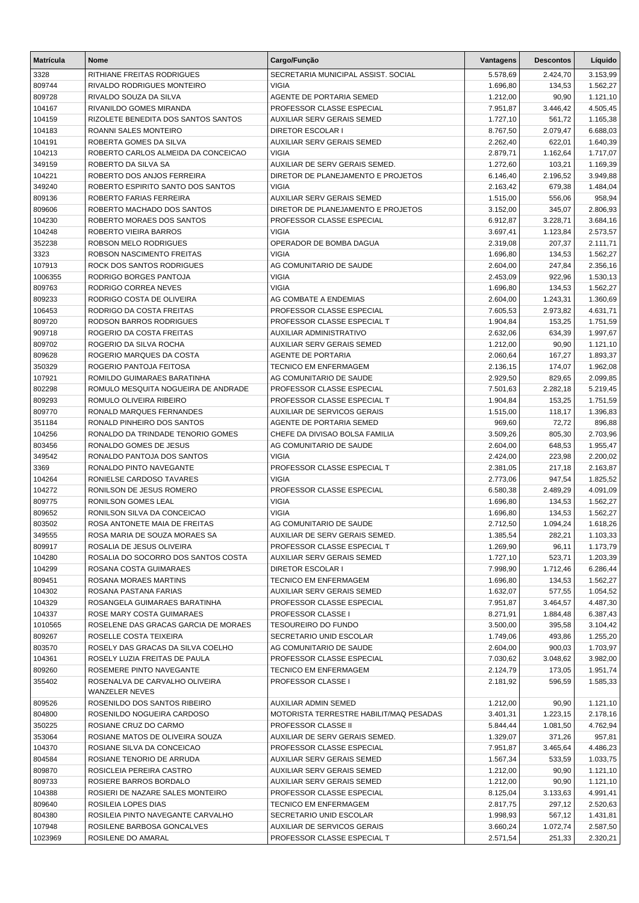| <b>Matrícula</b> | <b>Nome</b>                                                | Cargo/Função                                                  | <b>Vantagens</b>     | <b>Descontos</b>   | Líquido              |
|------------------|------------------------------------------------------------|---------------------------------------------------------------|----------------------|--------------------|----------------------|
| 3328             | RITHIANE FREITAS RODRIGUES                                 | SECRETARIA MUNICIPAL ASSIST. SOCIAL                           | 5.578,69             | 2.424,70           | 3.153,99             |
| 809744           | <b>RIVALDO RODRIGUES MONTEIRO</b>                          | <b>VIGIA</b>                                                  | 1.696,80             | 134,53             | 1.562,27             |
| 809728           | RIVALDO SOUZA DA SILVA                                     | AGENTE DE PORTARIA SEMED                                      | 1.212,00             | 90,90              | 1.121,10             |
| 104167           | RIVANILDO GOMES MIRANDA                                    | PROFESSOR CLASSE ESPECIAL                                     | 7.951,87             | 3.446,42           | 4.505,45             |
| 104159           | RIZOLETE BENEDITA DOS SANTOS SANTOS                        | AUXILIAR SERV GERAIS SEMED                                    | 1.727,10             | 561,72             | 1.165,38             |
| 104183           | <b>ROANNI SALES MONTEIRO</b>                               | <b>DIRETOR ESCOLAR I</b>                                      | 8.767,50             | 2.079,47           | 6.688,03             |
| 104191           | ROBERTA GOMES DA SILVA                                     | <b>AUXILIAR SERV GERAIS SEMED</b>                             | 2.262,40             | 622,01             | 1.640,39             |
| 104213           | ROBERTO CARLOS ALMEIDA DA CONCEICAO                        | <b>VIGIA</b>                                                  | 2.879,71             | 1.162,64           | 1.717,07             |
| 349159           | ROBERTO DA SILVA SA                                        | AUXILIAR DE SERV GERAIS SEMED.                                | 1.272,60             | 103,21             | 1.169,39             |
| 104221           | ROBERTO DOS ANJOS FERREIRA                                 | DIRETOR DE PLANEJAMENTO E PROJETOS                            | 6.146,40             | 2.196,52           | 3.949,88             |
| 349240           | ROBERTO ESPIRITO SANTO DOS SANTOS                          | <b>VIGIA</b>                                                  | 2.163,42             | 679,38             | 1.484,04             |
| 809136           | ROBERTO FARIAS FERREIRA                                    | <b>AUXILIAR SERV GERAIS SEMED</b>                             | 1.515,00             | 556,06             | 958,94               |
| 809606           | ROBERTO MACHADO DOS SANTOS                                 | DIRETOR DE PLANEJAMENTO E PROJETOS                            | 3.152,00             | 345,07             | 2.806,93             |
| 104230           | ROBERTO MORAES DOS SANTOS                                  | PROFESSOR CLASSE ESPECIAL                                     | 6.912,87             | 3.228,71           | 3.684,16             |
| 104248           | ROBERTO VIEIRA BARROS                                      | <b>VIGIA</b>                                                  | 3.697,41             | 1.123,84           | 2.573,57             |
| 352238           | ROBSON MELO RODRIGUES                                      | OPERADOR DE BOMBA DAGUA                                       | 2.319,08             | 207,37             | 2.111,71             |
| 3323             | ROBSON NASCIMENTO FREITAS                                  | <b>VIGIA</b>                                                  | 1.696,80             | 134,53             | 1.562,27             |
| 107913           | ROCK DOS SANTOS RODRIGUES                                  | AG COMUNITARIO DE SAUDE                                       | 2.604,00             | 247,84             | 2.356,16             |
| 1006355          | RODRIGO BORGES PANTOJA                                     | <b>VIGIA</b>                                                  | 2.453,09             | 922,96             | 1.530,13             |
| 809763           | RODRIGO CORREA NEVES                                       | <b>VIGIA</b>                                                  | 1.696,80             | 134,53             | 1.562,27             |
| 809233           | RODRIGO COSTA DE OLIVEIRA                                  | AG COMBATE A ENDEMIAS                                         | 2.604,00             | 1.243,31           | 1.360,69             |
| 106453           | RODRIGO DA COSTA FREITAS                                   | PROFESSOR CLASSE ESPECIAL                                     | 7.605,53             | 2.973,82           | 4.631,71             |
| 809720           | RODSON BARROS RODRIGUES                                    | PROFESSOR CLASSE ESPECIAL T                                   | 1.904,84             | 153,25             | 1.751,59             |
| 909718           | ROGERIO DA COSTA FREITAS                                   | <b>AUXILIAR ADMINISTRATIVO</b>                                | 2.632,06             | 634,39             | 1.997,67             |
| 809702           | ROGERIO DA SILVA ROCHA                                     | <b>AUXILIAR SERV GERAIS SEMED</b>                             | 1.212,00             | 90,90              | 1.121,10             |
| 809628           | ROGERIO MARQUES DA COSTA                                   | AGENTE DE PORTARIA                                            | 2.060,64             | 167,27             | 1.893,37             |
| 350329           | ROGERIO PANTOJA FEITOSA                                    | <b>TECNICO EM ENFERMAGEM</b>                                  | 2.136,15             | 174,07             | 1.962,08             |
| 107921           | ROMILDO GUIMARAES BARATINHA                                | AG COMUNITARIO DE SAUDE                                       | 2.929,50             | 829,65             | 2.099,85             |
| 802298           | ROMULO MESQUITA NOGUEIRA DE ANDRADE                        | PROFESSOR CLASSE ESPECIAL                                     | 7.501,63             | 2.282,18           | 5.219,45             |
| 809293           | ROMULO OLIVEIRA RIBEIRO                                    | PROFESSOR CLASSE ESPECIAL T                                   | 1.904,84             | 153,25             | 1.751,59             |
| 809770           | RONALD MARQUES FERNANDES                                   | <b>AUXILIAR DE SERVICOS GERAIS</b>                            | 1.515,00             | 118,17             | 1.396,83             |
| 351184           | RONALD PINHEIRO DOS SANTOS                                 | AGENTE DE PORTARIA SEMED                                      | 969,60               | 72,72              | 896,88               |
| 104256           | RONALDO DA TRINDADE TENORIO GOMES                          | CHEFE DA DIVISAO BOLSA FAMILIA                                | 3.509,26             | 805,30             | 2.703,96             |
| 803456           | RONALDO GOMES DE JESUS                                     | AG COMUNITARIO DE SAUDE                                       | 2.604,00             | 648,53             | 1.955,47             |
| 349542           | RONALDO PANTOJA DOS SANTOS                                 | <b>VIGIA</b>                                                  | 2.424,00             | 223,98             | 2.200,02             |
| 3369             | RONALDO PINTO NAVEGANTE                                    | PROFESSOR CLASSE ESPECIAL T                                   | 2.381,05             | 217,18             | 2.163,87             |
| 104264           | RONIELSE CARDOSO TAVARES                                   | <b>VIGIA</b>                                                  | 2.773,06             | 947,54             | 1.825,52             |
| 104272           | RONILSON DE JESUS ROMERO                                   | PROFESSOR CLASSE ESPECIAL                                     | 6.580,38             | 2.489,29           | 4.091,09             |
| 809775           | RONILSON GOMES LEAL<br>RONILSON SILVA DA CONCEICAO         | <b>VIGIA</b><br><b>VIGIA</b>                                  | 1.696,80             | 134,53             | 1.562,27             |
| 809652<br>803502 | ROSA ANTONETE MAIA DE FREITAS                              | AG COMUNITARIO DE SAUDE                                       | 1.696,80<br>2.712,50 | 134,53<br>1.094,24 | 1.562,27<br>1.618,26 |
|                  |                                                            |                                                               | 1.385,54             |                    |                      |
| 349555<br>809917 | ROSA MARIA DE SOUZA MORAES SA<br>ROSALIA DE JESUS OLIVEIRA | AUXILIAR DE SERV GERAIS SEMED.<br>PROFESSOR CLASSE ESPECIAL T | 1.269,90             | 282,21<br>96,11    | 1.103,33             |
| 104280           | ROSALIA DO SOCORRO DOS SANTOS COSTA                        | AUXILIAR SERV GERAIS SEMED                                    | 1.727,10             | 523,71             | 1.173,79<br>1.203,39 |
| 104299           | ROSANA COSTA GUIMARAES                                     | <b>DIRETOR ESCOLAR I</b>                                      | 7.998,90             | 1.712,46           | 6.286,44             |
| 809451           | ROSANA MORAES MARTINS                                      | <b>TECNICO EM ENFERMAGEM</b>                                  | 1.696,80             | 134,53             | 1.562,27             |
| 104302           | ROSANA PASTANA FARIAS                                      | AUXILIAR SERV GERAIS SEMED                                    | 1.632,07             | 577,55             | 1.054,52             |
| 104329           | ROSANGELA GUIMARAES BARATINHA                              | PROFESSOR CLASSE ESPECIAL                                     | 7.951,87             | 3.464,57           | 4.487,30             |
| 104337           | ROSE MARY COSTA GUIMARAES                                  | PROFESSOR CLASSE I                                            | 8.271,91             | 1.884,48           | 6.387,43             |
| 1010565          | ROSELENE DAS GRACAS GARCIA DE MORAES                       | TESOUREIRO DO FUNDO                                           | 3.500,00             | 395,58             | 3.104,42             |
| 809267           | ROSELLE COSTA TEIXEIRA                                     | SECRETARIO UNID ESCOLAR                                       | 1.749,06             | 493,86             | 1.255,20             |
| 803570           | ROSELY DAS GRACAS DA SILVA COELHO                          | AG COMUNITARIO DE SAUDE                                       | 2.604,00             | 900,03             | 1.703,97             |
| 104361           | ROSELY LUZIA FREITAS DE PAULA                              | PROFESSOR CLASSE ESPECIAL                                     | 7.030,62             | 3.048,62           | 3.982,00             |
| 809260           | ROSEMERE PINTO NAVEGANTE                                   | TECNICO EM ENFERMAGEM                                         | 2.124,79             | 173,05             | 1.951,74             |
| 355402           | ROSENALVA DE CARVALHO OLIVEIRA                             | PROFESSOR CLASSE I                                            | 2.181,92             | 596,59             | 1.585,33             |
|                  | WANZELER NEVES                                             |                                                               |                      |                    |                      |
| 809526           | ROSENILDO DOS SANTOS RIBEIRO                               | AUXILIAR ADMIN SEMED                                          | 1.212,00             | 90,90              | 1.121,10             |
| 804800           | ROSENILDO NOGUEIRA CARDOSO                                 | MOTORISTA TERRESTRE HABILIT/MAQ PESADAS                       | 3.401,31             | 1.223,15           | 2.178,16             |
| 350225           | ROSIANE CRUZ DO CARMO                                      | PROFESSOR CLASSE II                                           | 5.844,44             | 1.081,50           | 4.762,94             |
| 353064           | ROSIANE MATOS DE OLIVEIRA SOUZA                            | AUXILIAR DE SERV GERAIS SEMED.                                | 1.329,07             | 371,26             | 957,81               |
| 104370           | ROSIANE SILVA DA CONCEICAO                                 | PROFESSOR CLASSE ESPECIAL                                     | 7.951,87             | 3.465,64           | 4.486,23             |
| 804584           | ROSIANE TENORIO DE ARRUDA                                  | AUXILIAR SERV GERAIS SEMED                                    | 1.567,34             | 533,59             | 1.033,75             |
| 809870           | ROSICLEIA PEREIRA CASTRO                                   | AUXILIAR SERV GERAIS SEMED                                    | 1.212,00             | 90,90              | 1.121,10             |
| 809733           | ROSIERE BARROS BORDALO                                     | AUXILIAR SERV GERAIS SEMED                                    | 1.212,00             | 90,90              | 1.121,10             |
| 104388           | ROSIERI DE NAZARE SALES MONTEIRO                           | PROFESSOR CLASSE ESPECIAL                                     | 8.125,04             | 3.133,63           | 4.991,41             |
| 809640           | ROSILEIA LOPES DIAS                                        | TECNICO EM ENFERMAGEM                                         | 2.817,75             | 297,12             | 2.520,63             |
| 804380           | ROSILEIA PINTO NAVEGANTE CARVALHO                          | SECRETARIO UNID ESCOLAR                                       | 1.998,93             | 567,12             | 1.431,81             |
| 107948           | ROSILENE BARBOSA GONCALVES                                 | AUXILIAR DE SERVICOS GERAIS                                   | 3.660,24             | 1.072,74           | 2.587,50             |
| 1023969          | ROSILENE DO AMARAL                                         | PROFESSOR CLASSE ESPECIAL T                                   | 2.571,54             | 251,33             | 2.320,21             |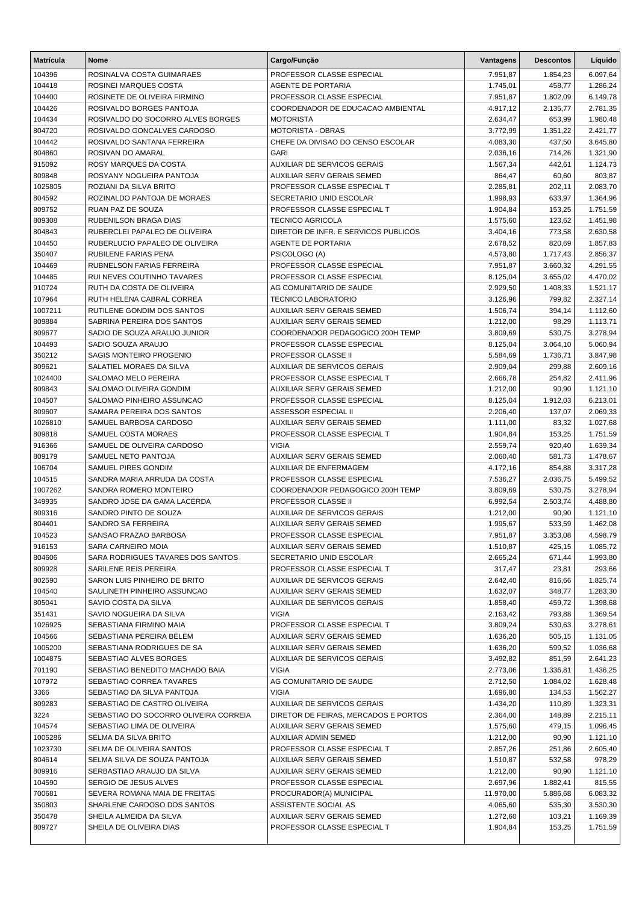| <b>Matrícula</b>  | <b>Nome</b>                                                | Cargo/Função                                                  | Vantagens            | <b>Descontos</b>   | Líquido              |
|-------------------|------------------------------------------------------------|---------------------------------------------------------------|----------------------|--------------------|----------------------|
| 104396            | ROSINALVA COSTA GUIMARAES                                  | PROFESSOR CLASSE ESPECIAL                                     | 7.951,87             | 1.854,23           | 6.097,64             |
| 104418            | ROSINEI MARQUES COSTA                                      | <b>AGENTE DE PORTARIA</b>                                     | 1.745,01             | 458,77             | 1.286,24             |
| 104400            | ROSINETE DE OLIVEIRA FIRMINO                               | PROFESSOR CLASSE ESPECIAL                                     | 7.951,87             | 1.802,09           | 6.149,78             |
| 104426            | ROSIVALDO BORGES PANTOJA                                   | COORDENADOR DE EDUCACAO AMBIENTAL                             | 4.917,12             | 2.135,77           | 2.781,35             |
| 104434            | ROSIVALDO DO SOCORRO ALVES BORGES                          | <b>MOTORISTA</b>                                              | 2.634,47             | 653,99             | 1.980,48             |
| 804720            | ROSIVALDO GONCALVES CARDOSO                                | <b>MOTORISTA - OBRAS</b>                                      | 3.772,99             | 1.351,22           | 2.421,77             |
| 104442            | ROSIVALDO SANTANA FERREIRA                                 | CHEFE DA DIVISAO DO CENSO ESCOLAR                             | 4.083,30             | 437,50             | 3.645,80             |
| 804860            | ROSIVAN DO AMARAL                                          | <b>GARI</b>                                                   | 2.036,16             | 714,26             | 1.321,90             |
| 915092            | <b>ROSY MARQUES DA COSTA</b>                               | <b>AUXILIAR DE SERVICOS GERAIS</b>                            | 1.567,34             | 442,61             | 1.124,73             |
| 809848            | ROSYANY NOGUEIRA PANTOJA                                   | <b>AUXILIAR SERV GERAIS SEMED</b>                             | 864,47               | 60,60              | 803,87               |
| 1025805           | ROZIANI DA SILVA BRITO                                     | PROFESSOR CLASSE ESPECIAL T                                   | 2.285,81             | 202,11             | 2.083,70             |
| 804592            | ROZINALDO PANTOJA DE MORAES                                | SECRETARIO UNID ESCOLAR                                       | 1.998,93             | 633,97             | 1.364,96             |
| 809752<br>809308  | RUAN PAZ DE SOUZA<br>RUBENILSON BRAGA DIAS                 | PROFESSOR CLASSE ESPECIAL T<br><b>TECNICO AGRICOLA</b>        | 1.904,84<br>1.575,60 | 153,25<br>123,62   | 1.751,59<br>1.451,98 |
| 804843            | RUBERCLEI PAPALEO DE OLIVEIRA                              | DIRETOR DE INFR. E SERVICOS PUBLICOS                          | 3.404,16             | 773,58             | 2.630,58             |
| 104450            | RUBERLUCIO PAPALEO DE OLIVEIRA                             | AGENTE DE PORTARIA                                            | 2.678,52             | 820,69             | 1.857,83             |
| 350407            | RUBILENE FARIAS PENA                                       | PSICOLOGO (A)                                                 | 4.573,80             | 1.717,43           | 2.856,37             |
| 104469            | RUBNELSON FARIAS FERREIRA                                  | PROFESSOR CLASSE ESPECIAL                                     | 7.951,87             | 3.660,32           | 4.291,55             |
| 104485            | RUI NEVES COUTINHO TAVARES                                 | PROFESSOR CLASSE ESPECIAL                                     | 8.125,04             | 3.655,02           | 4.470,02             |
| 910724            | RUTH DA COSTA DE OLIVEIRA                                  | AG COMUNITARIO DE SAUDE                                       | 2.929,50             | 1.408,33           | 1.521,17             |
| 107964            | RUTH HELENA CABRAL CORREA                                  | <b>TECNICO LABORATORIO</b>                                    | 3.126,96             | 799,82             | 2.327,14             |
| 1007211           | RUTILENE GONDIM DOS SANTOS                                 | <b>AUXILIAR SERV GERAIS SEMED</b>                             | 1.506,74             | 394,14             | 1.112,60             |
| 809884            | SABRINA PEREIRA DOS SANTOS                                 | <b>AUXILIAR SERV GERAIS SEMED</b>                             | 1.212,00             | 98,29              | 1.113,71             |
| 809677            | SADIO DE SOUZA ARAUJO JUNIOR                               | COORDENADOR PEDAGOGICO 200H TEMP                              | 3.809,69             | 530,75             | 3.278,94             |
| 104493            | SADIO SOUZA ARAUJO                                         | PROFESSOR CLASSE ESPECIAL                                     | 8.125,04             | 3.064,10           | 5.060,94             |
| 350212            | SAGIS MONTEIRO PROGENIO                                    | PROFESSOR CLASSE II                                           | 5.584,69             | 1.736,71           | 3.847,98             |
| 809621            | SALATIEL MORAES DA SILVA                                   | AUXILIAR DE SERVICOS GERAIS                                   | 2.909,04             | 299,88             | 2.609,16             |
| 1024400           | SALOMAO MELO PEREIRA                                       | PROFESSOR CLASSE ESPECIAL T                                   | 2.666,78             | 254,82             | 2.411,96             |
| 809843            | SALOMAO OLIVEIRA GONDIM                                    | AUXILIAR SERV GERAIS SEMED                                    | 1.212,00             | 90,90              | 1.121,10             |
| 104507            | SALOMAO PINHEIRO ASSUNCAO                                  | PROFESSOR CLASSE ESPECIAL                                     | 8.125,04             | 1.912,03           | 6.213,01             |
| 809607            | SAMARA PEREIRA DOS SANTOS                                  | ASSESSOR ESPECIAL II                                          | 2.206,40             | 137,07             | 2.069,33             |
| 1026810           | SAMUEL BARBOSA CARDOSO                                     | <b>AUXILIAR SERV GERAIS SEMED</b>                             | 1.111,00             | 83,32              | 1.027,68             |
| 809818            | SAMUEL COSTA MORAES                                        | PROFESSOR CLASSE ESPECIAL T                                   | 1.904,84             | 153,25             | 1.751,59             |
| 916366            | SAMUEL DE OLIVEIRA CARDOSO                                 | VIGIA                                                         | 2.559,74             | 920,40             | 1.639,34             |
| 809179            | SAMUEL NETO PANTOJA                                        | <b>AUXILIAR SERV GERAIS SEMED</b>                             | 2.060,40             | 581,73             | 1.478,67             |
| 106704            | <b>SAMUEL PIRES GONDIM</b>                                 | AUXILIAR DE ENFERMAGEM                                        | 4.172,16             | 854,88             | 3.317,28             |
| 104515            | SANDRA MARIA ARRUDA DA COSTA<br>SANDRA ROMERO MONTEIRO     | PROFESSOR CLASSE ESPECIAL<br>COORDENADOR PEDAGOGICO 200H TEMP | 7.536,27             | 2.036,75           | 5.499,52             |
| 1007262<br>349935 | SANDRO JOSE DA GAMA LACERDA                                | <b>PROFESSOR CLASSE II</b>                                    | 3.809,69<br>6.992,54 | 530,75<br>2.503,74 | 3.278,94<br>4.488,80 |
| 809316            | SANDRO PINTO DE SOUZA                                      | AUXILIAR DE SERVICOS GERAIS                                   | 1.212,00             | 90,90              | 1.121,10             |
| 804401            | SANDRO SA FERREIRA                                         | AUXILIAR SERV GERAIS SEMED                                    | 1.995,67             | 533,59             | 1.462,08             |
| 104523            | SANSAO FRAZAO BARBOSA                                      | PROFESSOR CLASSE ESPECIAL                                     | 7.951,87             | 3.353,08           | 4.598,79             |
| 916153            | SARA CARNEIRO MOIA                                         | AUXILIAR SERV GERAIS SEMED                                    | 1.510,87             | 425,15             | 1.085,72             |
| 804606            | SARA RODRIGUES TAVARES DOS SANTOS                          | SECRETARIO UNID ESCOLAR                                       | 2.665,24             | 671,44             | 1.993,80             |
| 809928            | SARILENE REIS PEREIRA                                      | PROFESSOR CLASSE ESPECIAL T                                   | 317,47               | 23,81              | 293,66               |
| 802590            | SARON LUIS PINHEIRO DE BRITO                               | AUXILIAR DE SERVICOS GERAIS                                   | 2.642,40             | 816,66             | 1.825,74             |
| 104540            | SAULINETH PINHEIRO ASSUNCAO                                | AUXILIAR SERV GERAIS SEMED                                    | 1.632,07             | 348,77             | 1.283,30             |
| 805041            | SAVIO COSTA DA SILVA                                       | AUXILIAR DE SERVICOS GERAIS                                   | 1.858,40             | 459,72             | 1.398,68             |
| 351431            | SAVIO NOGUEIRA DA SILVA                                    | <b>VIGIA</b>                                                  | 2.163,42             | 793,88             | 1.369,54             |
| 1026925           | SEBASTIANA FIRMINO MAIA                                    | PROFESSOR CLASSE ESPECIAL T                                   | 3.809,24             | 530,63             | 3.278,61             |
| 104566            | SEBASTIANA PEREIRA BELEM                                   | AUXILIAR SERV GERAIS SEMED                                    | 1.636,20             | 505,15             | 1.131,05             |
| 1005200           | SEBASTIANA RODRIGUES DE SA                                 | AUXILIAR SERV GERAIS SEMED                                    | 1.636,20             | 599,52             | 1.036,68             |
| 1004875           | SEBASTIAO ALVES BORGES                                     | AUXILIAR DE SERVICOS GERAIS                                   | 3.492,82             | 851,59             | 2.641,23             |
| 701190            | SEBASTIAO BENEDITO MACHADO BAIA                            | <b>VIGIA</b>                                                  | 2.773,06             | 1.336,81           | 1.436,25             |
| 107972            | SEBASTIAO CORREA TAVARES                                   | AG COMUNITARIO DE SAUDE                                       | 2.712,50             | 1.084,02           | 1.628,48             |
| 3366              | SEBASTIAO DA SILVA PANTOJA                                 | <b>VIGIA</b>                                                  | 1.696,80             | 134,53             | 1.562,27             |
| 809283            | SEBASTIAO DE CASTRO OLIVEIRA                               | AUXILIAR DE SERVICOS GERAIS                                   | 1.434,20             | 110,89             | 1.323,31             |
| 3224              | SEBASTIAO DO SOCORRO OLIVEIRA CORREIA                      | DIRETOR DE FEIRAS, MERCADOS E PORTOS                          | 2.364,00             | 148,89             | 2.215,11             |
| 104574            | SEBASTIAO LIMA DE OLIVEIRA                                 | AUXILIAR SERV GERAIS SEMED                                    | 1.575,60             | 479,15             | 1.096,45             |
| 1005286           | SELMA DA SILVA BRITO                                       | AUXILIAR ADMIN SEMED                                          | 1.212,00             | 90,90              | 1.121,10             |
| 1023730           | SELMA DE OLIVEIRA SANTOS                                   | PROFESSOR CLASSE ESPECIAL T                                   | 2.857,26             | 251,86             | 2.605,40             |
| 804614            | SELMA SILVA DE SOUZA PANTOJA<br>SERBASTIAO ARAUJO DA SILVA | AUXILIAR SERV GERAIS SEMED<br>AUXILIAR SERV GERAIS SEMED      | 1.510,87             | 532,58             | 978,29               |
| 809916<br>104590  | SERGIO DE JESUS ALVES                                      | PROFESSOR CLASSE ESPECIAL                                     | 1.212,00<br>2.697,96 | 90,90<br>1.882,41  | 1.121,10<br>815,55   |
| 700681            | SEVERA ROMANA MAIA DE FREITAS                              | PROCURADOR(A) MUNICIPAL                                       | 11.970,00            | 5.886,68           | 6.083,32             |
| 350803            | SHARLENE CARDOSO DOS SANTOS                                | ASSISTENTE SOCIAL AS                                          | 4.065,60             | 535,30             | 3.530,30             |
| 350478            | SHEILA ALMEIDA DA SILVA                                    | AUXILIAR SERV GERAIS SEMED                                    | 1.272,60             | 103,21             | 1.169,39             |
| 809727            | SHEILA DE OLIVEIRA DIAS                                    | PROFESSOR CLASSE ESPECIAL T                                   | 1.904,84             | 153,25             | 1.751,59             |
|                   |                                                            |                                                               |                      |                    |                      |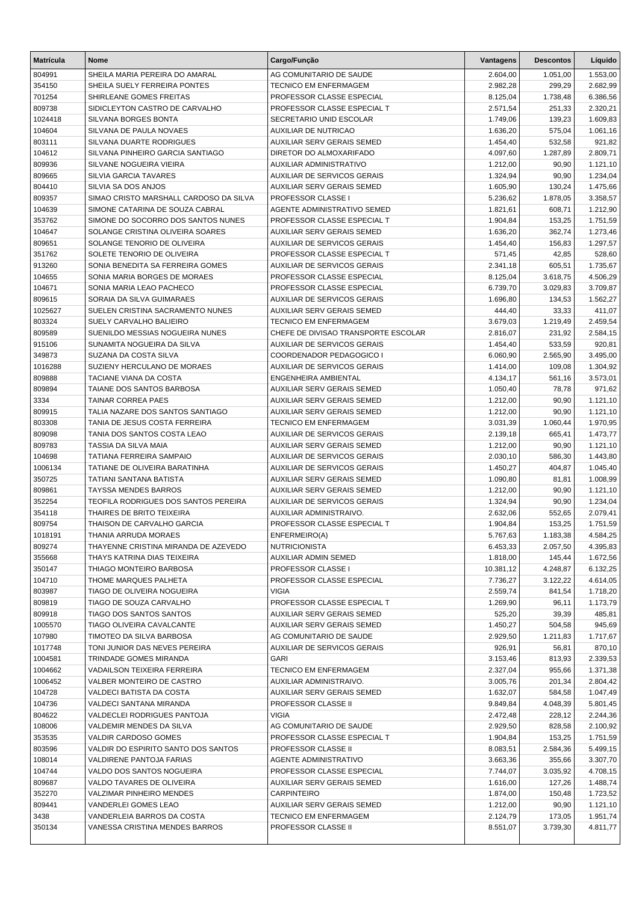| <b>Matrícula</b> | <b>Nome</b>                                                    | Cargo/Função                                               | Vantagens            | <b>Descontos</b>   | Líquido              |
|------------------|----------------------------------------------------------------|------------------------------------------------------------|----------------------|--------------------|----------------------|
| 804991           | SHEILA MARIA PEREIRA DO AMARAL                                 | AG COMUNITARIO DE SAUDE                                    | 2.604,00             | 1.051,00           | 1.553,00             |
| 354150           | SHEILA SUELY FERREIRA PONTES                                   | <b>TECNICO EM ENFERMAGEM</b>                               | 2.982,28             | 299,29             | 2.682,99             |
| 701254           | SHIRLEANE GOMES FREITAS                                        | PROFESSOR CLASSE ESPECIAL                                  | 8.125,04             | 1.738,48           | 6.386,56             |
| 809738           | SIDICLEYTON CASTRO DE CARVALHO                                 | PROFESSOR CLASSE ESPECIAL T                                | 2.571,54             | 251,33             | 2.320,21             |
| 1024418          | SILVANA BORGES BONTA                                           | SECRETARIO UNID ESCOLAR                                    | 1.749,06             | 139,23             | 1.609,83             |
| 104604           | SILVANA DE PAULA NOVAES                                        | <b>AUXILIAR DE NUTRICAO</b>                                | 1.636,20             | 575,04             | 1.061,16             |
| 803111           | SILVANA DUARTE RODRIGUES                                       | AUXILIAR SERV GERAIS SEMED                                 | 1.454,40             | 532,58             | 921,82               |
| 104612           | SILVANA PINHEIRO GARCIA SANTIAGO                               | DIRETOR DO ALMOXARIFADO                                    | 4.097,60             | 1.287,89           | 2.809,71             |
| 809936           | SILVANE NOGUEIRA VIEIRA                                        | AUXILIAR ADMINISTRATIVO                                    | 1.212,00             | 90,90              | 1.121,10             |
| 809665           | SILVIA GARCIA TAVARES                                          | AUXILIAR DE SERVICOS GERAIS                                | 1.324,94             | 90,90              | 1.234,04             |
| 804410           | SILVIA SA DOS ANJOS                                            | AUXILIAR SERV GERAIS SEMED                                 | 1.605,90             | 130,24             | 1.475,66             |
| 809357           | SIMAO CRISTO MARSHALL CARDOSO DA SILVA                         | PROFESSOR CLASSE I                                         | 5.236,62             | 1.878,05           | 3.358,57             |
| 104639           | SIMONE CATARINA DE SOUZA CABRAL                                | AGENTE ADMINISTRATIVO SEMED                                | 1.821,61             | 608,71             | 1.212,90             |
| 353762           | SIMONE DO SOCORRO DOS SANTOS NUNES                             | PROFESSOR CLASSE ESPECIAL T                                | 1.904,84             | 153,25             | 1.751,59             |
| 104647           | SOLANGE CRISTINA OLIVEIRA SOARES                               | AUXILIAR SERV GERAIS SEMED                                 | 1.636,20             | 362,74             | 1.273,46             |
| 809651           | SOLANGE TENORIO DE OLIVEIRA                                    | AUXILIAR DE SERVICOS GERAIS                                | 1.454,40             | 156,83             | 1.297,57             |
| 351762           | SOLETE TENORIO DE OLIVEIRA<br>SONIA BENEDITA SA FERREIRA GOMES | PROFESSOR CLASSE ESPECIAL T<br>AUXILIAR DE SERVICOS GERAIS | 571,45               | 42,85              | 528,60               |
| 913260           | SONIA MARIA BORGES DE MORAES                                   | PROFESSOR CLASSE ESPECIAL                                  | 2.341,18             | 605,51<br>3.618,75 | 1.735,67             |
| 104655<br>104671 | SONIA MARIA LEAO PACHECO                                       | PROFESSOR CLASSE ESPECIAL                                  | 8.125,04<br>6.739,70 | 3.029,83           | 4.506,29<br>3.709,87 |
| 809615           | SORAIA DA SILVA GUIMARAES                                      | AUXILIAR DE SERVICOS GERAIS                                | 1.696,80             | 134,53             | 1.562,27             |
| 1025627          | SUELEN CRISTINA SACRAMENTO NUNES                               | AUXILIAR SERV GERAIS SEMED                                 | 444,40               | 33,33              | 411,07               |
| 803324           | SUELY CARVALHO BALIEIRO                                        | <b>TECNICO EM ENFERMAGEM</b>                               | 3.679,03             | 1.219,49           | 2.459,54             |
| 809589           | SUENILDO MESSIAS NOGUEIRA NUNES                                | CHEFE DE DIVISAO TRANSPORTE ESCOLAR                        | 2.816,07             | 231,92             | 2.584,15             |
| 915106           | SUNAMITA NOGUEIRA DA SILVA                                     | AUXILIAR DE SERVICOS GERAIS                                | 1.454,40             | 533,59             | 920,81               |
| 349873           | SUZANA DA COSTA SILVA                                          | COORDENADOR PEDAGOGICO I                                   | 6.060,90             | 2.565,90           | 3.495,00             |
| 1016288          | SUZIENY HERCULANO DE MORAES                                    | AUXILIAR DE SERVICOS GERAIS                                | 1.414,00             | 109,08             | 1.304,92             |
| 809888           | TACIANE VIANA DA COSTA                                         | ENGENHEIRA AMBIENTAL                                       | 4.134,17             | 561,16             | 3.573,01             |
| 809894           | TAIANE DOS SANTOS BARBOSA                                      | AUXILIAR SERV GERAIS SEMED                                 | 1.050,40             | 78,78              | 971,62               |
| 3334             | TAINAR CORREA PAES                                             | AUXILIAR SERV GERAIS SEMED                                 | 1.212,00             | 90,90              | 1.121,10             |
| 809915           | TALIA NAZARE DOS SANTOS SANTIAGO                               | AUXILIAR SERV GERAIS SEMED                                 | 1.212,00             | 90,90              | 1.121,10             |
| 803308           | TANIA DE JESUS COSTA FERREIRA                                  | TECNICO EM ENFERMAGEM                                      | 3.031,39             | 1.060,44           | 1.970,95             |
| 809098           | TANIA DOS SANTOS COSTA LEAO                                    | AUXILIAR DE SERVICOS GERAIS                                | 2.139,18             | 665,41             | 1.473,77             |
| 809783           | TASSIA DA SILVA MAIA                                           | AUXILIAR SERV GERAIS SEMED                                 | 1.212,00             | 90,90              | 1.121,10             |
| 104698           | TATIANA FERREIRA SAMPAIO                                       | AUXILIAR DE SERVICOS GERAIS                                | 2.030,10             | 586,30             | 1.443,80             |
| 1006134          | TATIANE DE OLIVEIRA BARATINHA                                  | AUXILIAR DE SERVICOS GERAIS                                | 1.450,27             | 404,87             | 1.045,40             |
| 350725           | TATIANI SANTANA BATISTA                                        | AUXILIAR SERV GERAIS SEMED                                 | 1.090,80             | 81,81              | 1.008,99             |
| 809861           | TAYSSA MENDES BARROS                                           | AUXILIAR SERV GERAIS SEMED                                 | 1.212,00             | 90,90              | 1.121,10             |
| 352254           | TEOFILA RODRIGUES DOS SANTOS PEREIRA                           | <b>AUXILIAR DE SERVICOS GERAIS</b>                         | 1.324,94             | 90,90              | 1.234,04             |
| 354118           | THAIRES DE BRITO TEIXEIRA                                      | AUXILIAR ADMINISTRAIVO.                                    | 2.632,06             | 552,65             | 2.079,41             |
| 809754           | THAISON DE CARVALHO GARCIA                                     | PROFESSOR CLASSE ESPECIAL T                                | 1.904,84             | 153,25             | 1.751,59             |
| 1018191          | THANIA ARRUDA MORAES                                           | ENFERMEIRO(A)                                              | 5.767,63             | 1.183,38           | 4.584,25             |
| 809274           | THAYENNE CRISTINA MIRANDA DE AZEVEDO                           | <b>NUTRICIONISTA</b>                                       | 6.453,33             | 2.057,50           | 4.395,83             |
| 355668           | THAYS KATRINA DIAS TEIXEIRA                                    | AUXILIAR ADMIN SEMED                                       | 1.818,00             | 145,44             | 1.672,56             |
| 350147           | THIAGO MONTEIRO BARBOSA                                        | PROFESSOR CLASSE I                                         | 10.381,12            | 4.248,87           | 6.132,25             |
| 104710           | THOME MARQUES PALHETA                                          | PROFESSOR CLASSE ESPECIAL                                  | 7.736,27             | 3.122,22           | 4.614,05             |
| 803987           | TIAGO DE OLIVEIRA NOGUEIRA                                     | <b>VIGIA</b>                                               | 2.559,74             | 841,54             | 1.718,20             |
| 809819           | TIAGO DE SOUZA CARVALHO                                        | PROFESSOR CLASSE ESPECIAL T                                | 1.269,90             | 96,11              | 1.173,79             |
| 809918           | TIAGO DOS SANTOS SANTOS                                        | AUXILIAR SERV GERAIS SEMED                                 | 525,20               | 39,39              | 485,81               |
| 1005570          | TIAGO OLIVEIRA CAVALCANTE                                      | AUXILIAR SERV GERAIS SEMED                                 | 1.450,27             | 504,58             | 945,69               |
| 107980           | TIMOTEO DA SILVA BARBOSA                                       | AG COMUNITARIO DE SAUDE                                    | 2.929,50             | 1.211,83           | 1.717,67             |
| 1017748          | TONI JUNIOR DAS NEVES PEREIRA                                  | AUXILIAR DE SERVICOS GERAIS                                | 926,91               | 56,81              | 870,10               |
| 1004581          | TRINDADE GOMES MIRANDA                                         | <b>GARI</b>                                                | 3.153,46             | 813,93             | 2.339,53             |
| 1004662          | VADAILSON TEIXEIRA FERREIRA                                    | <b>TECNICO EM ENFERMAGEM</b>                               | 2.327,04             | 955,66             | 1.371,38             |
| 1006452          | VALBER MONTEIRO DE CASTRO                                      | AUXILIAR ADMINISTRAIVO.                                    | 3.005,76             | 201,34             | 2.804,42             |
| 104728           | VALDECI BATISTA DA COSTA                                       | AUXILIAR SERV GERAIS SEMED                                 | 1.632,07             | 584,58             | 1.047,49             |
| 104736           | VALDECI SANTANA MIRANDA                                        | PROFESSOR CLASSE II                                        | 9.849,84             | 4.048,39           | 5.801,45             |
| 804622           | VALDECLEI RODRIGUES PANTOJA                                    | <b>VIGIA</b>                                               | 2.472,48             | 228,12             | 2.244,36             |
| 108006           | VALDEMIR MENDES DA SILVA                                       | AG COMUNITARIO DE SAUDE                                    | 2.929,50             | 828,58             | 2.100,92             |
| 353535           | VALDIR CARDOSO GOMES                                           | PROFESSOR CLASSE ESPECIAL T                                | 1.904,84             | 153,25             | 1.751,59             |
| 803596           | VALDIR DO ESPIRITO SANTO DOS SANTOS                            | PROFESSOR CLASSE II                                        | 8.083,51             | 2.584,36           | 5.499,15             |
| 108014           | VALDIRENE PANTOJA FARIAS                                       | AGENTE ADMINISTRATIVO                                      | 3.663,36             | 355,66             | 3.307,70             |
| 104744           | VALDO DOS SANTOS NOGUEIRA                                      | PROFESSOR CLASSE ESPECIAL                                  | 7.744,07             | 3.035,92           | 4.708,15             |
| 809687           | VALDO TAVARES DE OLIVEIRA                                      | AUXILIAR SERV GERAIS SEMED                                 | 1.616,00             | 127,26             | 1.488,74             |
| 352270           | <b>VALZIMAR PINHEIRO MENDES</b>                                | <b>CARPINTEIRO</b>                                         | 1.874,00             | 150,48             | 1.723,52             |
| 809441           | VANDERLEI GOMES LEAO                                           | AUXILIAR SERV GERAIS SEMED                                 | 1.212,00             | 90,90              | 1.121,10             |
| 3438             | VANDERLEIA BARROS DA COSTA                                     | <b>TECNICO EM ENFERMAGEM</b>                               | 2.124,79             | 173,05             | 1.951,74             |
| 350134           | VANESSA CRISTINA MENDES BARROS                                 | PROFESSOR CLASSE II                                        | 8.551,07             | 3.739,30           | 4.811,77             |